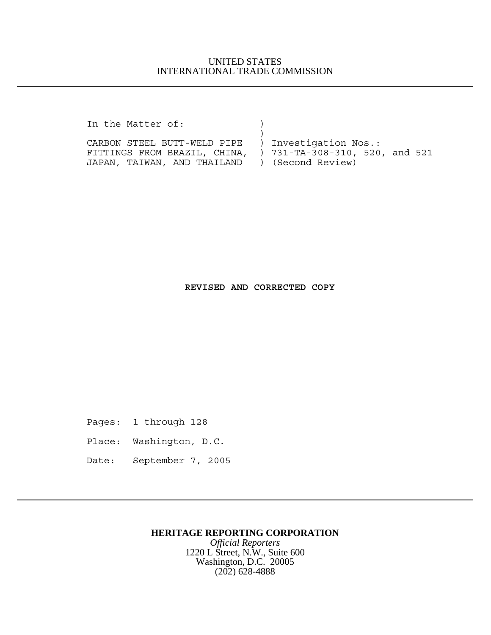## UNITED STATES INTERNATIONAL TRADE COMMISSION

In the Matter of:  $)$ 

CARBON STEEL BUTT-WELD PIPE ) Investigation Nos.: FITTINGS FROM BRAZIL, CHINA, ) 731-TA-308-310, 520, and 521 JAPAN, TAIWAN, AND THAILAND ) (Second Review)

 $)$ 

## **REVISED AND CORRECTED COPY**

Pages: 1 through 128

- Place: Washington, D.C.
- Date: September 7, 2005

## **HERITAGE REPORTING CORPORATION**

*Official Reporters* 1220 L Street, N.W., Suite 600 Washington, D.C. 20005 (202) 628-4888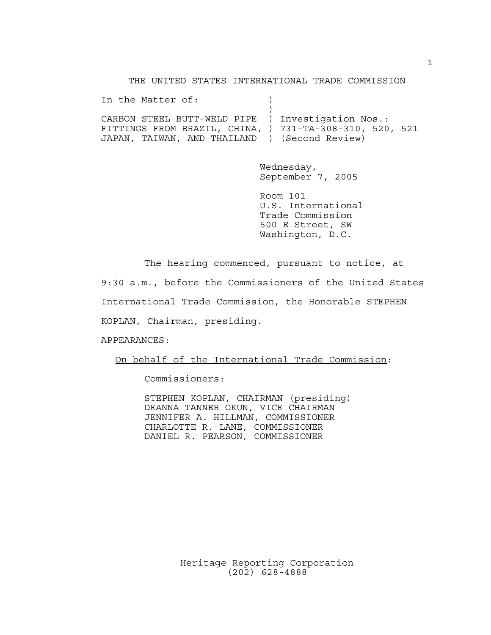THE UNITED STATES INTERNATIONAL TRADE COMMISSION

In the Matter of:  $)$  $)$ CARBON STEEL BUTT-WELD PIPE ) Investigation Nos.: FITTINGS FROM BRAZIL, CHINA, ) 731-TA-308-310, 520, 521 JAPAN, TAIWAN, AND THAILAND ) (Second Review)

> Wednesday, September 7, 2005

Room 101 U.S. International Trade Commission 500 E Street, SW Washington, D.C.

The hearing commenced, pursuant to notice, at

9:30 a.m., before the Commissioners of the United States International Trade Commission, the Honorable STEPHEN KOPLAN, Chairman, presiding.

APPEARANCES:

On behalf of the International Trade Commission:

Commissioners:

STEPHEN KOPLAN, CHAIRMAN (presiding) DEANNA TANNER OKUN, VICE CHAIRMAN JENNIFER A. HILLMAN, COMMISSIONER CHARLOTTE R. LANE, COMMISSIONER DANIEL R. PEARSON, COMMISSIONER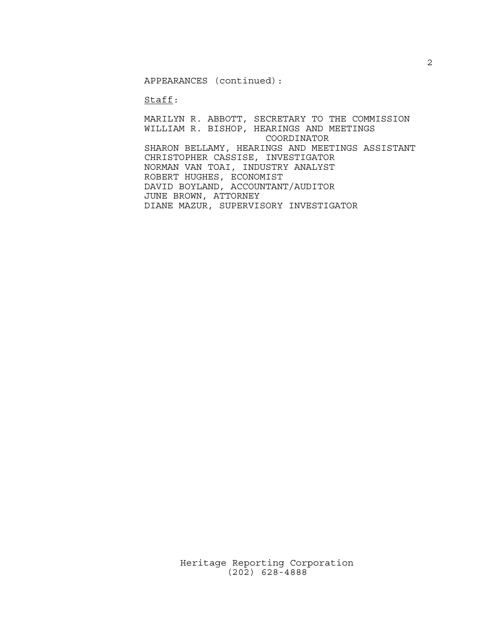APPEARANCES (continued):

Staff:

MARILYN R. ABBOTT, SECRETARY TO THE COMMISSION WILLIAM R. BISHOP, HEARINGS AND MEETINGS COORDINATOR SHARON BELLAMY, HEARINGS AND MEETINGS ASSISTANT CHRISTOPHER CASSISE, INVESTIGATOR NORMAN VAN TOAI, INDUSTRY ANALYST ROBERT HUGHES, ECONOMIST DAVID BOYLAND, ACCOUNTANT/AUDITOR JUNE BROWN, ATTORNEY DIANE MAZUR, SUPERVISORY INVESTIGATOR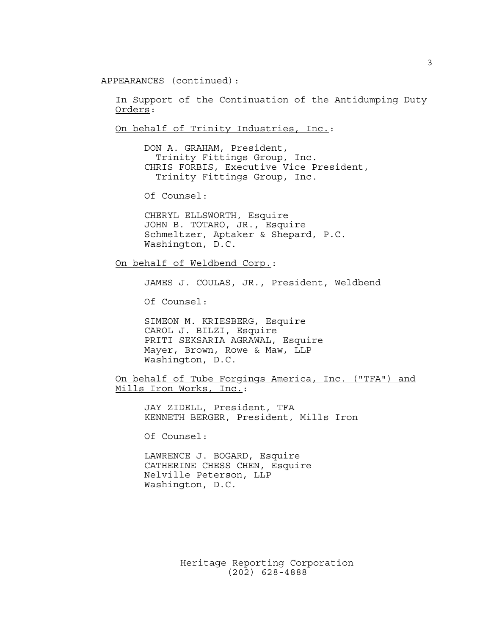APPEARANCES (continued):

In Support of the Continuation of the Antidumping Duty Orders:

On behalf of Trinity Industries, Inc.:

DON A. GRAHAM, President, Trinity Fittings Group, Inc. CHRIS FORBIS, Executive Vice President, Trinity Fittings Group, Inc.

Of Counsel:

CHERYL ELLSWORTH, Esquire JOHN B. TOTARO, JR., Esquire Schmeltzer, Aptaker & Shepard, P.C. Washington, D.C.

On behalf of Weldbend Corp.:

JAMES J. COULAS, JR., President, Weldbend

Of Counsel:

SIMEON M. KRIESBERG, Esquire CAROL J. BILZI, Esquire PRITI SEKSARIA AGRAWAL, Esquire Mayer, Brown, Rowe & Maw, LLP Washington, D.C.

On behalf of Tube Forgings America, Inc. ("TFA") and Mills Iron Works, Inc.:

JAY ZIDELL, President, TFA KENNETH BERGER, President, Mills Iron

Of Counsel:

LAWRENCE J. BOGARD, Esquire CATHERINE CHESS CHEN, Esquire Nelville Peterson, LLP Washington, D.C.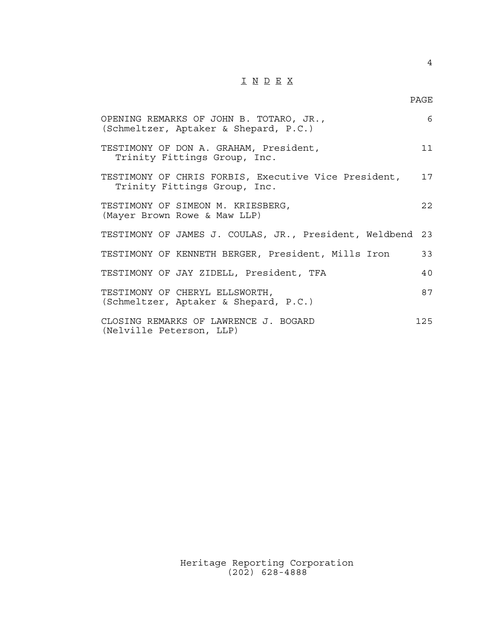## I N D E X

4

| OPENING REMARKS OF JOHN B. TOTARO, JR.,<br>(Schmeltzer, Aptaker & Shepard, P.C.)     | 6   |
|--------------------------------------------------------------------------------------|-----|
| TESTIMONY OF DON A. GRAHAM, President,<br>Trinity Fittings Group, Inc.               | 11  |
| TESTIMONY OF CHRIS FORBIS, Executive Vice President,<br>Trinity Fittings Group, Inc. | 17  |
| TESTIMONY OF SIMEON M. KRIESBERG,<br>(Mayer Brown Rowe & Maw LLP)                    | 22  |
| TESTIMONY OF JAMES J. COULAS, JR., President, Weldbend                               | 23  |
| TESTIMONY OF KENNETH BERGER, President, Mills Iron                                   | 33  |
| TESTIMONY OF JAY ZIDELL, President, TFA                                              | 40  |
| TESTIMONY OF CHERYL ELLSWORTH,<br>(Schmeltzer, Aptaker & Shepard, P.C.)              | 87  |
| CLOSING REMARKS OF LAWRENCE J. BOGARD<br>(Nelville Peterson, LLP)                    | 125 |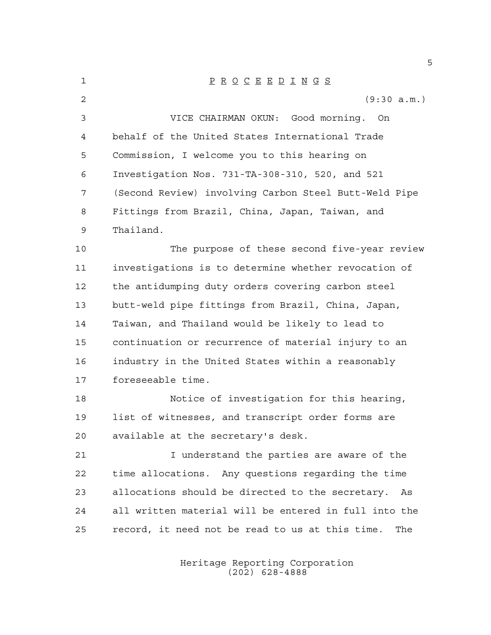| 1  | $\underline{P} \underline{R} \underline{O} \underline{C} \underline{E} \underline{E} \underline{D} \underline{I} \underline{N} \underline{G} \underline{S}$ |
|----|-------------------------------------------------------------------------------------------------------------------------------------------------------------|
| 2  | (9:30 a.m.)                                                                                                                                                 |
| 3  | VICE CHAIRMAN OKUN: Good morning. On                                                                                                                        |
| 4  | behalf of the United States International Trade                                                                                                             |
| 5  | Commission, I welcome you to this hearing on                                                                                                                |
| 6  | Investigation Nos. 731-TA-308-310, 520, and 521                                                                                                             |
| 7  | (Second Review) involving Carbon Steel Butt-Weld Pipe                                                                                                       |
| 8  | Fittings from Brazil, China, Japan, Taiwan, and                                                                                                             |
| 9  | Thailand.                                                                                                                                                   |
| 10 | The purpose of these second five-year review                                                                                                                |
| 11 | investigations is to determine whether revocation of                                                                                                        |
| 12 | the antidumping duty orders covering carbon steel                                                                                                           |
| 13 | butt-weld pipe fittings from Brazil, China, Japan,                                                                                                          |
| 14 | Taiwan, and Thailand would be likely to lead to                                                                                                             |
| 15 | continuation or recurrence of material injury to an                                                                                                         |
| 16 | industry in the United States within a reasonably                                                                                                           |
| 17 | foreseeable time.                                                                                                                                           |
| 18 | Notice of investigation for this hearing,                                                                                                                   |
| 19 | list of witnesses, and transcript order forms are                                                                                                           |
| 20 | available at the secretary's desk.                                                                                                                          |
| 21 | I understand the parties are aware of the                                                                                                                   |
| 22 | time allocations. Any questions regarding the time                                                                                                          |
| 23 | allocations should be directed to the secretary.<br>As                                                                                                      |
| 24 | all written material will be entered in full into the                                                                                                       |
| 25 | record, it need not be read to us at this time.<br>The                                                                                                      |
|    |                                                                                                                                                             |

Heritage Reporting Corporation (202) 628-4888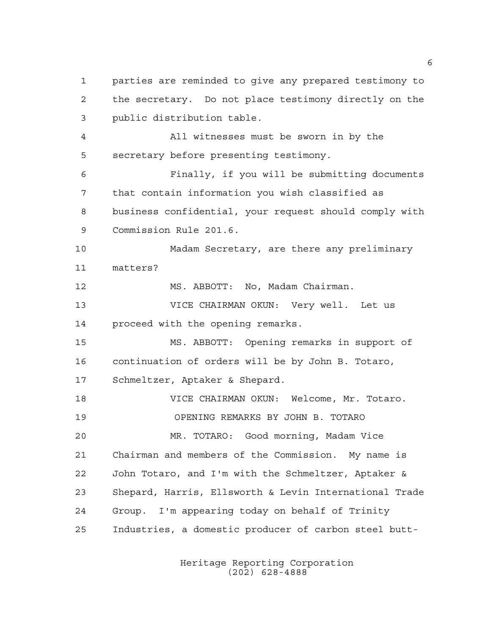parties are reminded to give any prepared testimony to the secretary. Do not place testimony directly on the public distribution table. All witnesses must be sworn in by the secretary before presenting testimony. Finally, if you will be submitting documents that contain information you wish classified as business confidential, your request should comply with Commission Rule 201.6. Madam Secretary, are there any preliminary matters? 12 MS. ABBOTT: No, Madam Chairman. VICE CHAIRMAN OKUN: Very well. Let us proceed with the opening remarks. MS. ABBOTT: Opening remarks in support of continuation of orders will be by John B. Totaro, Schmeltzer, Aptaker & Shepard. VICE CHAIRMAN OKUN: Welcome, Mr. Totaro. OPENING REMARKS BY JOHN B. TOTARO MR. TOTARO: Good morning, Madam Vice Chairman and members of the Commission. My name is John Totaro, and I'm with the Schmeltzer, Aptaker & Shepard, Harris, Ellsworth & Levin International Trade Group. I'm appearing today on behalf of Trinity Industries, a domestic producer of carbon steel butt-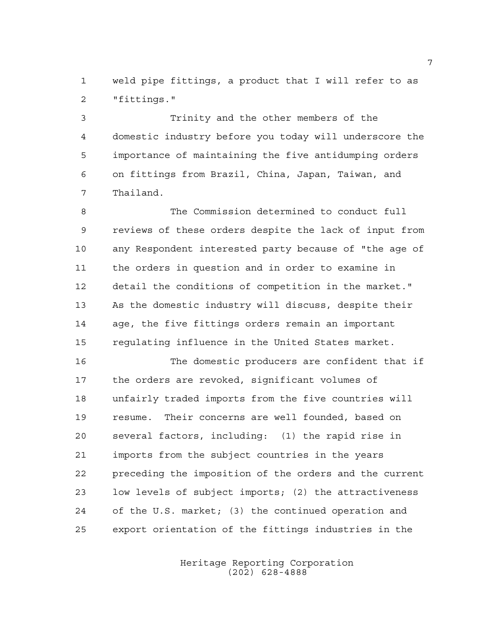weld pipe fittings, a product that I will refer to as "fittings."

 Trinity and the other members of the domestic industry before you today will underscore the importance of maintaining the five antidumping orders on fittings from Brazil, China, Japan, Taiwan, and Thailand.

 The Commission determined to conduct full reviews of these orders despite the lack of input from any Respondent interested party because of "the age of the orders in question and in order to examine in detail the conditions of competition in the market." As the domestic industry will discuss, despite their age, the five fittings orders remain an important regulating influence in the United States market.

 The domestic producers are confident that if the orders are revoked, significant volumes of unfairly traded imports from the five countries will resume. Their concerns are well founded, based on several factors, including: (1) the rapid rise in imports from the subject countries in the years preceding the imposition of the orders and the current low levels of subject imports; (2) the attractiveness of the U.S. market; (3) the continued operation and export orientation of the fittings industries in the

> Heritage Reporting Corporation (202) 628-4888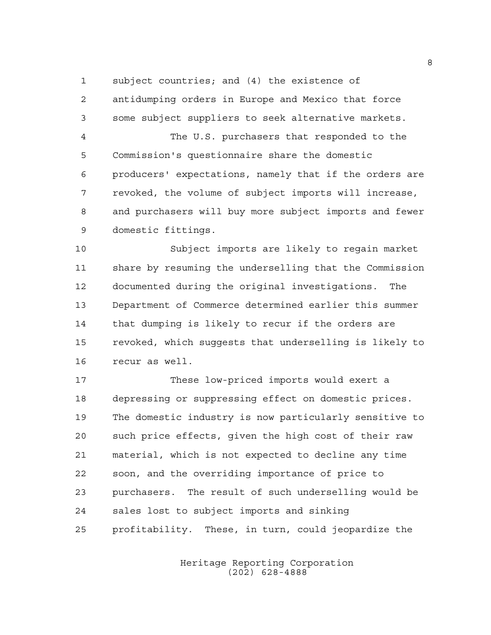subject countries; and (4) the existence of

 antidumping orders in Europe and Mexico that force some subject suppliers to seek alternative markets.

 The U.S. purchasers that responded to the Commission's questionnaire share the domestic producers' expectations, namely that if the orders are revoked, the volume of subject imports will increase, and purchasers will buy more subject imports and fewer domestic fittings.

 Subject imports are likely to regain market share by resuming the underselling that the Commission documented during the original investigations. The Department of Commerce determined earlier this summer that dumping is likely to recur if the orders are revoked, which suggests that underselling is likely to recur as well.

 These low-priced imports would exert a depressing or suppressing effect on domestic prices. The domestic industry is now particularly sensitive to such price effects, given the high cost of their raw material, which is not expected to decline any time soon, and the overriding importance of price to purchasers. The result of such underselling would be sales lost to subject imports and sinking profitability. These, in turn, could jeopardize the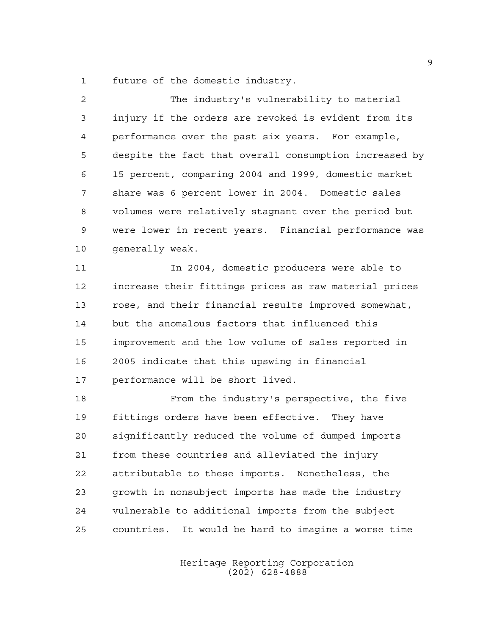future of the domestic industry.

| $\overline{a}$ | The industry's vulnerability to material               |
|----------------|--------------------------------------------------------|
| $\mathfrak{Z}$ | injury if the orders are revoked is evident from its   |
| 4              | performance over the past six years. For example,      |
| 5              | despite the fact that overall consumption increased by |
| 6              | 15 percent, comparing 2004 and 1999, domestic market   |
| 7              | share was 6 percent lower in 2004. Domestic sales      |
| 8              | volumes were relatively stagnant over the period but   |
| 9              | were lower in recent years. Financial performance was  |
| 10             | qenerally weak.                                        |
| 11             | In 2004, domestic producers were able to               |
| 12             | increase their fittings prices as raw material prices  |
| 13             | rose, and their financial results improved somewhat,   |
| 14             | but the anomalous factors that influenced this         |
| 15             | improvement and the low volume of sales reported in    |
| 16             | 2005 indicate that this upswing in financial           |
| 17             | performance will be short lived.                       |
| 18             | From the industry's perspective, the five              |
| 19             | fittings orders have been effective. They have         |
| 20             | significantly reduced the volume of dumped imports     |
| 21             | from these countries and alleviated the injury         |
| 22             | attributable to these imports. Nonetheless, the        |
| 23             | growth in nonsubject imports has made the industry     |
| 24             | vulnerable to additional imports from the subject      |
| 25             | countries. It would be hard to imagine a worse time    |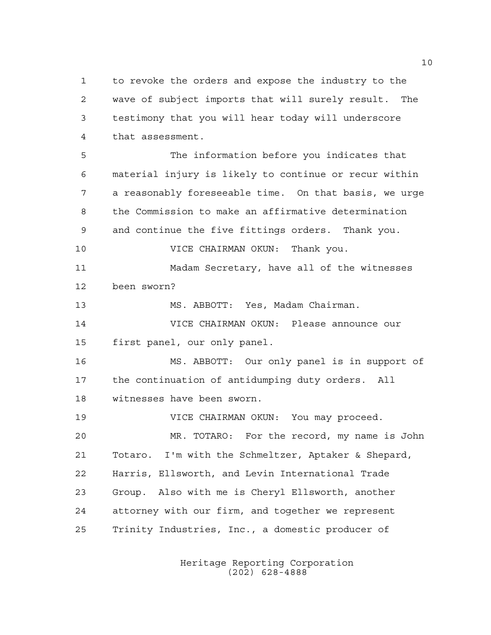to revoke the orders and expose the industry to the wave of subject imports that will surely result. The testimony that you will hear today will underscore that assessment.

 The information before you indicates that material injury is likely to continue or recur within a reasonably foreseeable time. On that basis, we urge the Commission to make an affirmative determination and continue the five fittings orders. Thank you. VICE CHAIRMAN OKUN: Thank you. Madam Secretary, have all of the witnesses been sworn? MS. ABBOTT: Yes, Madam Chairman. VICE CHAIRMAN OKUN: Please announce our first panel, our only panel. MS. ABBOTT: Our only panel is in support of the continuation of antidumping duty orders. All witnesses have been sworn. VICE CHAIRMAN OKUN: You may proceed. MR. TOTARO: For the record, my name is John Totaro. I'm with the Schmeltzer, Aptaker & Shepard,

 Harris, Ellsworth, and Levin International Trade Group. Also with me is Cheryl Ellsworth, another attorney with our firm, and together we represent Trinity Industries, Inc., a domestic producer of

> Heritage Reporting Corporation (202) 628-4888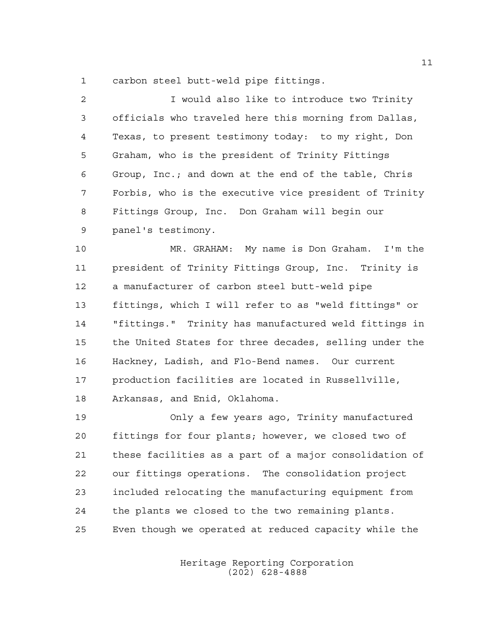carbon steel butt-weld pipe fittings.

| 2  | I would also like to introduce two Trinity             |
|----|--------------------------------------------------------|
| 3  | officials who traveled here this morning from Dallas,  |
| 4  | Texas, to present testimony today: to my right, Don    |
| 5  | Graham, who is the president of Trinity Fittings       |
| 6  | Group, Inc.; and down at the end of the table, Chris   |
| 7  | Forbis, who is the executive vice president of Trinity |
| 8  | Fittings Group, Inc. Don Graham will begin our         |
| 9  | panel's testimony.                                     |
| 10 | MR. GRAHAM: My name is Don Graham. I'm the             |
| 11 | president of Trinity Fittings Group, Inc. Trinity is   |
| 12 | a manufacturer of carbon steel butt-weld pipe          |

 fittings, which I will refer to as "weld fittings" or "fittings." Trinity has manufactured weld fittings in the United States for three decades, selling under the Hackney, Ladish, and Flo-Bend names. Our current production facilities are located in Russellville, Arkansas, and Enid, Oklahoma.

 Only a few years ago, Trinity manufactured fittings for four plants; however, we closed two of these facilities as a part of a major consolidation of our fittings operations. The consolidation project included relocating the manufacturing equipment from the plants we closed to the two remaining plants. Even though we operated at reduced capacity while the

> Heritage Reporting Corporation (202) 628-4888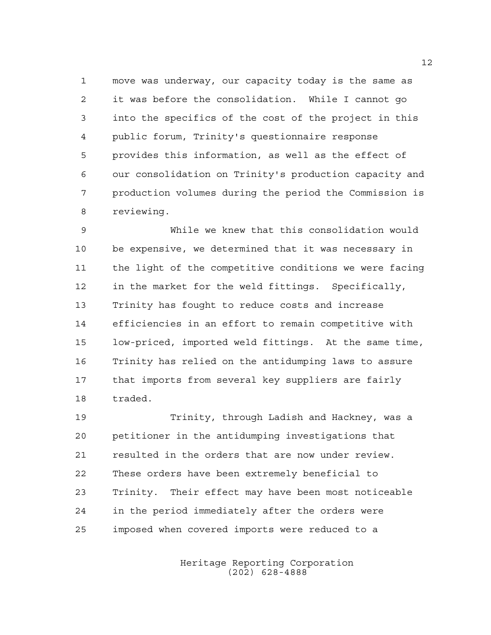move was underway, our capacity today is the same as it was before the consolidation. While I cannot go into the specifics of the cost of the project in this public forum, Trinity's questionnaire response provides this information, as well as the effect of our consolidation on Trinity's production capacity and production volumes during the period the Commission is reviewing.

 While we knew that this consolidation would be expensive, we determined that it was necessary in the light of the competitive conditions we were facing in the market for the weld fittings. Specifically, Trinity has fought to reduce costs and increase efficiencies in an effort to remain competitive with low-priced, imported weld fittings. At the same time, Trinity has relied on the antidumping laws to assure that imports from several key suppliers are fairly traded.

 Trinity, through Ladish and Hackney, was a petitioner in the antidumping investigations that resulted in the orders that are now under review. These orders have been extremely beneficial to Trinity. Their effect may have been most noticeable in the period immediately after the orders were imposed when covered imports were reduced to a

> Heritage Reporting Corporation (202) 628-4888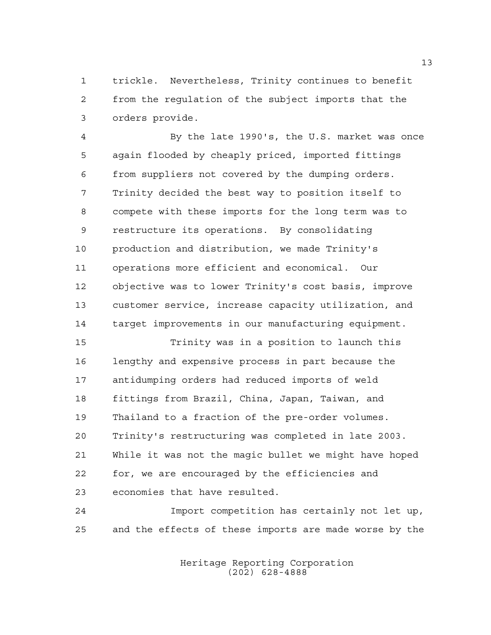trickle. Nevertheless, Trinity continues to benefit from the regulation of the subject imports that the orders provide.

 By the late 1990's, the U.S. market was once again flooded by cheaply priced, imported fittings from suppliers not covered by the dumping orders. Trinity decided the best way to position itself to compete with these imports for the long term was to restructure its operations. By consolidating production and distribution, we made Trinity's operations more efficient and economical. Our objective was to lower Trinity's cost basis, improve customer service, increase capacity utilization, and target improvements in our manufacturing equipment.

 Trinity was in a position to launch this lengthy and expensive process in part because the antidumping orders had reduced imports of weld fittings from Brazil, China, Japan, Taiwan, and Thailand to a fraction of the pre-order volumes. Trinity's restructuring was completed in late 2003. While it was not the magic bullet we might have hoped for, we are encouraged by the efficiencies and economies that have resulted.

 Import competition has certainly not let up, and the effects of these imports are made worse by the

> Heritage Reporting Corporation (202) 628-4888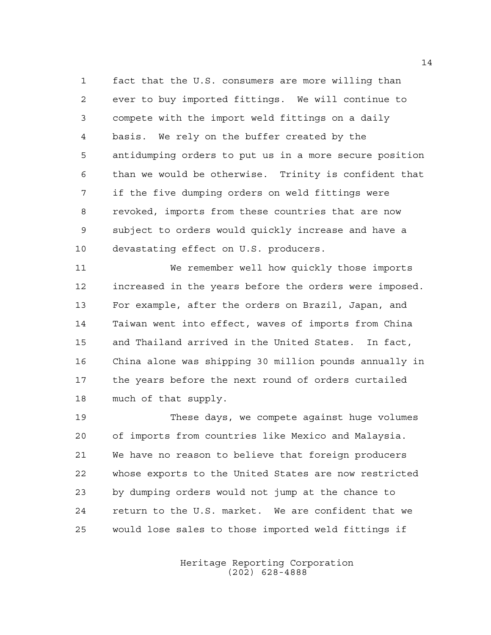fact that the U.S. consumers are more willing than ever to buy imported fittings. We will continue to compete with the import weld fittings on a daily basis. We rely on the buffer created by the antidumping orders to put us in a more secure position than we would be otherwise. Trinity is confident that if the five dumping orders on weld fittings were revoked, imports from these countries that are now subject to orders would quickly increase and have a devastating effect on U.S. producers.

 We remember well how quickly those imports increased in the years before the orders were imposed. For example, after the orders on Brazil, Japan, and Taiwan went into effect, waves of imports from China and Thailand arrived in the United States. In fact, China alone was shipping 30 million pounds annually in the years before the next round of orders curtailed much of that supply.

 These days, we compete against huge volumes of imports from countries like Mexico and Malaysia. We have no reason to believe that foreign producers whose exports to the United States are now restricted by dumping orders would not jump at the chance to return to the U.S. market. We are confident that we would lose sales to those imported weld fittings if

> Heritage Reporting Corporation (202) 628-4888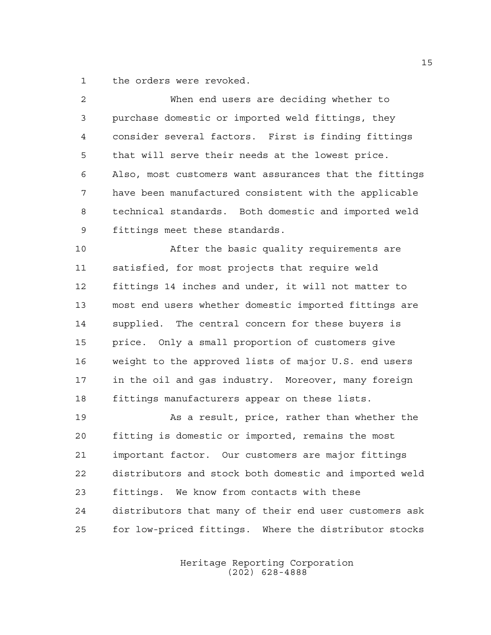the orders were revoked.

| $\overline{2}$ | When end users are deciding whether to                 |
|----------------|--------------------------------------------------------|
| 3              | purchase domestic or imported weld fittings, they      |
| 4              | consider several factors. First is finding fittings    |
| 5              | that will serve their needs at the lowest price.       |
| 6              | Also, most customers want assurances that the fittings |
| 7              | have been manufactured consistent with the applicable  |
| 8              | technical standards. Both domestic and imported weld   |
| 9              | fittings meet these standards.                         |
| 10             | After the basic quality requirements are               |
| 11             | satisfied, for most projects that require weld         |
| 12             | fittings 14 inches and under, it will not matter to    |
| 13             | most end users whether domestic imported fittings are  |
| 14             | supplied. The central concern for these buyers is      |
| 15             | price. Only a small proportion of customers give       |
| 16             | weight to the approved lists of major U.S. end users   |
| 17             | in the oil and gas industry. Moreover, many foreign    |
| 18             | fittings manufacturers appear on these lists.          |
| 19             | As a result, price, rather than whether the            |
| 20             | fitting is domestic or imported, remains the most      |
| 21             | important factor. Our customers are major fittings     |
| 22             | distributors and stock both domestic and imported weld |
| 23             | fittings. We know from contacts with these             |
| 24             | distributors that many of their end user customers ask |

Heritage Reporting Corporation (202) 628-4888

for low-priced fittings. Where the distributor stocks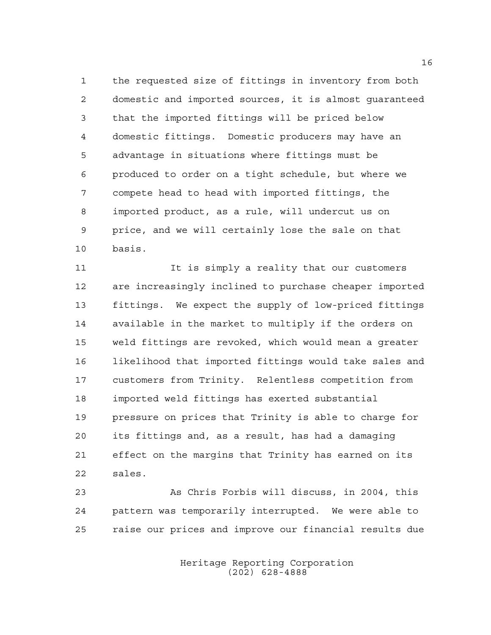the requested size of fittings in inventory from both domestic and imported sources, it is almost guaranteed that the imported fittings will be priced below domestic fittings. Domestic producers may have an advantage in situations where fittings must be produced to order on a tight schedule, but where we compete head to head with imported fittings, the imported product, as a rule, will undercut us on price, and we will certainly lose the sale on that basis.

11 11 It is simply a reality that our customers are increasingly inclined to purchase cheaper imported fittings. We expect the supply of low-priced fittings available in the market to multiply if the orders on weld fittings are revoked, which would mean a greater likelihood that imported fittings would take sales and customers from Trinity. Relentless competition from imported weld fittings has exerted substantial pressure on prices that Trinity is able to charge for its fittings and, as a result, has had a damaging effect on the margins that Trinity has earned on its sales.

 As Chris Forbis will discuss, in 2004, this pattern was temporarily interrupted. We were able to raise our prices and improve our financial results due

> Heritage Reporting Corporation (202) 628-4888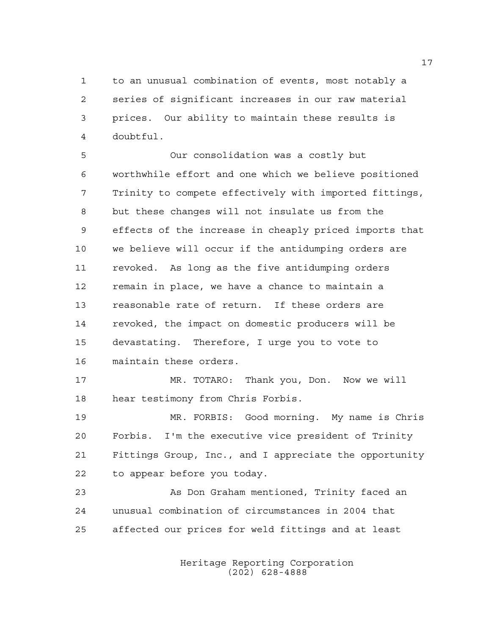to an unusual combination of events, most notably a series of significant increases in our raw material prices. Our ability to maintain these results is doubtful.

 Our consolidation was a costly but worthwhile effort and one which we believe positioned Trinity to compete effectively with imported fittings, but these changes will not insulate us from the effects of the increase in cheaply priced imports that we believe will occur if the antidumping orders are revoked. As long as the five antidumping orders remain in place, we have a chance to maintain a reasonable rate of return. If these orders are revoked, the impact on domestic producers will be devastating. Therefore, I urge you to vote to maintain these orders.

 MR. TOTARO: Thank you, Don. Now we will hear testimony from Chris Forbis.

 MR. FORBIS: Good morning. My name is Chris Forbis. I'm the executive vice president of Trinity Fittings Group, Inc., and I appreciate the opportunity to appear before you today.

 As Don Graham mentioned, Trinity faced an unusual combination of circumstances in 2004 that affected our prices for weld fittings and at least

> Heritage Reporting Corporation (202) 628-4888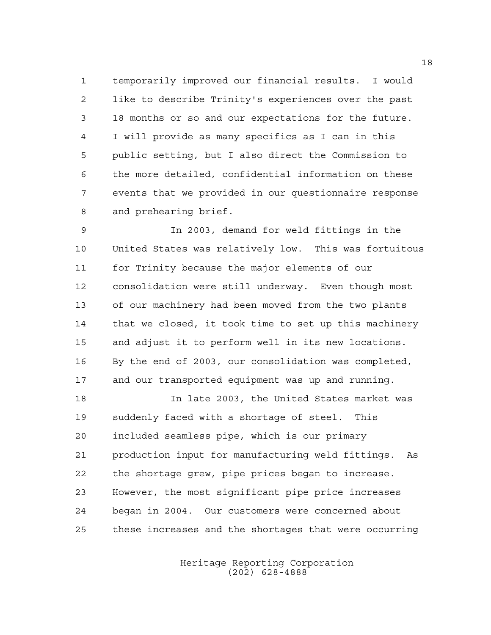temporarily improved our financial results. I would like to describe Trinity's experiences over the past 18 months or so and our expectations for the future. I will provide as many specifics as I can in this public setting, but I also direct the Commission to the more detailed, confidential information on these events that we provided in our questionnaire response and prehearing brief.

 In 2003, demand for weld fittings in the United States was relatively low. This was fortuitous for Trinity because the major elements of our consolidation were still underway. Even though most of our machinery had been moved from the two plants that we closed, it took time to set up this machinery and adjust it to perform well in its new locations. By the end of 2003, our consolidation was completed, and our transported equipment was up and running.

 In late 2003, the United States market was suddenly faced with a shortage of steel. This included seamless pipe, which is our primary production input for manufacturing weld fittings. As the shortage grew, pipe prices began to increase. However, the most significant pipe price increases began in 2004. Our customers were concerned about these increases and the shortages that were occurring

> Heritage Reporting Corporation (202) 628-4888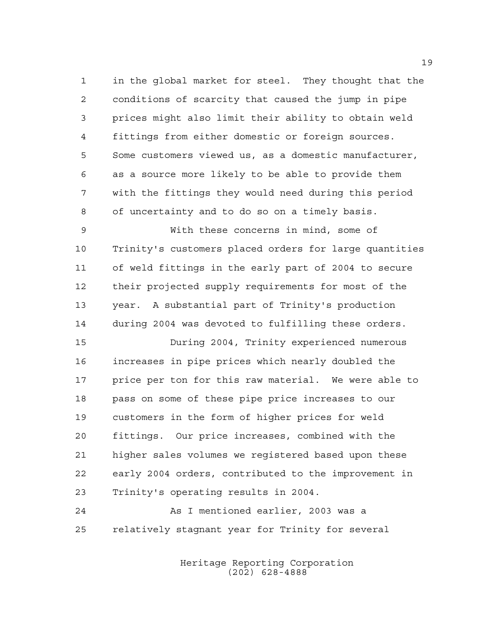in the global market for steel. They thought that the conditions of scarcity that caused the jump in pipe prices might also limit their ability to obtain weld fittings from either domestic or foreign sources. Some customers viewed us, as a domestic manufacturer, as a source more likely to be able to provide them with the fittings they would need during this period of uncertainty and to do so on a timely basis.

 With these concerns in mind, some of Trinity's customers placed orders for large quantities of weld fittings in the early part of 2004 to secure their projected supply requirements for most of the year. A substantial part of Trinity's production during 2004 was devoted to fulfilling these orders.

 During 2004, Trinity experienced numerous increases in pipe prices which nearly doubled the price per ton for this raw material. We were able to pass on some of these pipe price increases to our customers in the form of higher prices for weld fittings. Our price increases, combined with the higher sales volumes we registered based upon these early 2004 orders, contributed to the improvement in Trinity's operating results in 2004.

 As I mentioned earlier, 2003 was a relatively stagnant year for Trinity for several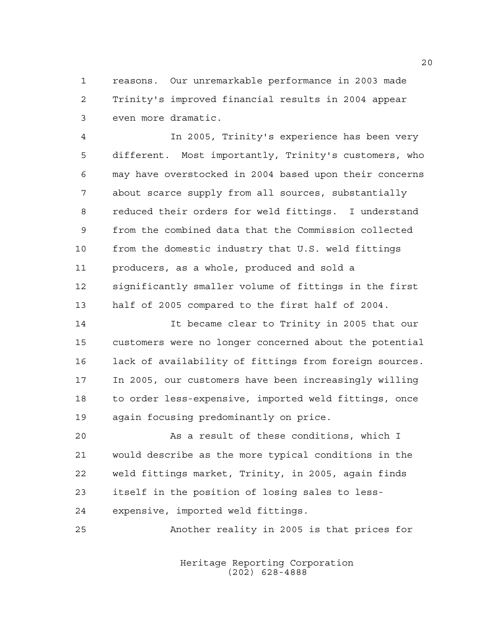reasons. Our unremarkable performance in 2003 made Trinity's improved financial results in 2004 appear even more dramatic.

 In 2005, Trinity's experience has been very different. Most importantly, Trinity's customers, who may have overstocked in 2004 based upon their concerns about scarce supply from all sources, substantially reduced their orders for weld fittings. I understand from the combined data that the Commission collected from the domestic industry that U.S. weld fittings producers, as a whole, produced and sold a significantly smaller volume of fittings in the first half of 2005 compared to the first half of 2004.

 It became clear to Trinity in 2005 that our customers were no longer concerned about the potential lack of availability of fittings from foreign sources. In 2005, our customers have been increasingly willing to order less-expensive, imported weld fittings, once again focusing predominantly on price.

 As a result of these conditions, which I would describe as the more typical conditions in the weld fittings market, Trinity, in 2005, again finds itself in the position of losing sales to less-expensive, imported weld fittings.

Another reality in 2005 is that prices for

Heritage Reporting Corporation (202) 628-4888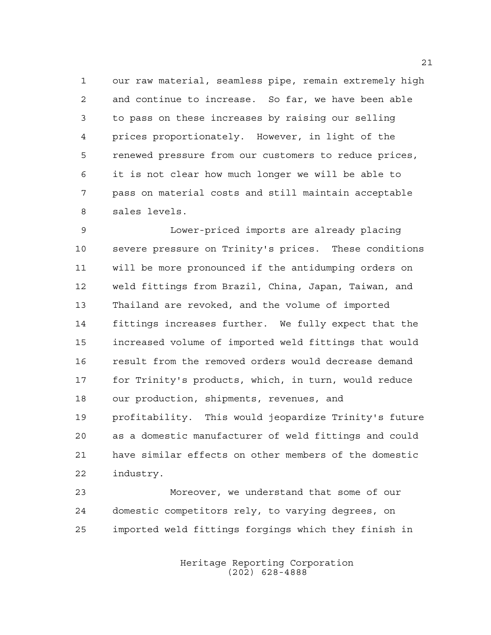our raw material, seamless pipe, remain extremely high and continue to increase. So far, we have been able to pass on these increases by raising our selling prices proportionately. However, in light of the renewed pressure from our customers to reduce prices, it is not clear how much longer we will be able to pass on material costs and still maintain acceptable sales levels.

 Lower-priced imports are already placing severe pressure on Trinity's prices. These conditions will be more pronounced if the antidumping orders on weld fittings from Brazil, China, Japan, Taiwan, and Thailand are revoked, and the volume of imported fittings increases further. We fully expect that the increased volume of imported weld fittings that would result from the removed orders would decrease demand for Trinity's products, which, in turn, would reduce our production, shipments, revenues, and profitability. This would jeopardize Trinity's future as a domestic manufacturer of weld fittings and could have similar effects on other members of the domestic industry.

 Moreover, we understand that some of our domestic competitors rely, to varying degrees, on imported weld fittings forgings which they finish in

> Heritage Reporting Corporation (202) 628-4888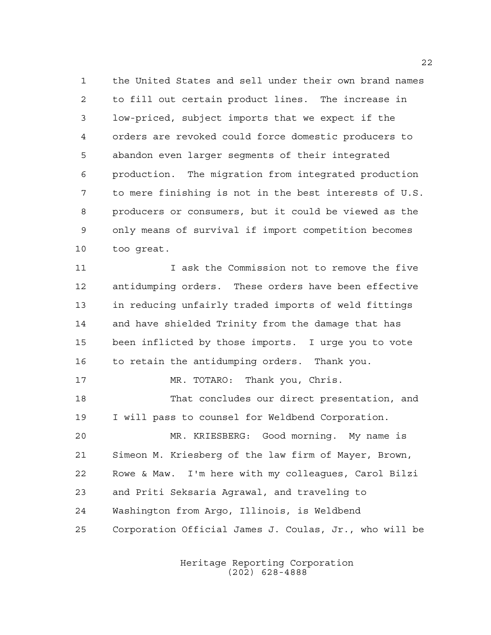the United States and sell under their own brand names to fill out certain product lines. The increase in low-priced, subject imports that we expect if the orders are revoked could force domestic producers to abandon even larger segments of their integrated production. The migration from integrated production to mere finishing is not in the best interests of U.S. producers or consumers, but it could be viewed as the only means of survival if import competition becomes too great.

 I ask the Commission not to remove the five antidumping orders. These orders have been effective in reducing unfairly traded imports of weld fittings and have shielded Trinity from the damage that has been inflicted by those imports. I urge you to vote to retain the antidumping orders. Thank you. MR. TOTARO: Thank you, Chris. That concludes our direct presentation, and I will pass to counsel for Weldbend Corporation. MR. KRIESBERG: Good morning. My name is Simeon M. Kriesberg of the law firm of Mayer, Brown,

 Rowe & Maw. I'm here with my colleagues, Carol Bilzi and Priti Seksaria Agrawal, and traveling to Washington from Argo, Illinois, is Weldbend

Corporation Official James J. Coulas, Jr., who will be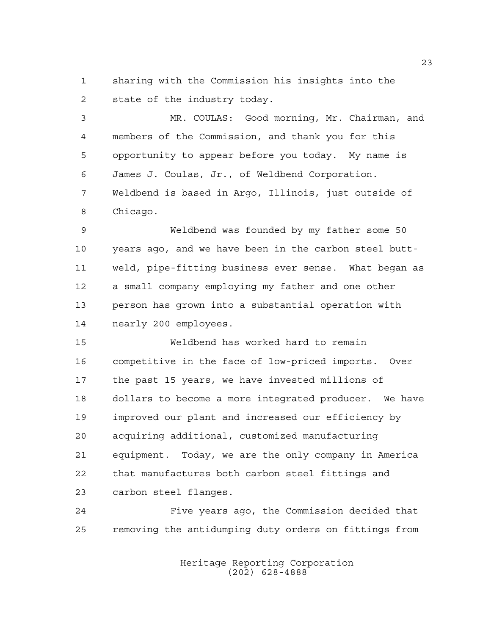sharing with the Commission his insights into the state of the industry today.

 MR. COULAS: Good morning, Mr. Chairman, and members of the Commission, and thank you for this opportunity to appear before you today. My name is James J. Coulas, Jr., of Weldbend Corporation. Weldbend is based in Argo, Illinois, just outside of Chicago.

 Weldbend was founded by my father some 50 years ago, and we have been in the carbon steel butt- weld, pipe-fitting business ever sense. What began as a small company employing my father and one other person has grown into a substantial operation with nearly 200 employees.

 Weldbend has worked hard to remain competitive in the face of low-priced imports. Over the past 15 years, we have invested millions of dollars to become a more integrated producer. We have improved our plant and increased our efficiency by acquiring additional, customized manufacturing equipment. Today, we are the only company in America that manufactures both carbon steel fittings and carbon steel flanges.

 Five years ago, the Commission decided that removing the antidumping duty orders on fittings from

> Heritage Reporting Corporation (202) 628-4888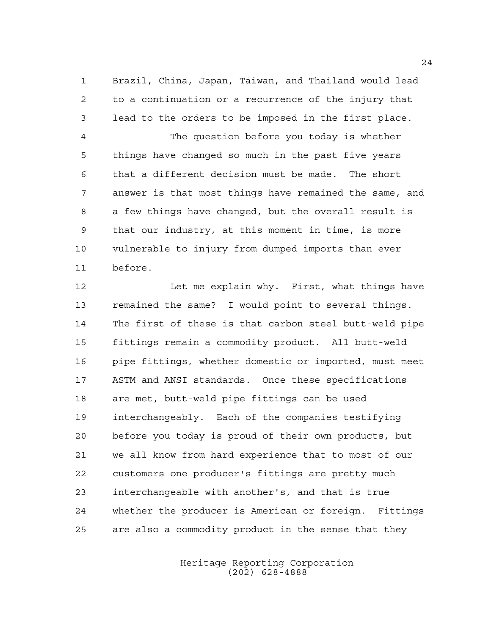Brazil, China, Japan, Taiwan, and Thailand would lead to a continuation or a recurrence of the injury that lead to the orders to be imposed in the first place. The question before you today is whether things have changed so much in the past five years that a different decision must be made. The short answer is that most things have remained the same, and a few things have changed, but the overall result is that our industry, at this moment in time, is more vulnerable to injury from dumped imports than ever before.

 Let me explain why. First, what things have remained the same? I would point to several things. The first of these is that carbon steel butt-weld pipe fittings remain a commodity product. All butt-weld pipe fittings, whether domestic or imported, must meet ASTM and ANSI standards. Once these specifications are met, butt-weld pipe fittings can be used interchangeably. Each of the companies testifying before you today is proud of their own products, but we all know from hard experience that to most of our customers one producer's fittings are pretty much interchangeable with another's, and that is true whether the producer is American or foreign. Fittings are also a commodity product in the sense that they

> Heritage Reporting Corporation (202) 628-4888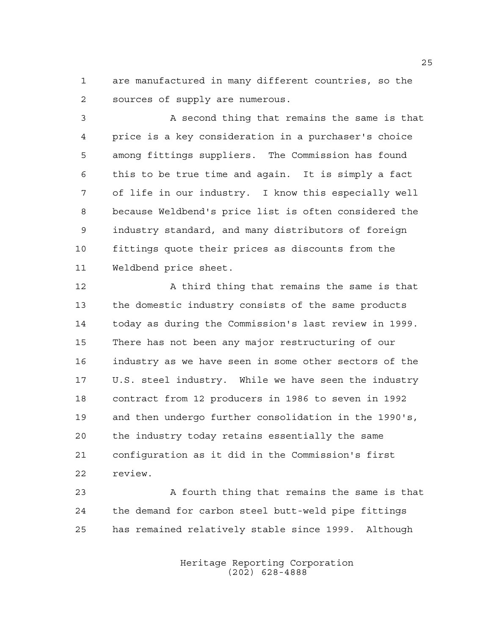are manufactured in many different countries, so the sources of supply are numerous.

 A second thing that remains the same is that price is a key consideration in a purchaser's choice among fittings suppliers. The Commission has found this to be true time and again. It is simply a fact of life in our industry. I know this especially well because Weldbend's price list is often considered the industry standard, and many distributors of foreign fittings quote their prices as discounts from the Weldbend price sheet.

 A third thing that remains the same is that the domestic industry consists of the same products today as during the Commission's last review in 1999. There has not been any major restructuring of our industry as we have seen in some other sectors of the U.S. steel industry. While we have seen the industry contract from 12 producers in 1986 to seven in 1992 and then undergo further consolidation in the 1990's, the industry today retains essentially the same configuration as it did in the Commission's first review.

23 A fourth thing that remains the same is that the demand for carbon steel butt-weld pipe fittings has remained relatively stable since 1999. Although

> Heritage Reporting Corporation (202) 628-4888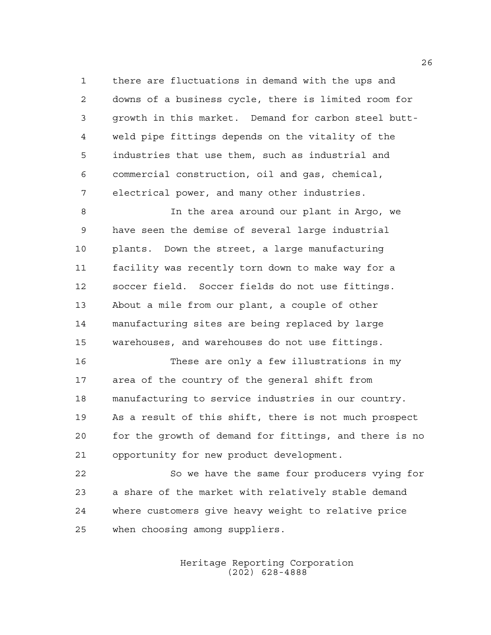there are fluctuations in demand with the ups and downs of a business cycle, there is limited room for growth in this market. Demand for carbon steel butt- weld pipe fittings depends on the vitality of the industries that use them, such as industrial and commercial construction, oil and gas, chemical, electrical power, and many other industries.

 In the area around our plant in Argo, we have seen the demise of several large industrial plants. Down the street, a large manufacturing facility was recently torn down to make way for a soccer field. Soccer fields do not use fittings. About a mile from our plant, a couple of other manufacturing sites are being replaced by large warehouses, and warehouses do not use fittings.

 These are only a few illustrations in my area of the country of the general shift from manufacturing to service industries in our country. As a result of this shift, there is not much prospect for the growth of demand for fittings, and there is no opportunity for new product development.

 So we have the same four producers vying for a share of the market with relatively stable demand where customers give heavy weight to relative price when choosing among suppliers.

> Heritage Reporting Corporation (202) 628-4888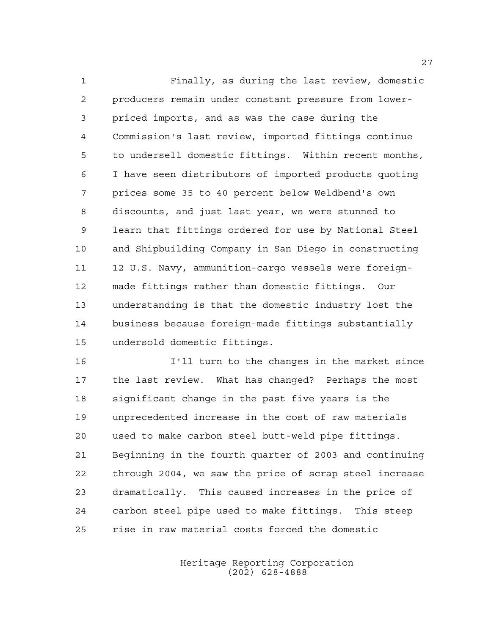Finally, as during the last review, domestic producers remain under constant pressure from lower- priced imports, and as was the case during the Commission's last review, imported fittings continue to undersell domestic fittings. Within recent months, I have seen distributors of imported products quoting prices some 35 to 40 percent below Weldbend's own discounts, and just last year, we were stunned to learn that fittings ordered for use by National Steel and Shipbuilding Company in San Diego in constructing 12 U.S. Navy, ammunition-cargo vessels were foreign- made fittings rather than domestic fittings. Our understanding is that the domestic industry lost the business because foreign-made fittings substantially undersold domestic fittings.

 I'll turn to the changes in the market since the last review. What has changed? Perhaps the most significant change in the past five years is the unprecedented increase in the cost of raw materials used to make carbon steel butt-weld pipe fittings. Beginning in the fourth quarter of 2003 and continuing through 2004, we saw the price of scrap steel increase dramatically. This caused increases in the price of carbon steel pipe used to make fittings. This steep rise in raw material costs forced the domestic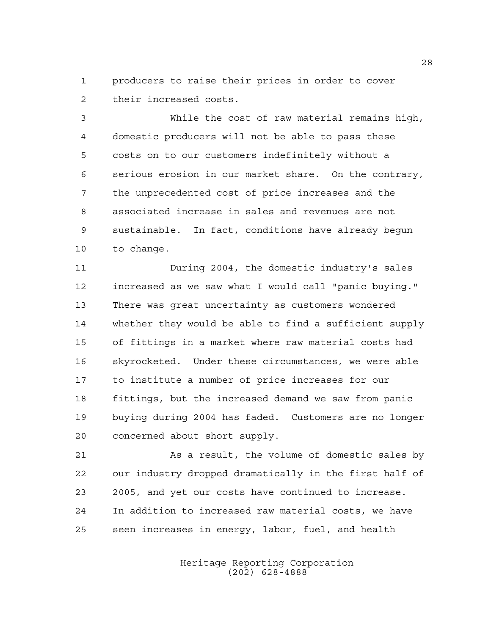producers to raise their prices in order to cover their increased costs.

 While the cost of raw material remains high, domestic producers will not be able to pass these costs on to our customers indefinitely without a serious erosion in our market share. On the contrary, the unprecedented cost of price increases and the associated increase in sales and revenues are not sustainable. In fact, conditions have already begun to change.

 During 2004, the domestic industry's sales increased as we saw what I would call "panic buying." There was great uncertainty as customers wondered whether they would be able to find a sufficient supply of fittings in a market where raw material costs had skyrocketed. Under these circumstances, we were able to institute a number of price increases for our fittings, but the increased demand we saw from panic buying during 2004 has faded. Customers are no longer concerned about short supply.

 As a result, the volume of domestic sales by our industry dropped dramatically in the first half of 2005, and yet our costs have continued to increase. In addition to increased raw material costs, we have seen increases in energy, labor, fuel, and health

> Heritage Reporting Corporation (202) 628-4888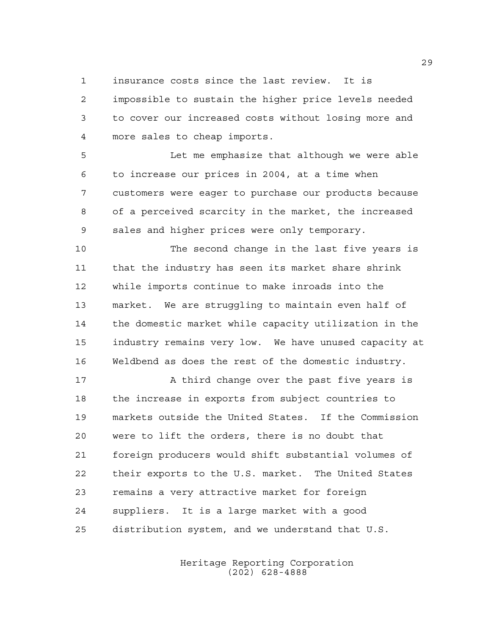insurance costs since the last review. It is

 impossible to sustain the higher price levels needed to cover our increased costs without losing more and more sales to cheap imports.

 Let me emphasize that although we were able to increase our prices in 2004, at a time when customers were eager to purchase our products because of a perceived scarcity in the market, the increased sales and higher prices were only temporary.

 The second change in the last five years is that the industry has seen its market share shrink while imports continue to make inroads into the market. We are struggling to maintain even half of the domestic market while capacity utilization in the industry remains very low. We have unused capacity at Weldbend as does the rest of the domestic industry.

 A third change over the past five years is the increase in exports from subject countries to markets outside the United States. If the Commission were to lift the orders, there is no doubt that foreign producers would shift substantial volumes of their exports to the U.S. market. The United States remains a very attractive market for foreign suppliers. It is a large market with a good distribution system, and we understand that U.S.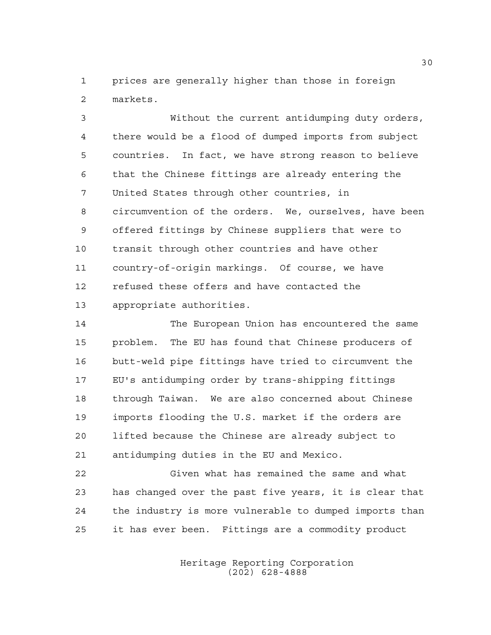prices are generally higher than those in foreign markets.

 Without the current antidumping duty orders, there would be a flood of dumped imports from subject countries. In fact, we have strong reason to believe that the Chinese fittings are already entering the United States through other countries, in circumvention of the orders. We, ourselves, have been offered fittings by Chinese suppliers that were to transit through other countries and have other country-of-origin markings. Of course, we have refused these offers and have contacted the appropriate authorities.

 The European Union has encountered the same problem. The EU has found that Chinese producers of butt-weld pipe fittings have tried to circumvent the EU's antidumping order by trans-shipping fittings through Taiwan. We are also concerned about Chinese imports flooding the U.S. market if the orders are lifted because the Chinese are already subject to antidumping duties in the EU and Mexico.

 Given what has remained the same and what has changed over the past five years, it is clear that the industry is more vulnerable to dumped imports than it has ever been. Fittings are a commodity product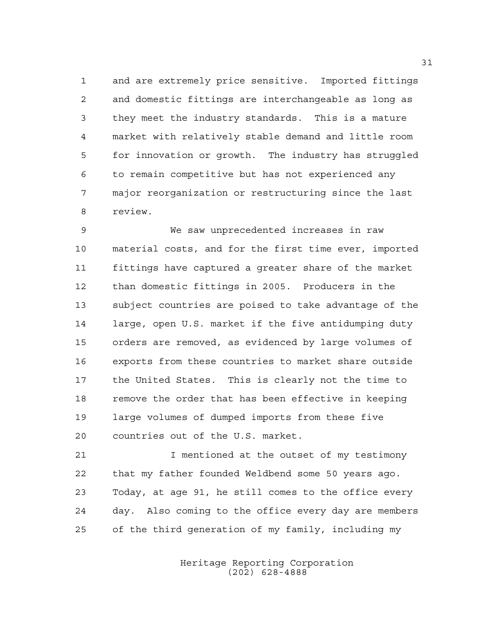and are extremely price sensitive. Imported fittings and domestic fittings are interchangeable as long as they meet the industry standards. This is a mature market with relatively stable demand and little room for innovation or growth. The industry has struggled to remain competitive but has not experienced any major reorganization or restructuring since the last review.

 We saw unprecedented increases in raw material costs, and for the first time ever, imported fittings have captured a greater share of the market than domestic fittings in 2005. Producers in the subject countries are poised to take advantage of the large, open U.S. market if the five antidumping duty orders are removed, as evidenced by large volumes of exports from these countries to market share outside the United States. This is clearly not the time to remove the order that has been effective in keeping large volumes of dumped imports from these five countries out of the U.S. market.

 I mentioned at the outset of my testimony that my father founded Weldbend some 50 years ago. Today, at age 91, he still comes to the office every day. Also coming to the office every day are members of the third generation of my family, including my

> Heritage Reporting Corporation (202) 628-4888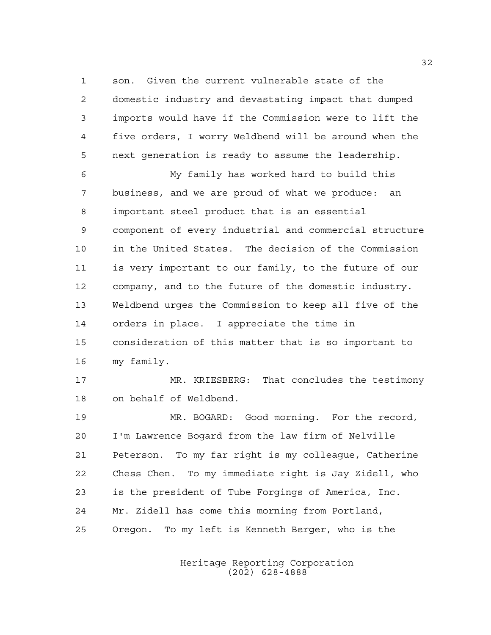son. Given the current vulnerable state of the domestic industry and devastating impact that dumped imports would have if the Commission were to lift the five orders, I worry Weldbend will be around when the next generation is ready to assume the leadership.

 My family has worked hard to build this business, and we are proud of what we produce: an important steel product that is an essential component of every industrial and commercial structure in the United States. The decision of the Commission is very important to our family, to the future of our company, and to the future of the domestic industry. Weldbend urges the Commission to keep all five of the orders in place. I appreciate the time in consideration of this matter that is so important to my family.

 MR. KRIESBERG: That concludes the testimony on behalf of Weldbend.

 MR. BOGARD: Good morning. For the record, I'm Lawrence Bogard from the law firm of Nelville Peterson. To my far right is my colleague, Catherine Chess Chen. To my immediate right is Jay Zidell, who is the president of Tube Forgings of America, Inc. Mr. Zidell has come this morning from Portland, Oregon. To my left is Kenneth Berger, who is the

> Heritage Reporting Corporation (202) 628-4888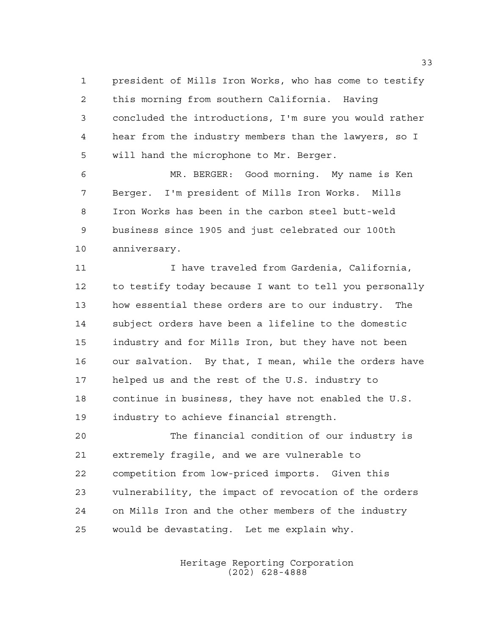president of Mills Iron Works, who has come to testify this morning from southern California. Having concluded the introductions, I'm sure you would rather hear from the industry members than the lawyers, so I will hand the microphone to Mr. Berger.

 MR. BERGER: Good morning. My name is Ken Berger. I'm president of Mills Iron Works. Mills Iron Works has been in the carbon steel butt-weld business since 1905 and just celebrated our 100th anniversary.

11 12 I have traveled from Gardenia, California, to testify today because I want to tell you personally how essential these orders are to our industry. The subject orders have been a lifeline to the domestic industry and for Mills Iron, but they have not been our salvation. By that, I mean, while the orders have helped us and the rest of the U.S. industry to continue in business, they have not enabled the U.S. industry to achieve financial strength.

 The financial condition of our industry is extremely fragile, and we are vulnerable to competition from low-priced imports. Given this vulnerability, the impact of revocation of the orders on Mills Iron and the other members of the industry would be devastating. Let me explain why.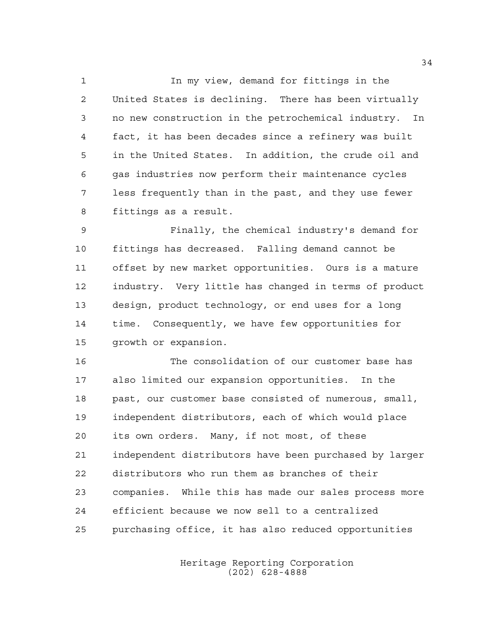In my view, demand for fittings in the United States is declining. There has been virtually no new construction in the petrochemical industry. In fact, it has been decades since a refinery was built in the United States. In addition, the crude oil and gas industries now perform their maintenance cycles less frequently than in the past, and they use fewer fittings as a result.

 Finally, the chemical industry's demand for fittings has decreased. Falling demand cannot be offset by new market opportunities. Ours is a mature industry. Very little has changed in terms of product design, product technology, or end uses for a long time. Consequently, we have few opportunities for growth or expansion.

 The consolidation of our customer base has also limited our expansion opportunities. In the past, our customer base consisted of numerous, small, independent distributors, each of which would place its own orders. Many, if not most, of these independent distributors have been purchased by larger distributors who run them as branches of their companies. While this has made our sales process more efficient because we now sell to a centralized purchasing office, it has also reduced opportunities

> Heritage Reporting Corporation (202) 628-4888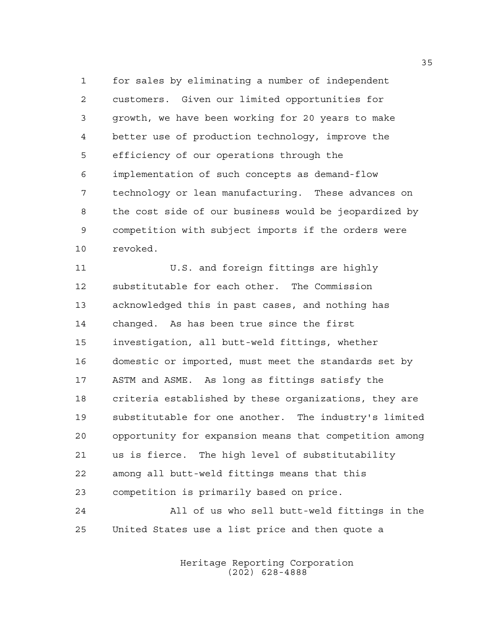for sales by eliminating a number of independent customers. Given our limited opportunities for growth, we have been working for 20 years to make better use of production technology, improve the efficiency of our operations through the implementation of such concepts as demand-flow technology or lean manufacturing. These advances on the cost side of our business would be jeopardized by competition with subject imports if the orders were revoked.

 U.S. and foreign fittings are highly substitutable for each other. The Commission acknowledged this in past cases, and nothing has changed. As has been true since the first investigation, all butt-weld fittings, whether domestic or imported, must meet the standards set by ASTM and ASME. As long as fittings satisfy the criteria established by these organizations, they are substitutable for one another. The industry's limited opportunity for expansion means that competition among us is fierce. The high level of substitutability among all butt-weld fittings means that this competition is primarily based on price. All of us who sell butt-weld fittings in the

United States use a list price and then quote a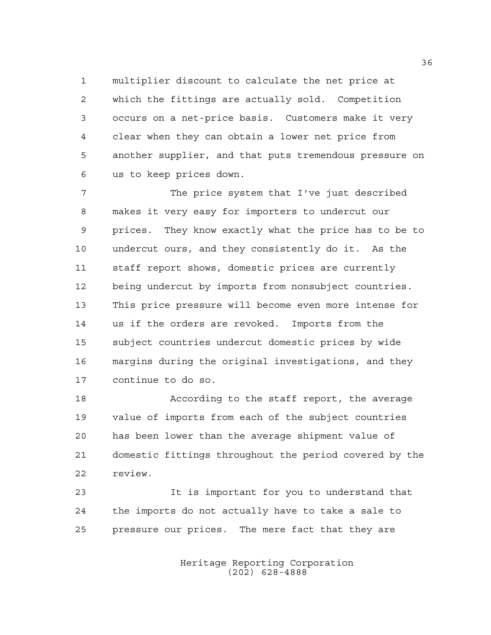multiplier discount to calculate the net price at which the fittings are actually sold. Competition occurs on a net-price basis. Customers make it very clear when they can obtain a lower net price from another supplier, and that puts tremendous pressure on us to keep prices down.

 The price system that I've just described makes it very easy for importers to undercut our prices. They know exactly what the price has to be to undercut ours, and they consistently do it. As the staff report shows, domestic prices are currently being undercut by imports from nonsubject countries. This price pressure will become even more intense for us if the orders are revoked. Imports from the subject countries undercut domestic prices by wide margins during the original investigations, and they continue to do so.

 According to the staff report, the average value of imports from each of the subject countries has been lower than the average shipment value of domestic fittings throughout the period covered by the review.

 It is important for you to understand that the imports do not actually have to take a sale to pressure our prices. The mere fact that they are

> Heritage Reporting Corporation (202) 628-4888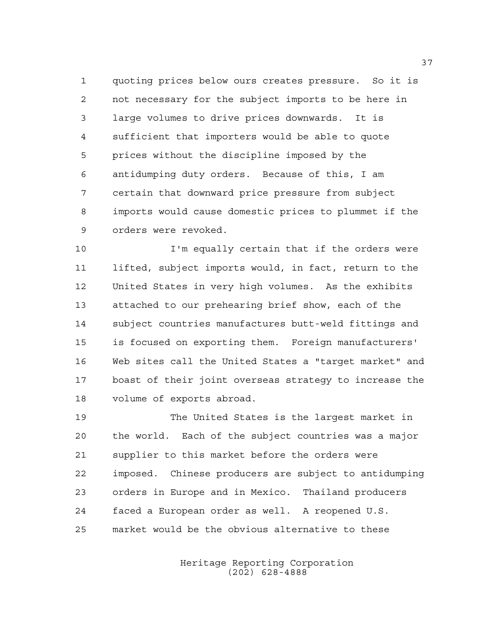quoting prices below ours creates pressure. So it is not necessary for the subject imports to be here in large volumes to drive prices downwards. It is sufficient that importers would be able to quote prices without the discipline imposed by the antidumping duty orders. Because of this, I am certain that downward price pressure from subject imports would cause domestic prices to plummet if the orders were revoked.

 I'm equally certain that if the orders were lifted, subject imports would, in fact, return to the United States in very high volumes. As the exhibits attached to our prehearing brief show, each of the subject countries manufactures butt-weld fittings and is focused on exporting them. Foreign manufacturers' Web sites call the United States a "target market" and boast of their joint overseas strategy to increase the volume of exports abroad.

 The United States is the largest market in the world. Each of the subject countries was a major supplier to this market before the orders were imposed. Chinese producers are subject to antidumping orders in Europe and in Mexico. Thailand producers faced a European order as well. A reopened U.S. market would be the obvious alternative to these

> Heritage Reporting Corporation (202) 628-4888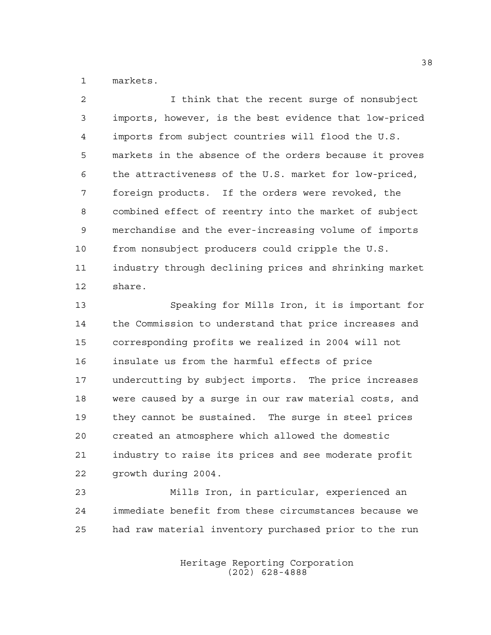markets.

 I think that the recent surge of nonsubject imports, however, is the best evidence that low-priced imports from subject countries will flood the U.S. markets in the absence of the orders because it proves the attractiveness of the U.S. market for low-priced, foreign products. If the orders were revoked, the combined effect of reentry into the market of subject merchandise and the ever-increasing volume of imports from nonsubject producers could cripple the U.S. industry through declining prices and shrinking market share.

 Speaking for Mills Iron, it is important for the Commission to understand that price increases and corresponding profits we realized in 2004 will not insulate us from the harmful effects of price undercutting by subject imports. The price increases were caused by a surge in our raw material costs, and they cannot be sustained. The surge in steel prices created an atmosphere which allowed the domestic industry to raise its prices and see moderate profit growth during 2004.

 Mills Iron, in particular, experienced an immediate benefit from these circumstances because we had raw material inventory purchased prior to the run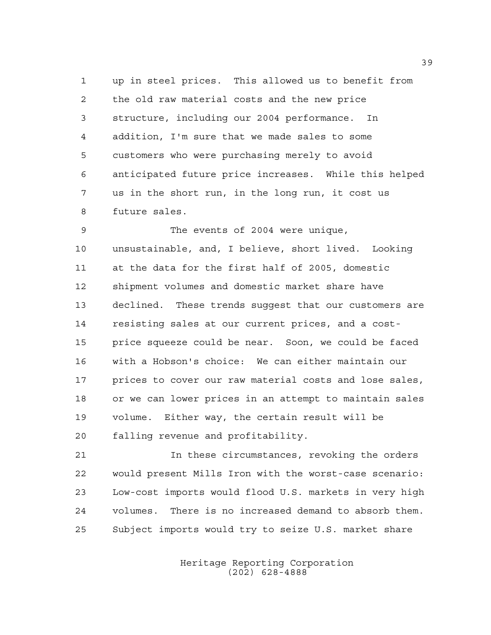up in steel prices. This allowed us to benefit from the old raw material costs and the new price structure, including our 2004 performance. In addition, I'm sure that we made sales to some customers who were purchasing merely to avoid anticipated future price increases. While this helped us in the short run, in the long run, it cost us future sales.

 The events of 2004 were unique, unsustainable, and, I believe, short lived. Looking at the data for the first half of 2005, domestic shipment volumes and domestic market share have declined. These trends suggest that our customers are resisting sales at our current prices, and a cost- price squeeze could be near. Soon, we could be faced with a Hobson's choice: We can either maintain our prices to cover our raw material costs and lose sales, or we can lower prices in an attempt to maintain sales volume. Either way, the certain result will be falling revenue and profitability.

 In these circumstances, revoking the orders would present Mills Iron with the worst-case scenario: Low-cost imports would flood U.S. markets in very high volumes. There is no increased demand to absorb them. Subject imports would try to seize U.S. market share

> Heritage Reporting Corporation (202) 628-4888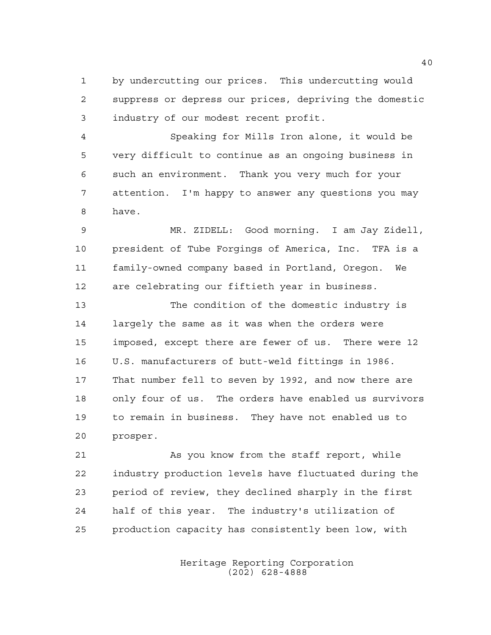by undercutting our prices. This undercutting would suppress or depress our prices, depriving the domestic industry of our modest recent profit.

 Speaking for Mills Iron alone, it would be very difficult to continue as an ongoing business in such an environment. Thank you very much for your attention. I'm happy to answer any questions you may have.

 MR. ZIDELL: Good morning. I am Jay Zidell, president of Tube Forgings of America, Inc. TFA is a family-owned company based in Portland, Oregon. We are celebrating our fiftieth year in business.

 The condition of the domestic industry is largely the same as it was when the orders were imposed, except there are fewer of us. There were 12 U.S. manufacturers of butt-weld fittings in 1986. That number fell to seven by 1992, and now there are only four of us. The orders have enabled us survivors to remain in business. They have not enabled us to prosper.

 As you know from the staff report, while industry production levels have fluctuated during the period of review, they declined sharply in the first half of this year. The industry's utilization of production capacity has consistently been low, with

> Heritage Reporting Corporation (202) 628-4888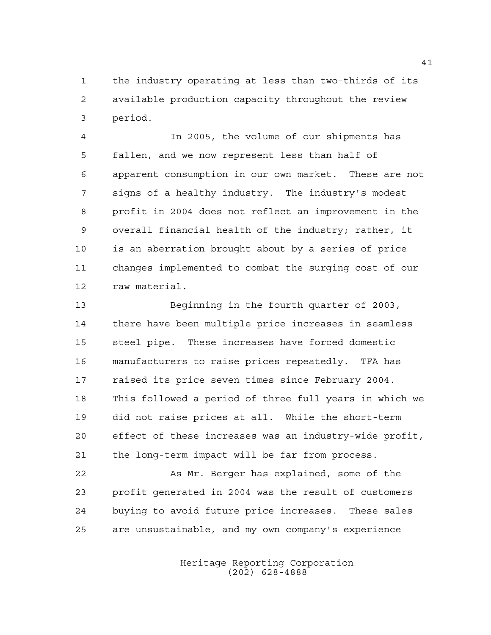the industry operating at less than two-thirds of its available production capacity throughout the review period.

 In 2005, the volume of our shipments has fallen, and we now represent less than half of apparent consumption in our own market. These are not signs of a healthy industry. The industry's modest profit in 2004 does not reflect an improvement in the overall financial health of the industry; rather, it is an aberration brought about by a series of price changes implemented to combat the surging cost of our raw material.

 Beginning in the fourth quarter of 2003, there have been multiple price increases in seamless steel pipe. These increases have forced domestic manufacturers to raise prices repeatedly. TFA has raised its price seven times since February 2004. This followed a period of three full years in which we did not raise prices at all. While the short-term effect of these increases was an industry-wide profit, the long-term impact will be far from process.

 As Mr. Berger has explained, some of the profit generated in 2004 was the result of customers buying to avoid future price increases. These sales are unsustainable, and my own company's experience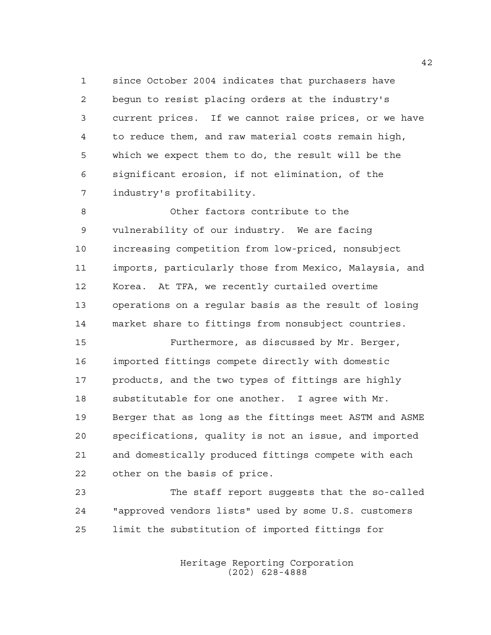since October 2004 indicates that purchasers have begun to resist placing orders at the industry's current prices. If we cannot raise prices, or we have to reduce them, and raw material costs remain high, which we expect them to do, the result will be the significant erosion, if not elimination, of the industry's profitability.

 Other factors contribute to the vulnerability of our industry. We are facing increasing competition from low-priced, nonsubject imports, particularly those from Mexico, Malaysia, and Korea. At TFA, we recently curtailed overtime operations on a regular basis as the result of losing market share to fittings from nonsubject countries.

 Furthermore, as discussed by Mr. Berger, imported fittings compete directly with domestic products, and the two types of fittings are highly substitutable for one another. I agree with Mr. Berger that as long as the fittings meet ASTM and ASME specifications, quality is not an issue, and imported and domestically produced fittings compete with each other on the basis of price.

 The staff report suggests that the so-called "approved vendors lists" used by some U.S. customers limit the substitution of imported fittings for

> Heritage Reporting Corporation (202) 628-4888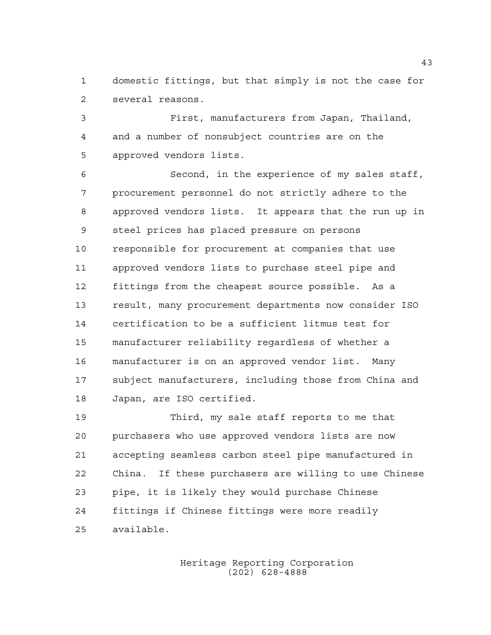domestic fittings, but that simply is not the case for several reasons.

 First, manufacturers from Japan, Thailand, and a number of nonsubject countries are on the approved vendors lists.

 Second, in the experience of my sales staff, procurement personnel do not strictly adhere to the approved vendors lists. It appears that the run up in steel prices has placed pressure on persons responsible for procurement at companies that use approved vendors lists to purchase steel pipe and fittings from the cheapest source possible. As a result, many procurement departments now consider ISO certification to be a sufficient litmus test for manufacturer reliability regardless of whether a manufacturer is on an approved vendor list. Many subject manufacturers, including those from China and Japan, are ISO certified.

 Third, my sale staff reports to me that purchasers who use approved vendors lists are now accepting seamless carbon steel pipe manufactured in China. If these purchasers are willing to use Chinese pipe, it is likely they would purchase Chinese fittings if Chinese fittings were more readily available.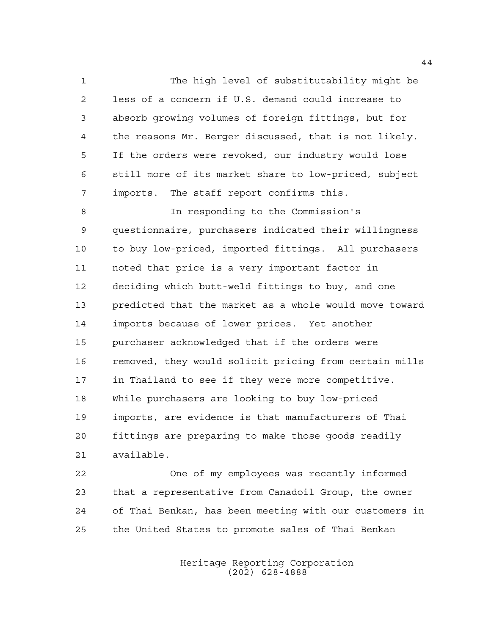The high level of substitutability might be less of a concern if U.S. demand could increase to absorb growing volumes of foreign fittings, but for the reasons Mr. Berger discussed, that is not likely. If the orders were revoked, our industry would lose still more of its market share to low-priced, subject imports. The staff report confirms this.

 In responding to the Commission's questionnaire, purchasers indicated their willingness to buy low-priced, imported fittings. All purchasers noted that price is a very important factor in deciding which butt-weld fittings to buy, and one predicted that the market as a whole would move toward imports because of lower prices. Yet another purchaser acknowledged that if the orders were removed, they would solicit pricing from certain mills in Thailand to see if they were more competitive. While purchasers are looking to buy low-priced imports, are evidence is that manufacturers of Thai fittings are preparing to make those goods readily available.

 One of my employees was recently informed that a representative from Canadoil Group, the owner of Thai Benkan, has been meeting with our customers in the United States to promote sales of Thai Benkan

> Heritage Reporting Corporation (202) 628-4888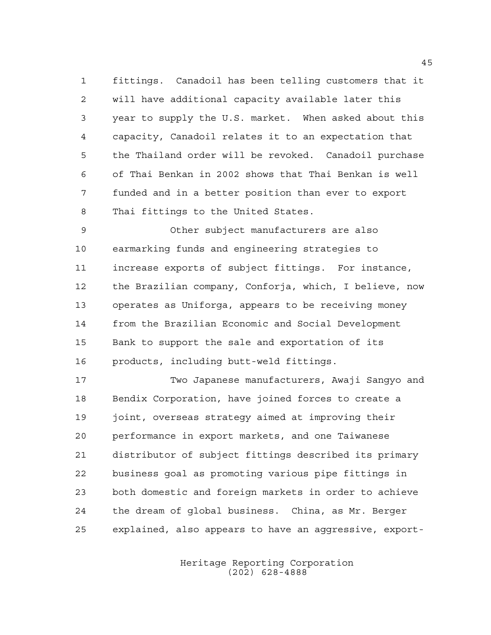fittings. Canadoil has been telling customers that it will have additional capacity available later this year to supply the U.S. market. When asked about this capacity, Canadoil relates it to an expectation that the Thailand order will be revoked. Canadoil purchase of Thai Benkan in 2002 shows that Thai Benkan is well funded and in a better position than ever to export Thai fittings to the United States.

 Other subject manufacturers are also earmarking funds and engineering strategies to increase exports of subject fittings. For instance, the Brazilian company, Conforja, which, I believe, now operates as Uniforga, appears to be receiving money from the Brazilian Economic and Social Development Bank to support the sale and exportation of its products, including butt-weld fittings.

 Two Japanese manufacturers, Awaji Sangyo and Bendix Corporation, have joined forces to create a joint, overseas strategy aimed at improving their performance in export markets, and one Taiwanese distributor of subject fittings described its primary business goal as promoting various pipe fittings in both domestic and foreign markets in order to achieve the dream of global business. China, as Mr. Berger explained, also appears to have an aggressive, export-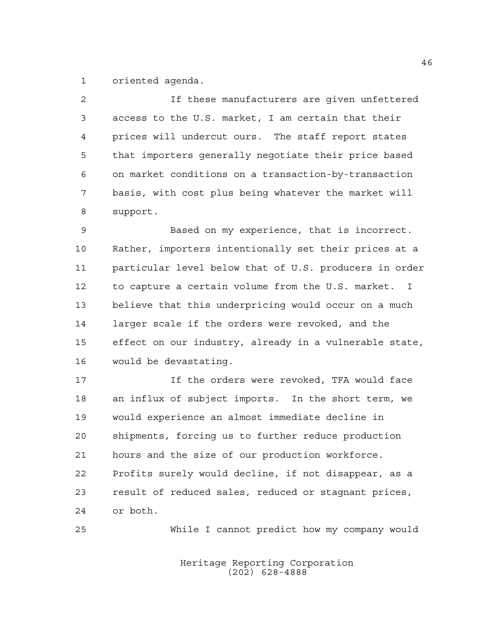oriented agenda.

| $\overline{2}$ | If these manufacturers are given unfettered            |
|----------------|--------------------------------------------------------|
| $\mathfrak{Z}$ | access to the U.S. market, I am certain that their     |
| 4              | prices will undercut ours. The staff report states     |
| 5              | that importers generally negotiate their price based   |
| 6              | on market conditions on a transaction-by-transaction   |
| 7              | basis, with cost plus being whatever the market will   |
| 8              | support.                                               |
| 9              | Based on my experience, that is incorrect.             |
| 10             | Rather, importers intentionally set their prices at a  |
| 11             | particular level below that of U.S. producers in order |
| 12             | to capture a certain volume from the U.S. market. I    |
| 13             | believe that this underpricing would occur on a much   |
| 14             | larger scale if the orders were revoked, and the       |
| 15             | effect on our industry, already in a vulnerable state, |
| 16             | would be devastating.                                  |
|                |                                                        |

17 17 If the orders were revoked, TFA would face an influx of subject imports. In the short term, we would experience an almost immediate decline in shipments, forcing us to further reduce production hours and the size of our production workforce. Profits surely would decline, if not disappear, as a result of reduced sales, reduced or stagnant prices, or both.

While I cannot predict how my company would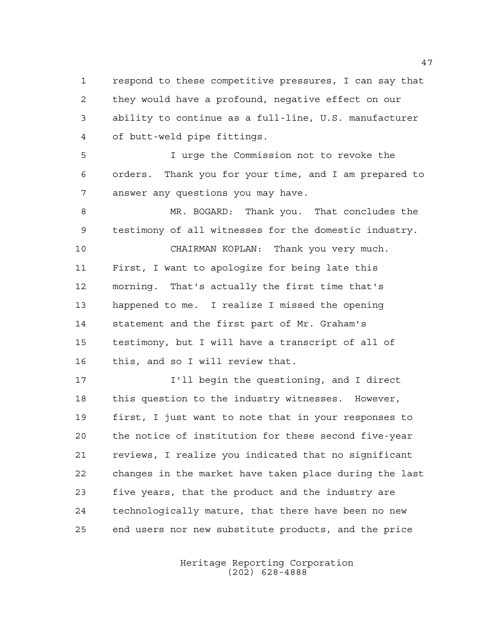respond to these competitive pressures, I can say that they would have a profound, negative effect on our ability to continue as a full-line, U.S. manufacturer of butt-weld pipe fittings.

 I urge the Commission not to revoke the orders. Thank you for your time, and I am prepared to answer any questions you may have.

 MR. BOGARD: Thank you. That concludes the testimony of all witnesses for the domestic industry.

 CHAIRMAN KOPLAN: Thank you very much. First, I want to apologize for being late this morning. That's actually the first time that's happened to me. I realize I missed the opening statement and the first part of Mr. Graham's testimony, but I will have a transcript of all of this, and so I will review that.

 I'll begin the questioning, and I direct this question to the industry witnesses. However, first, I just want to note that in your responses to the notice of institution for these second five-year reviews, I realize you indicated that no significant changes in the market have taken place during the last five years, that the product and the industry are technologically mature, that there have been no new end users nor new substitute products, and the price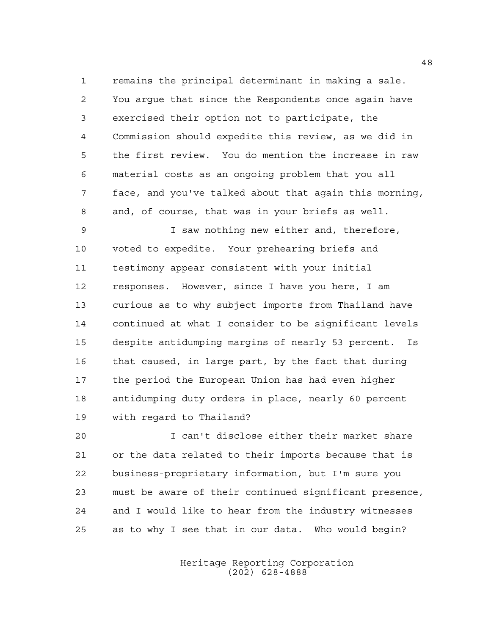remains the principal determinant in making a sale. You argue that since the Respondents once again have exercised their option not to participate, the Commission should expedite this review, as we did in the first review. You do mention the increase in raw material costs as an ongoing problem that you all face, and you've talked about that again this morning, and, of course, that was in your briefs as well.

 I saw nothing new either and, therefore, voted to expedite. Your prehearing briefs and testimony appear consistent with your initial responses. However, since I have you here, I am curious as to why subject imports from Thailand have continued at what I consider to be significant levels despite antidumping margins of nearly 53 percent. Is that caused, in large part, by the fact that during the period the European Union has had even higher antidumping duty orders in place, nearly 60 percent with regard to Thailand?

 I can't disclose either their market share or the data related to their imports because that is business-proprietary information, but I'm sure you must be aware of their continued significant presence, and I would like to hear from the industry witnesses as to why I see that in our data. Who would begin?

> Heritage Reporting Corporation (202) 628-4888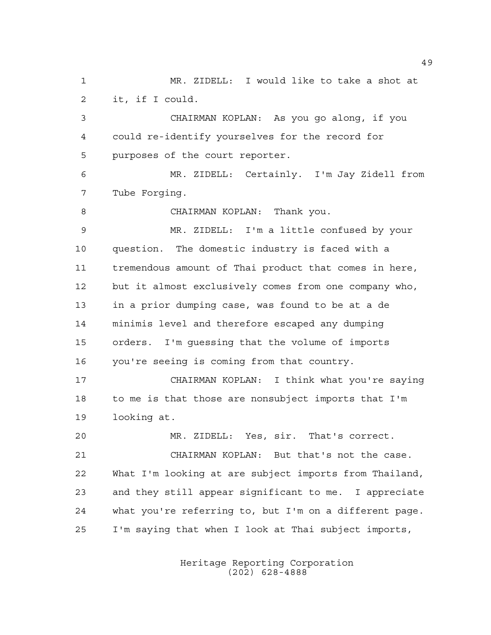MR. ZIDELL: I would like to take a shot at it, if I could. CHAIRMAN KOPLAN: As you go along, if you could re-identify yourselves for the record for purposes of the court reporter. MR. ZIDELL: Certainly. I'm Jay Zidell from Tube Forging. CHAIRMAN KOPLAN: Thank you. MR. ZIDELL: I'm a little confused by your question. The domestic industry is faced with a tremendous amount of Thai product that comes in here, but it almost exclusively comes from one company who, in a prior dumping case, was found to be at a de minimis level and therefore escaped any dumping orders. I'm guessing that the volume of imports you're seeing is coming from that country. CHAIRMAN KOPLAN: I think what you're saying to me is that those are nonsubject imports that I'm looking at. MR. ZIDELL: Yes, sir. That's correct. CHAIRMAN KOPLAN: But that's not the case. What I'm looking at are subject imports from Thailand, and they still appear significant to me. I appreciate what you're referring to, but I'm on a different page. I'm saying that when I look at Thai subject imports,

> Heritage Reporting Corporation (202) 628-4888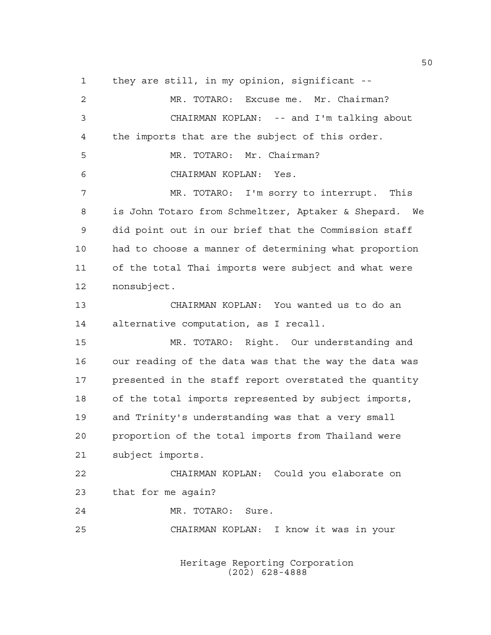they are still, in my opinion, significant --

 MR. TOTARO: Excuse me. Mr. Chairman? CHAIRMAN KOPLAN: -- and I'm talking about the imports that are the subject of this order. MR. TOTARO: Mr. Chairman? CHAIRMAN KOPLAN: Yes. MR. TOTARO: I'm sorry to interrupt. This is John Totaro from Schmeltzer, Aptaker & Shepard. We did point out in our brief that the Commission staff had to choose a manner of determining what proportion of the total Thai imports were subject and what were nonsubject. CHAIRMAN KOPLAN: You wanted us to do an alternative computation, as I recall. MR. TOTARO: Right. Our understanding and our reading of the data was that the way the data was presented in the staff report overstated the quantity of the total imports represented by subject imports, and Trinity's understanding was that a very small proportion of the total imports from Thailand were subject imports. CHAIRMAN KOPLAN: Could you elaborate on that for me again? MR. TOTARO: Sure. CHAIRMAN KOPLAN: I know it was in your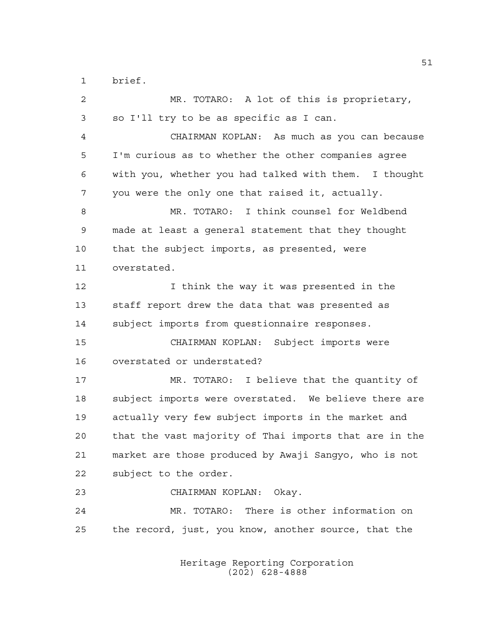brief.

 MR. TOTARO: A lot of this is proprietary, so I'll try to be as specific as I can. CHAIRMAN KOPLAN: As much as you can because I'm curious as to whether the other companies agree with you, whether you had talked with them. I thought you were the only one that raised it, actually. MR. TOTARO: I think counsel for Weldbend made at least a general statement that they thought that the subject imports, as presented, were overstated. 12 12 I think the way it was presented in the staff report drew the data that was presented as subject imports from questionnaire responses. CHAIRMAN KOPLAN: Subject imports were overstated or understated? MR. TOTARO: I believe that the quantity of subject imports were overstated. We believe there are actually very few subject imports in the market and that the vast majority of Thai imports that are in the market are those produced by Awaji Sangyo, who is not subject to the order. CHAIRMAN KOPLAN: Okay. MR. TOTARO: There is other information on the record, just, you know, another source, that the

> Heritage Reporting Corporation (202) 628-4888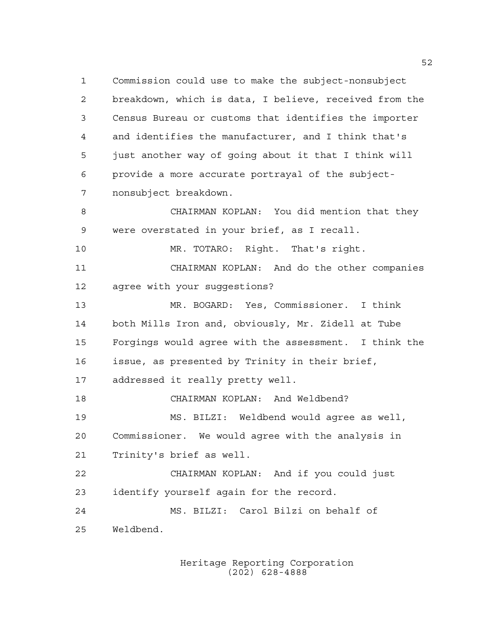Commission could use to make the subject-nonsubject breakdown, which is data, I believe, received from the Census Bureau or customs that identifies the importer and identifies the manufacturer, and I think that's just another way of going about it that I think will provide a more accurate portrayal of the subject- nonsubject breakdown. CHAIRMAN KOPLAN: You did mention that they

were overstated in your brief, as I recall.

MR. TOTARO: Right. That's right.

 CHAIRMAN KOPLAN: And do the other companies agree with your suggestions?

 MR. BOGARD: Yes, Commissioner. I think both Mills Iron and, obviously, Mr. Zidell at Tube Forgings would agree with the assessment. I think the issue, as presented by Trinity in their brief, addressed it really pretty well.

 CHAIRMAN KOPLAN: And Weldbend? MS. BILZI: Weldbend would agree as well, Commissioner. We would agree with the analysis in Trinity's brief as well.

 CHAIRMAN KOPLAN: And if you could just identify yourself again for the record.

 MS. BILZI: Carol Bilzi on behalf of Weldbend.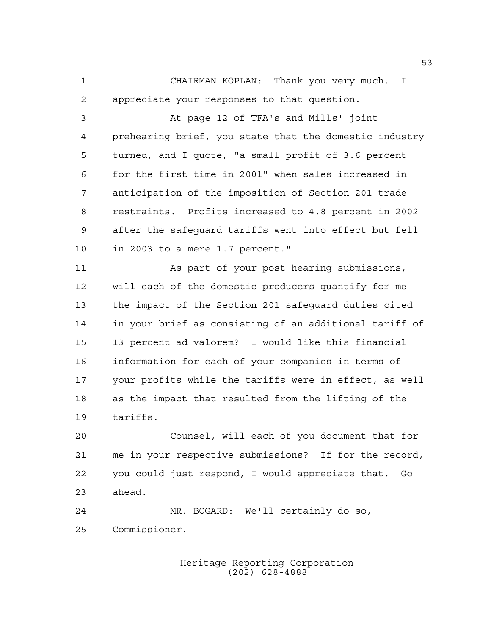CHAIRMAN KOPLAN: Thank you very much. I appreciate your responses to that question.

 At page 12 of TFA's and Mills' joint prehearing brief, you state that the domestic industry turned, and I quote, "a small profit of 3.6 percent for the first time in 2001" when sales increased in anticipation of the imposition of Section 201 trade restraints. Profits increased to 4.8 percent in 2002 after the safeguard tariffs went into effect but fell in 2003 to a mere 1.7 percent."

 As part of your post-hearing submissions, will each of the domestic producers quantify for me the impact of the Section 201 safeguard duties cited in your brief as consisting of an additional tariff of 13 percent ad valorem? I would like this financial information for each of your companies in terms of your profits while the tariffs were in effect, as well as the impact that resulted from the lifting of the tariffs.

 Counsel, will each of you document that for me in your respective submissions? If for the record, you could just respond, I would appreciate that. Go ahead.

 MR. BOGARD: We'll certainly do so, Commissioner.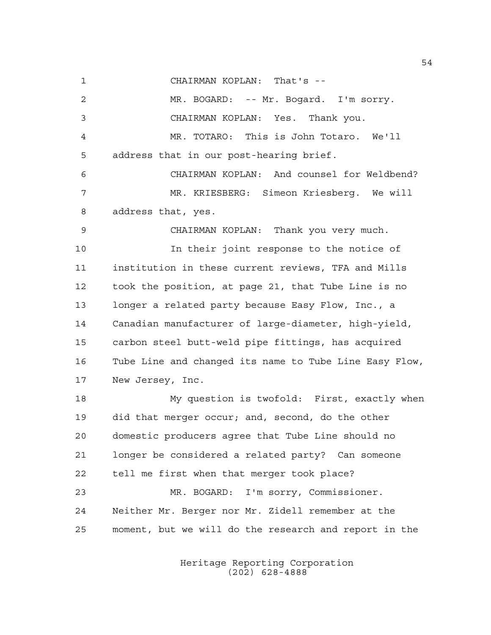CHAIRMAN KOPLAN: That's --

 MR. BOGARD: -- Mr. Bogard. I'm sorry. CHAIRMAN KOPLAN: Yes. Thank you. MR. TOTARO: This is John Totaro. We'll address that in our post-hearing brief. CHAIRMAN KOPLAN: And counsel for Weldbend? MR. KRIESBERG: Simeon Kriesberg. We will address that, yes. CHAIRMAN KOPLAN: Thank you very much. In their joint response to the notice of institution in these current reviews, TFA and Mills took the position, at page 21, that Tube Line is no longer a related party because Easy Flow, Inc., a Canadian manufacturer of large-diameter, high-yield, carbon steel butt-weld pipe fittings, has acquired Tube Line and changed its name to Tube Line Easy Flow, New Jersey, Inc. My question is twofold: First, exactly when did that merger occur; and, second, do the other domestic producers agree that Tube Line should no longer be considered a related party? Can someone tell me first when that merger took place? MR. BOGARD: I'm sorry, Commissioner. Neither Mr. Berger nor Mr. Zidell remember at the moment, but we will do the research and report in the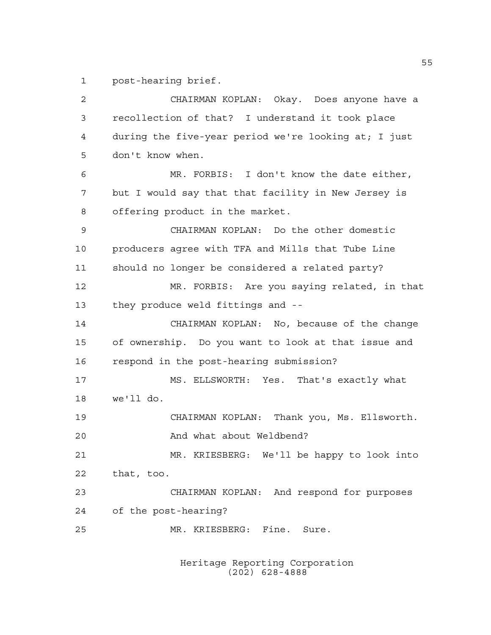post-hearing brief.

 CHAIRMAN KOPLAN: Okay. Does anyone have a recollection of that? I understand it took place during the five-year period we're looking at; I just don't know when. MR. FORBIS: I don't know the date either, but I would say that that facility in New Jersey is offering product in the market. CHAIRMAN KOPLAN: Do the other domestic producers agree with TFA and Mills that Tube Line should no longer be considered a related party? MR. FORBIS: Are you saying related, in that they produce weld fittings and -- CHAIRMAN KOPLAN: No, because of the change of ownership. Do you want to look at that issue and respond in the post-hearing submission? MS. ELLSWORTH: Yes. That's exactly what we'll do. CHAIRMAN KOPLAN: Thank you, Ms. Ellsworth. 20 And what about Weldbend? MR. KRIESBERG: We'll be happy to look into that, too. CHAIRMAN KOPLAN: And respond for purposes of the post-hearing? MR. KRIESBERG: Fine. Sure.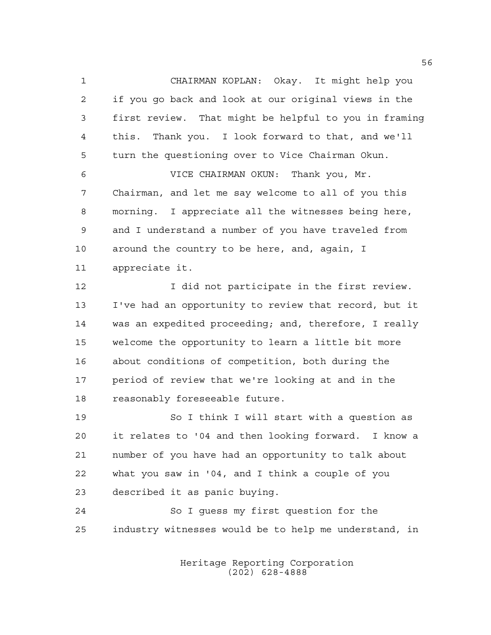CHAIRMAN KOPLAN: Okay. It might help you if you go back and look at our original views in the first review. That might be helpful to you in framing this. Thank you. I look forward to that, and we'll turn the questioning over to Vice Chairman Okun.

 VICE CHAIRMAN OKUN: Thank you, Mr. Chairman, and let me say welcome to all of you this morning. I appreciate all the witnesses being here, and I understand a number of you have traveled from around the country to be here, and, again, I appreciate it.

12 12 I did not participate in the first review. I've had an opportunity to review that record, but it was an expedited proceeding; and, therefore, I really welcome the opportunity to learn a little bit more about conditions of competition, both during the period of review that we're looking at and in the reasonably foreseeable future.

 So I think I will start with a question as it relates to '04 and then looking forward. I know a number of you have had an opportunity to talk about what you saw in '04, and I think a couple of you described it as panic buying.

 So I guess my first question for the industry witnesses would be to help me understand, in

> Heritage Reporting Corporation (202) 628-4888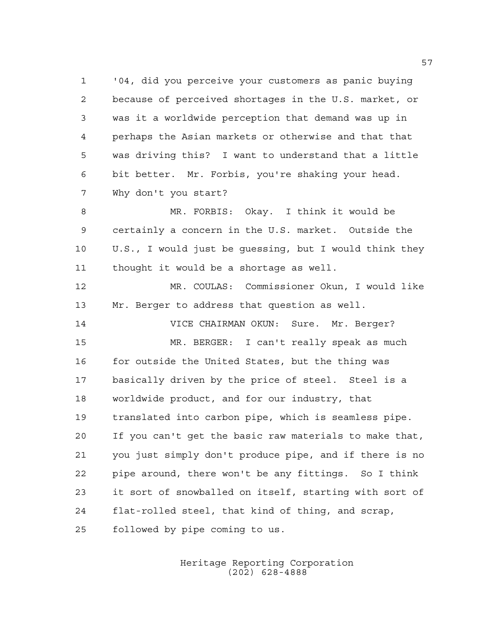'04, did you perceive your customers as panic buying because of perceived shortages in the U.S. market, or was it a worldwide perception that demand was up in perhaps the Asian markets or otherwise and that that was driving this? I want to understand that a little bit better. Mr. Forbis, you're shaking your head. Why don't you start?

 MR. FORBIS: Okay. I think it would be certainly a concern in the U.S. market. Outside the U.S., I would just be guessing, but I would think they thought it would be a shortage as well.

 MR. COULAS: Commissioner Okun, I would like Mr. Berger to address that question as well.

 VICE CHAIRMAN OKUN: Sure. Mr. Berger? MR. BERGER: I can't really speak as much 16 for outside the United States, but the thing was basically driven by the price of steel. Steel is a worldwide product, and for our industry, that translated into carbon pipe, which is seamless pipe. If you can't get the basic raw materials to make that, you just simply don't produce pipe, and if there is no pipe around, there won't be any fittings. So I think it sort of snowballed on itself, starting with sort of flat-rolled steel, that kind of thing, and scrap, followed by pipe coming to us.

> Heritage Reporting Corporation (202) 628-4888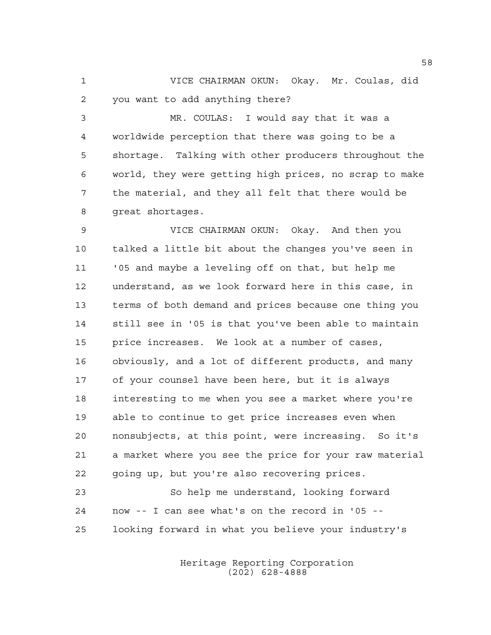VICE CHAIRMAN OKUN: Okay. Mr. Coulas, did you want to add anything there?

 MR. COULAS: I would say that it was a worldwide perception that there was going to be a shortage. Talking with other producers throughout the world, they were getting high prices, no scrap to make the material, and they all felt that there would be great shortages.

 VICE CHAIRMAN OKUN: Okay. And then you talked a little bit about the changes you've seen in '05 and maybe a leveling off on that, but help me understand, as we look forward here in this case, in terms of both demand and prices because one thing you still see in '05 is that you've been able to maintain price increases. We look at a number of cases, obviously, and a lot of different products, and many of your counsel have been here, but it is always interesting to me when you see a market where you're able to continue to get price increases even when nonsubjects, at this point, were increasing. So it's a market where you see the price for your raw material going up, but you're also recovering prices.

 So help me understand, looking forward now -- I can see what's on the record in '05 -- looking forward in what you believe your industry's

> Heritage Reporting Corporation (202) 628-4888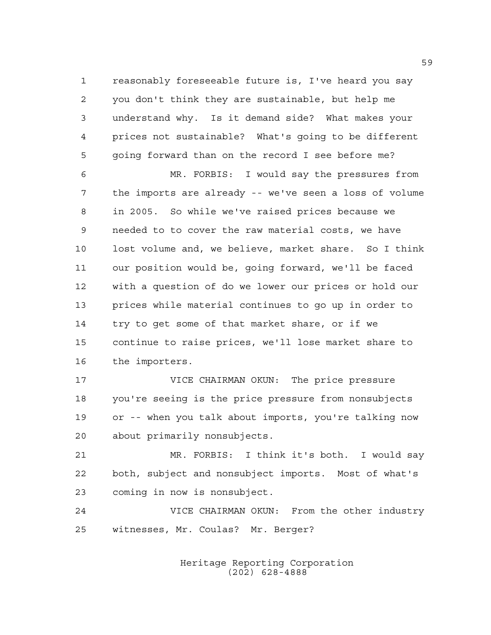reasonably foreseeable future is, I've heard you say you don't think they are sustainable, but help me understand why. Is it demand side? What makes your prices not sustainable? What's going to be different going forward than on the record I see before me?

 MR. FORBIS: I would say the pressures from the imports are already -- we've seen a loss of volume in 2005. So while we've raised prices because we needed to to cover the raw material costs, we have lost volume and, we believe, market share. So I think our position would be, going forward, we'll be faced with a question of do we lower our prices or hold our prices while material continues to go up in order to try to get some of that market share, or if we continue to raise prices, we'll lose market share to the importers.

 VICE CHAIRMAN OKUN: The price pressure you're seeing is the price pressure from nonsubjects or -- when you talk about imports, you're talking now about primarily nonsubjects.

 MR. FORBIS: I think it's both. I would say both, subject and nonsubject imports. Most of what's coming in now is nonsubject.

 VICE CHAIRMAN OKUN: From the other industry witnesses, Mr. Coulas? Mr. Berger?

> Heritage Reporting Corporation (202) 628-4888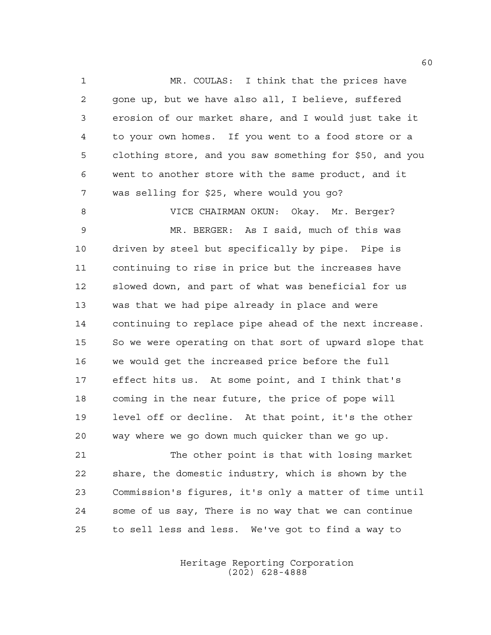MR. COULAS: I think that the prices have gone up, but we have also all, I believe, suffered erosion of our market share, and I would just take it to your own homes. If you went to a food store or a clothing store, and you saw something for \$50, and you went to another store with the same product, and it was selling for \$25, where would you go?

 VICE CHAIRMAN OKUN: Okay. Mr. Berger? MR. BERGER: As I said, much of this was driven by steel but specifically by pipe. Pipe is continuing to rise in price but the increases have slowed down, and part of what was beneficial for us was that we had pipe already in place and were continuing to replace pipe ahead of the next increase. So we were operating on that sort of upward slope that we would get the increased price before the full effect hits us. At some point, and I think that's coming in the near future, the price of pope will level off or decline. At that point, it's the other way where we go down much quicker than we go up.

 The other point is that with losing market share, the domestic industry, which is shown by the Commission's figures, it's only a matter of time until some of us say, There is no way that we can continue to sell less and less. We've got to find a way to

> Heritage Reporting Corporation (202) 628-4888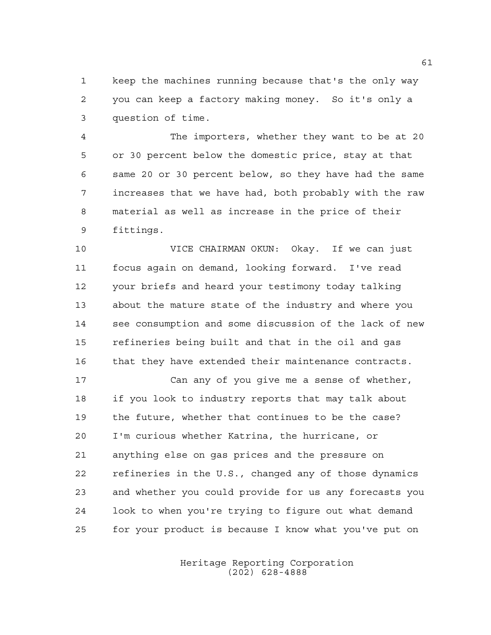keep the machines running because that's the only way you can keep a factory making money. So it's only a question of time.

 The importers, whether they want to be at 20 or 30 percent below the domestic price, stay at that same 20 or 30 percent below, so they have had the same increases that we have had, both probably with the raw material as well as increase in the price of their fittings.

 VICE CHAIRMAN OKUN: Okay. If we can just focus again on demand, looking forward. I've read your briefs and heard your testimony today talking about the mature state of the industry and where you see consumption and some discussion of the lack of new refineries being built and that in the oil and gas 16 that they have extended their maintenance contracts.

 Can any of you give me a sense of whether, if you look to industry reports that may talk about the future, whether that continues to be the case? I'm curious whether Katrina, the hurricane, or anything else on gas prices and the pressure on refineries in the U.S., changed any of those dynamics and whether you could provide for us any forecasts you look to when you're trying to figure out what demand for your product is because I know what you've put on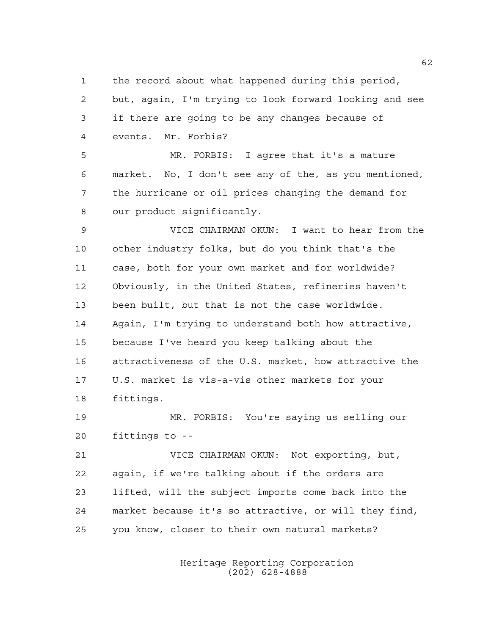the record about what happened during this period, but, again, I'm trying to look forward looking and see if there are going to be any changes because of events. Mr. Forbis?

 MR. FORBIS: I agree that it's a mature market. No, I don't see any of the, as you mentioned, the hurricane or oil prices changing the demand for our product significantly.

 VICE CHAIRMAN OKUN: I want to hear from the other industry folks, but do you think that's the case, both for your own market and for worldwide? Obviously, in the United States, refineries haven't been built, but that is not the case worldwide. Again, I'm trying to understand both how attractive, because I've heard you keep talking about the attractiveness of the U.S. market, how attractive the U.S. market is vis-a-vis other markets for your fittings.

 MR. FORBIS: You're saying us selling our fittings to --

 VICE CHAIRMAN OKUN: Not exporting, but, again, if we're talking about if the orders are lifted, will the subject imports come back into the market because it's so attractive, or will they find, you know, closer to their own natural markets?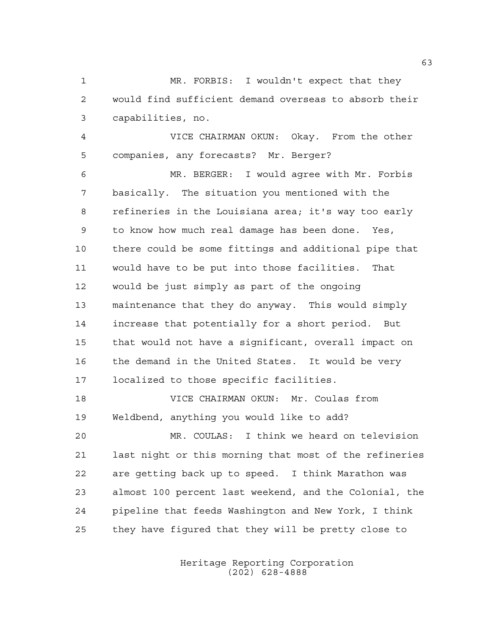MR. FORBIS: I wouldn't expect that they would find sufficient demand overseas to absorb their capabilities, no.

 VICE CHAIRMAN OKUN: Okay. From the other companies, any forecasts? Mr. Berger?

 MR. BERGER: I would agree with Mr. Forbis basically. The situation you mentioned with the refineries in the Louisiana area; it's way too early to know how much real damage has been done. Yes, there could be some fittings and additional pipe that would have to be put into those facilities. That would be just simply as part of the ongoing maintenance that they do anyway. This would simply increase that potentially for a short period. But that would not have a significant, overall impact on the demand in the United States. It would be very localized to those specific facilities.

 VICE CHAIRMAN OKUN: Mr. Coulas from Weldbend, anything you would like to add?

 MR. COULAS: I think we heard on television last night or this morning that most of the refineries are getting back up to speed. I think Marathon was almost 100 percent last weekend, and the Colonial, the pipeline that feeds Washington and New York, I think they have figured that they will be pretty close to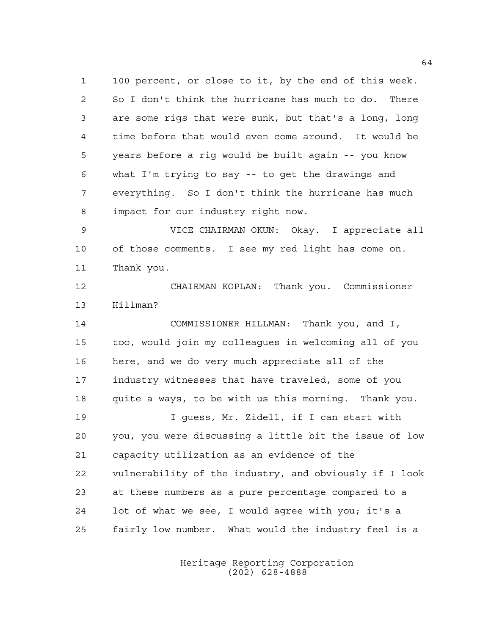100 percent, or close to it, by the end of this week. So I don't think the hurricane has much to do. There are some rigs that were sunk, but that's a long, long time before that would even come around. It would be years before a rig would be built again -- you know what I'm trying to say -- to get the drawings and everything. So I don't think the hurricane has much impact for our industry right now.

 VICE CHAIRMAN OKUN: Okay. I appreciate all of those comments. I see my red light has come on. Thank you.

 CHAIRMAN KOPLAN: Thank you. Commissioner Hillman?

 COMMISSIONER HILLMAN: Thank you, and I, too, would join my colleagues in welcoming all of you here, and we do very much appreciate all of the industry witnesses that have traveled, some of you quite a ways, to be with us this morning. Thank you. I guess, Mr. Zidell, if I can start with you, you were discussing a little bit the issue of low capacity utilization as an evidence of the vulnerability of the industry, and obviously if I look at these numbers as a pure percentage compared to a lot of what we see, I would agree with you; it's a fairly low number. What would the industry feel is a

> Heritage Reporting Corporation (202) 628-4888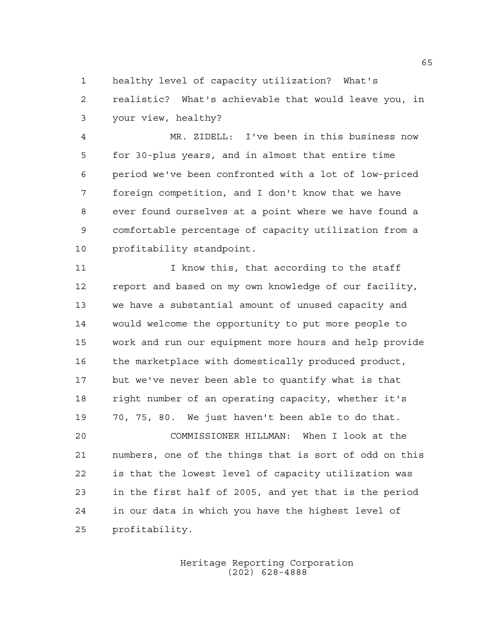healthy level of capacity utilization? What's realistic? What's achievable that would leave you, in your view, healthy?

 MR. ZIDELL: I've been in this business now for 30-plus years, and in almost that entire time period we've been confronted with a lot of low-priced foreign competition, and I don't know that we have ever found ourselves at a point where we have found a comfortable percentage of capacity utilization from a profitability standpoint.

11 11 I know this, that according to the staff report and based on my own knowledge of our facility, we have a substantial amount of unused capacity and would welcome the opportunity to put more people to work and run our equipment more hours and help provide the marketplace with domestically produced product, but we've never been able to quantify what is that right number of an operating capacity, whether it's 70, 75, 80. We just haven't been able to do that.

 COMMISSIONER HILLMAN: When I look at the numbers, one of the things that is sort of odd on this is that the lowest level of capacity utilization was in the first half of 2005, and yet that is the period in our data in which you have the highest level of profitability.

> Heritage Reporting Corporation (202) 628-4888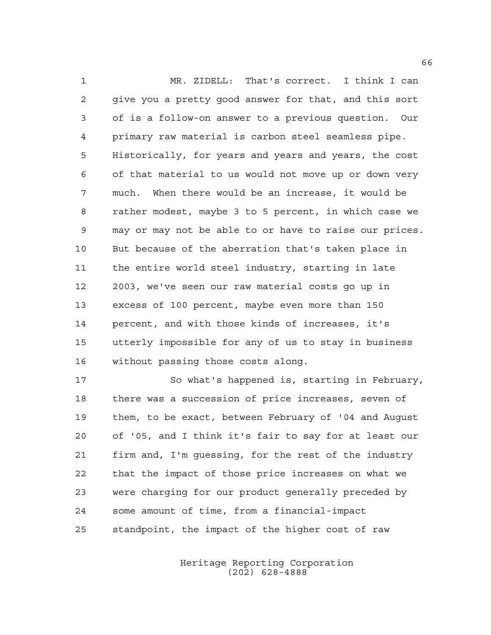MR. ZIDELL: That's correct. I think I can give you a pretty good answer for that, and this sort of is a follow-on answer to a previous question. Our primary raw material is carbon steel seamless pipe. Historically, for years and years and years, the cost of that material to us would not move up or down very much. When there would be an increase, it would be rather modest, maybe 3 to 5 percent, in which case we may or may not be able to or have to raise our prices. But because of the aberration that's taken place in the entire world steel industry, starting in late 2003, we've seen our raw material costs go up in excess of 100 percent, maybe even more than 150 percent, and with those kinds of increases, it's utterly impossible for any of us to stay in business without passing those costs along.

 So what's happened is, starting in February, there was a succession of price increases, seven of them, to be exact, between February of '04 and August of '05, and I think it's fair to say for at least our firm and, I'm guessing, for the rest of the industry that the impact of those price increases on what we were charging for our product generally preceded by some amount of time, from a financial-impact standpoint, the impact of the higher cost of raw

> Heritage Reporting Corporation (202) 628-4888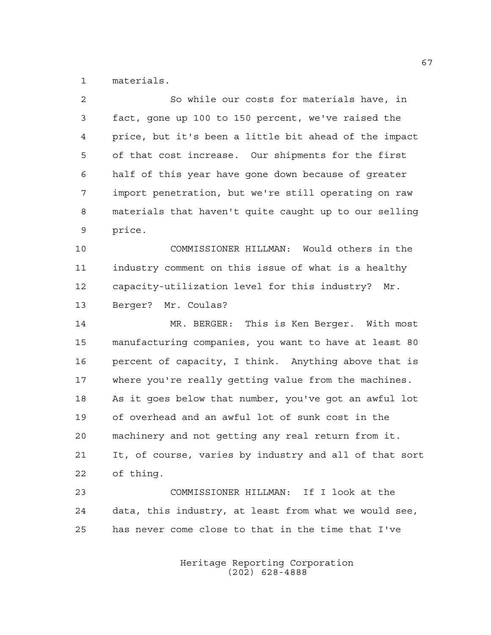materials.

| $\overline{2}$ | So while our costs for materials have, in              |
|----------------|--------------------------------------------------------|
| 3              | fact, gone up 100 to 150 percent, we've raised the     |
| 4              | price, but it's been a little bit ahead of the impact  |
| 5              | of that cost increase. Our shipments for the first     |
| 6              | half of this year have gone down because of greater    |
| 7              | import penetration, but we're still operating on raw   |
| 8              | materials that haven't quite caught up to our selling  |
| 9              | price.                                                 |
| 10             | COMMISSIONER HILLMAN: Would others in the              |
| 11             | industry comment on this issue of what is a healthy    |
| 12             | capacity-utilization level for this industry? Mr.      |
| 13             | Berger? Mr. Coulas?                                    |
| 14             | MR. BERGER: This is Ken Berger. With most              |
| 15             | manufacturing companies, you want to have at least 80  |
| 16             | percent of capacity, I think. Anything above that is   |
| 17             | where you're really getting value from the machines.   |
| 18             | As it goes below that number, you've got an awful lot  |
| 19             | of overhead and an awful lot of sunk cost in the       |
| 20             | machinery and not getting any real return from it.     |
| 21             | It, of course, varies by industry and all of that sort |
| 22             | of thing.                                              |
| 23             | COMMISSIONER HILLMAN: If I look at the                 |
| 24             | data, this industry, at least from what we would see,  |
| 25             | has never come close to that in the time that I've     |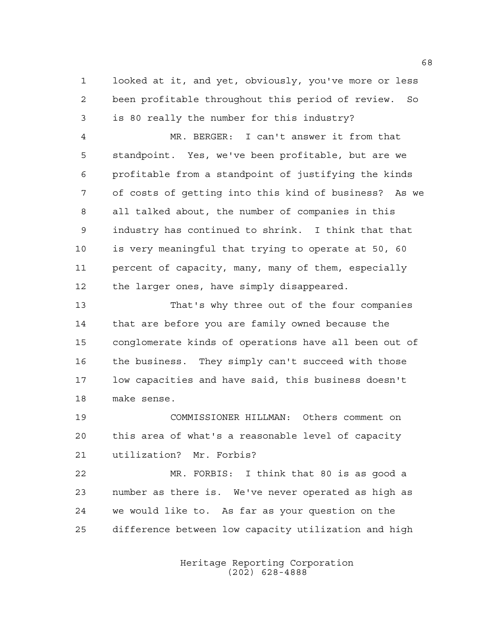looked at it, and yet, obviously, you've more or less been profitable throughout this period of review. So is 80 really the number for this industry?

 MR. BERGER: I can't answer it from that standpoint. Yes, we've been profitable, but are we profitable from a standpoint of justifying the kinds of costs of getting into this kind of business? As we all talked about, the number of companies in this industry has continued to shrink. I think that that is very meaningful that trying to operate at 50, 60 percent of capacity, many, many of them, especially 12 the larger ones, have simply disappeared.

 That's why three out of the four companies that are before you are family owned because the conglomerate kinds of operations have all been out of the business. They simply can't succeed with those low capacities and have said, this business doesn't make sense.

 COMMISSIONER HILLMAN: Others comment on this area of what's a reasonable level of capacity utilization? Mr. Forbis?

 MR. FORBIS: I think that 80 is as good a number as there is. We've never operated as high as we would like to. As far as your question on the difference between low capacity utilization and high

> Heritage Reporting Corporation (202) 628-4888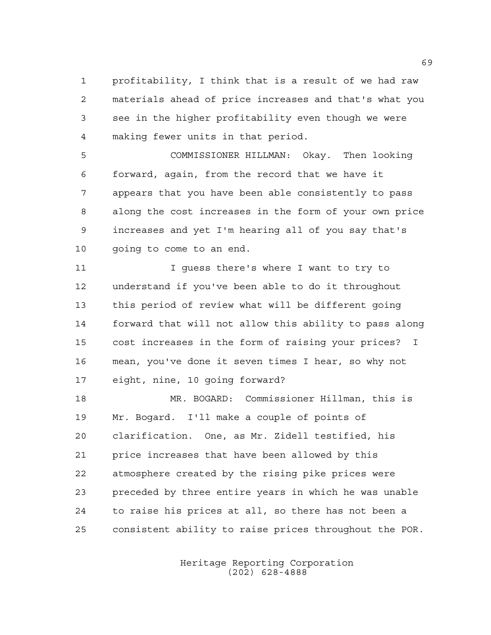profitability, I think that is a result of we had raw materials ahead of price increases and that's what you see in the higher profitability even though we were making fewer units in that period.

 COMMISSIONER HILLMAN: Okay. Then looking forward, again, from the record that we have it appears that you have been able consistently to pass along the cost increases in the form of your own price increases and yet I'm hearing all of you say that's 10 qoing to come to an end.

 I guess there's where I want to try to understand if you've been able to do it throughout this period of review what will be different going forward that will not allow this ability to pass along cost increases in the form of raising your prices? I mean, you've done it seven times I hear, so why not eight, nine, 10 going forward?

 MR. BOGARD: Commissioner Hillman, this is Mr. Bogard. I'll make a couple of points of clarification. One, as Mr. Zidell testified, his price increases that have been allowed by this atmosphere created by the rising pike prices were preceded by three entire years in which he was unable to raise his prices at all, so there has not been a consistent ability to raise prices throughout the POR.

> Heritage Reporting Corporation (202) 628-4888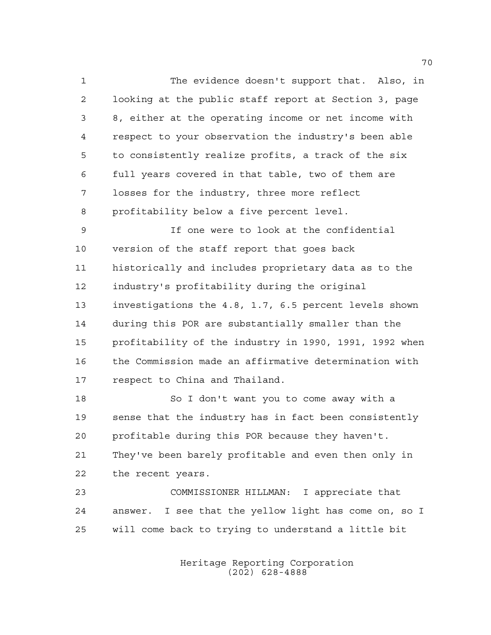The evidence doesn't support that. Also, in looking at the public staff report at Section 3, page 8, either at the operating income or net income with respect to your observation the industry's been able to consistently realize profits, a track of the six full years covered in that table, two of them are losses for the industry, three more reflect profitability below a five percent level.

 If one were to look at the confidential version of the staff report that goes back historically and includes proprietary data as to the industry's profitability during the original investigations the 4.8, 1.7, 6.5 percent levels shown during this POR are substantially smaller than the profitability of the industry in 1990, 1991, 1992 when the Commission made an affirmative determination with respect to China and Thailand.

 So I don't want you to come away with a sense that the industry has in fact been consistently profitable during this POR because they haven't. They've been barely profitable and even then only in the recent years.

 COMMISSIONER HILLMAN: I appreciate that answer. I see that the yellow light has come on, so I will come back to trying to understand a little bit

> Heritage Reporting Corporation (202) 628-4888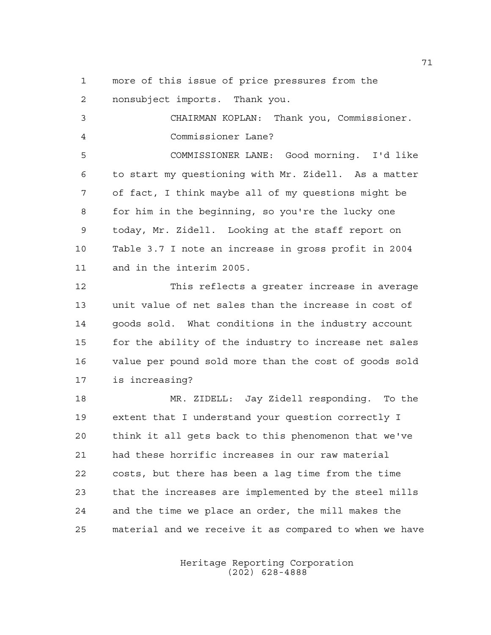more of this issue of price pressures from the nonsubject imports. Thank you.

 CHAIRMAN KOPLAN: Thank you, Commissioner. Commissioner Lane? COMMISSIONER LANE: Good morning. I'd like to start my questioning with Mr. Zidell. As a matter of fact, I think maybe all of my questions might be for him in the beginning, so you're the lucky one today, Mr. Zidell. Looking at the staff report on Table 3.7 I note an increase in gross profit in 2004 and in the interim 2005. This reflects a greater increase in average unit value of net sales than the increase in cost of goods sold. What conditions in the industry account for the ability of the industry to increase net sales value per pound sold more than the cost of goods sold is increasing? MR. ZIDELL: Jay Zidell responding. To the

 extent that I understand your question correctly I think it all gets back to this phenomenon that we've had these horrific increases in our raw material costs, but there has been a lag time from the time that the increases are implemented by the steel mills and the time we place an order, the mill makes the material and we receive it as compared to when we have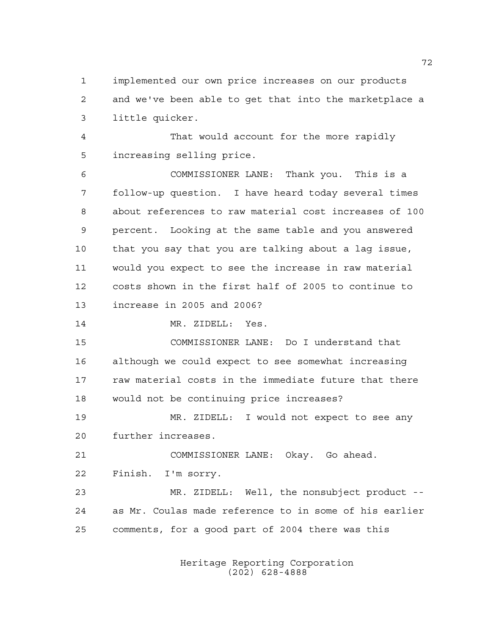implemented our own price increases on our products and we've been able to get that into the marketplace a little quicker.

 That would account for the more rapidly increasing selling price.

 COMMISSIONER LANE: Thank you. This is a follow-up question. I have heard today several times about references to raw material cost increases of 100 percent. Looking at the same table and you answered that you say that you are talking about a lag issue, would you expect to see the increase in raw material costs shown in the first half of 2005 to continue to increase in 2005 and 2006?

MR. ZIDELL: Yes.

 COMMISSIONER LANE: Do I understand that although we could expect to see somewhat increasing raw material costs in the immediate future that there would not be continuing price increases?

 MR. ZIDELL: I would not expect to see any further increases.

 COMMISSIONER LANE: Okay. Go ahead. Finish. I'm sorry.

 MR. ZIDELL: Well, the nonsubject product -- as Mr. Coulas made reference to in some of his earlier comments, for a good part of 2004 there was this

> Heritage Reporting Corporation (202) 628-4888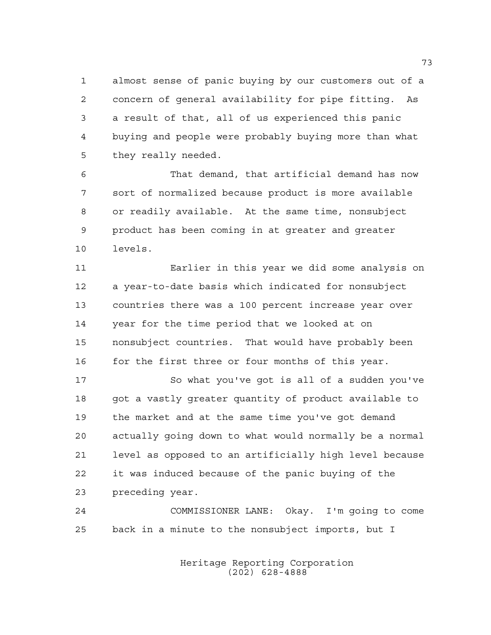almost sense of panic buying by our customers out of a concern of general availability for pipe fitting. As a result of that, all of us experienced this panic buying and people were probably buying more than what they really needed.

 That demand, that artificial demand has now sort of normalized because product is more available or readily available. At the same time, nonsubject product has been coming in at greater and greater levels.

 Earlier in this year we did some analysis on a year-to-date basis which indicated for nonsubject countries there was a 100 percent increase year over year for the time period that we looked at on nonsubject countries. That would have probably been 16 for the first three or four months of this year.

 So what you've got is all of a sudden you've got a vastly greater quantity of product available to the market and at the same time you've got demand actually going down to what would normally be a normal level as opposed to an artificially high level because it was induced because of the panic buying of the preceding year.

 COMMISSIONER LANE: Okay. I'm going to come back in a minute to the nonsubject imports, but I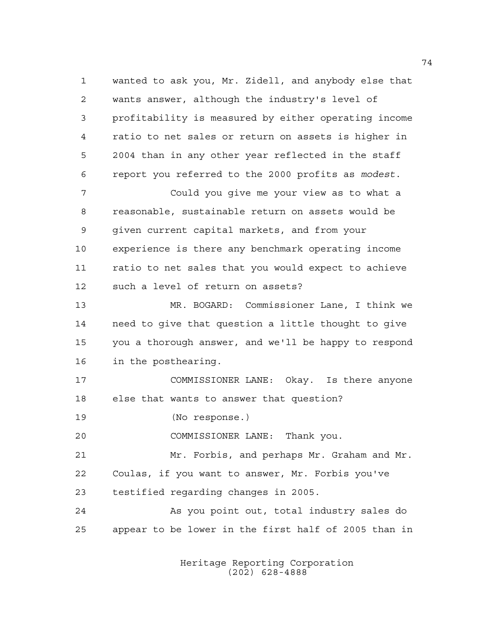wanted to ask you, Mr. Zidell, and anybody else that wants answer, although the industry's level of profitability is measured by either operating income ratio to net sales or return on assets is higher in 2004 than in any other year reflected in the staff report you referred to the 2000 profits as *modest*. Could you give me your view as to what a reasonable, sustainable return on assets would be given current capital markets, and from your experience is there any benchmark operating income ratio to net sales that you would expect to achieve such a level of return on assets? MR. BOGARD: Commissioner Lane, I think we need to give that question a little thought to give you a thorough answer, and we'll be happy to respond in the posthearing. COMMISSIONER LANE: Okay. Is there anyone else that wants to answer that question? (No response.) COMMISSIONER LANE: Thank you. Mr. Forbis, and perhaps Mr. Graham and Mr. Coulas, if you want to answer, Mr. Forbis you've testified regarding changes in 2005. As you point out, total industry sales do appear to be lower in the first half of 2005 than in

> Heritage Reporting Corporation (202) 628-4888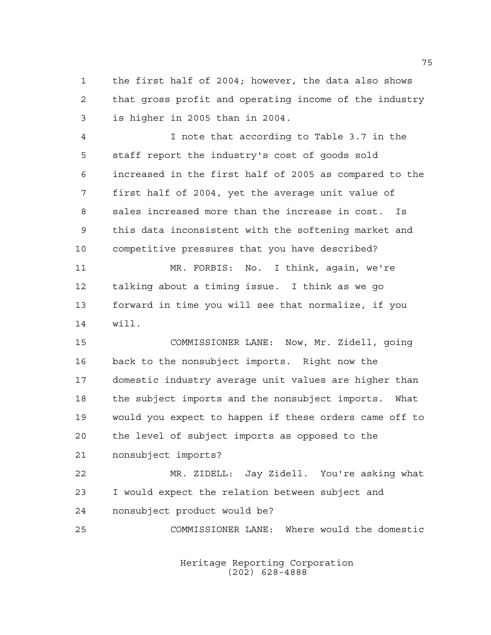the first half of 2004; however, the data also shows that gross profit and operating income of the industry is higher in 2005 than in 2004.

 I note that according to Table 3.7 in the staff report the industry's cost of goods sold increased in the first half of 2005 as compared to the first half of 2004, yet the average unit value of sales increased more than the increase in cost. Is this data inconsistent with the softening market and competitive pressures that you have described?

 MR. FORBIS: No. I think, again, we're talking about a timing issue. I think as we go forward in time you will see that normalize, if you will.

 COMMISSIONER LANE: Now, Mr. Zidell, going back to the nonsubject imports. Right now the domestic industry average unit values are higher than the subject imports and the nonsubject imports. What would you expect to happen if these orders came off to the level of subject imports as opposed to the nonsubject imports?

 MR. ZIDELL: Jay Zidell. You're asking what I would expect the relation between subject and nonsubject product would be?

COMMISSIONER LANE: Where would the domestic

Heritage Reporting Corporation (202) 628-4888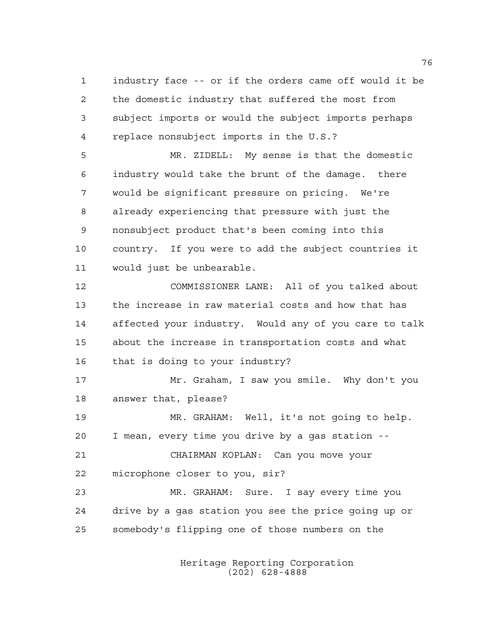industry face -- or if the orders came off would it be the domestic industry that suffered the most from subject imports or would the subject imports perhaps replace nonsubject imports in the U.S.?

 MR. ZIDELL: My sense is that the domestic industry would take the brunt of the damage. there would be significant pressure on pricing. We're already experiencing that pressure with just the nonsubject product that's been coming into this country. If you were to add the subject countries it would just be unbearable.

 COMMISSIONER LANE: All of you talked about the increase in raw material costs and how that has affected your industry. Would any of you care to talk about the increase in transportation costs and what that is doing to your industry?

 Mr. Graham, I saw you smile. Why don't you answer that, please?

 MR. GRAHAM: Well, it's not going to help. I mean, every time you drive by a gas station --

 CHAIRMAN KOPLAN: Can you move your microphone closer to you, sir?

 MR. GRAHAM: Sure. I say every time you drive by a gas station you see the price going up or somebody's flipping one of those numbers on the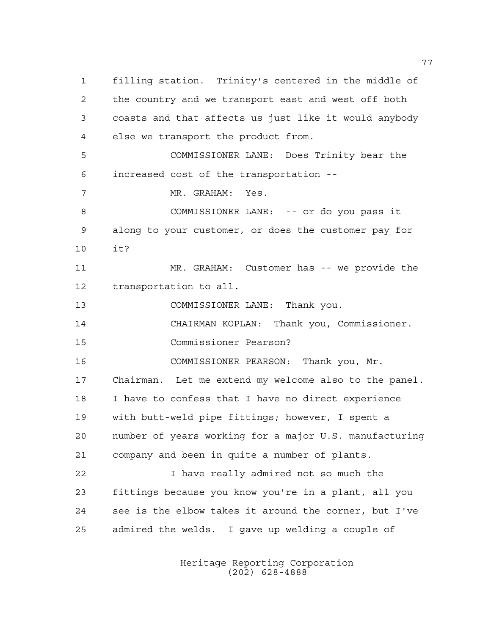filling station. Trinity's centered in the middle of the country and we transport east and west off both coasts and that affects us just like it would anybody else we transport the product from. COMMISSIONER LANE: Does Trinity bear the increased cost of the transportation -- MR. GRAHAM: Yes. COMMISSIONER LANE: -- or do you pass it along to your customer, or does the customer pay for it? MR. GRAHAM: Customer has -- we provide the transportation to all. COMMISSIONER LANE: Thank you. CHAIRMAN KOPLAN: Thank you, Commissioner. Commissioner Pearson? COMMISSIONER PEARSON: Thank you, Mr. Chairman. Let me extend my welcome also to the panel. I have to confess that I have no direct experience with butt-weld pipe fittings; however, I spent a number of years working for a major U.S. manufacturing company and been in quite a number of plants. I have really admired not so much the fittings because you know you're in a plant, all you see is the elbow takes it around the corner, but I've admired the welds. I gave up welding a couple of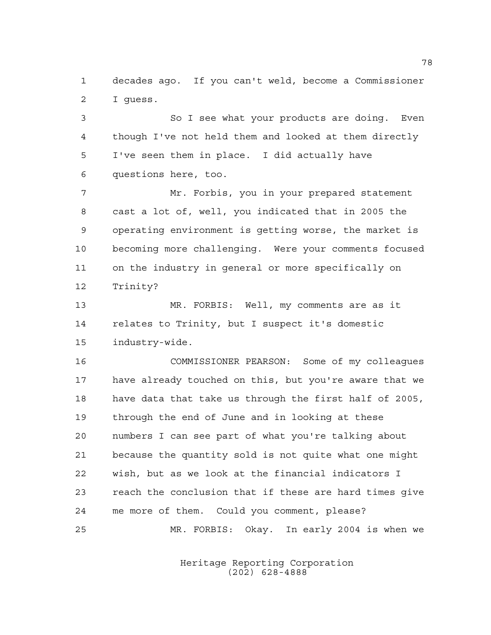decades ago. If you can't weld, become a Commissioner I guess.

 So I see what your products are doing. Even though I've not held them and looked at them directly I've seen them in place. I did actually have questions here, too.

 Mr. Forbis, you in your prepared statement cast a lot of, well, you indicated that in 2005 the operating environment is getting worse, the market is becoming more challenging. Were your comments focused on the industry in general or more specifically on Trinity?

 MR. FORBIS: Well, my comments are as it relates to Trinity, but I suspect it's domestic industry-wide.

 COMMISSIONER PEARSON: Some of my colleagues have already touched on this, but you're aware that we have data that take us through the first half of 2005, through the end of June and in looking at these numbers I can see part of what you're talking about because the quantity sold is not quite what one might wish, but as we look at the financial indicators I reach the conclusion that if these are hard times give me more of them. Could you comment, please? MR. FORBIS: Okay. In early 2004 is when we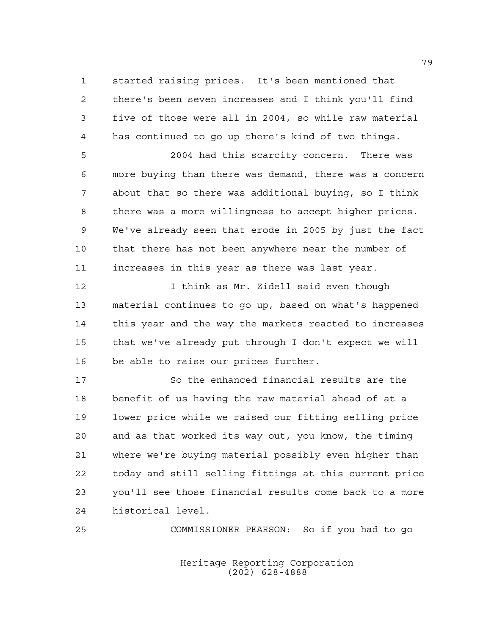started raising prices. It's been mentioned that there's been seven increases and I think you'll find five of those were all in 2004, so while raw material has continued to go up there's kind of two things.

 2004 had this scarcity concern. There was more buying than there was demand, there was a concern about that so there was additional buying, so I think there was a more willingness to accept higher prices. We've already seen that erode in 2005 by just the fact that there has not been anywhere near the number of increases in this year as there was last year.

**I** think as Mr. Zidell said even though material continues to go up, based on what's happened this year and the way the markets reacted to increases that we've already put through I don't expect we will be able to raise our prices further.

 So the enhanced financial results are the benefit of us having the raw material ahead of at a lower price while we raised our fitting selling price and as that worked its way out, you know, the timing where we're buying material possibly even higher than today and still selling fittings at this current price you'll see those financial results come back to a more historical level.

COMMISSIONER PEARSON: So if you had to go

Heritage Reporting Corporation (202) 628-4888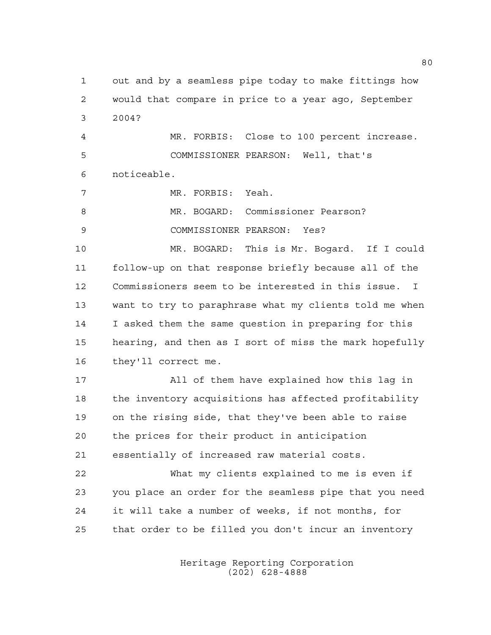out and by a seamless pipe today to make fittings how would that compare in price to a year ago, September 2004?

 MR. FORBIS: Close to 100 percent increase. COMMISSIONER PEARSON: Well, that's noticeable.

MR. FORBIS: Yeah.

MR. BOGARD: Commissioner Pearson?

COMMISSIONER PEARSON: Yes?

 MR. BOGARD: This is Mr. Bogard. If I could follow-up on that response briefly because all of the Commissioners seem to be interested in this issue. I want to try to paraphrase what my clients told me when I asked them the same question in preparing for this hearing, and then as I sort of miss the mark hopefully they'll correct me.

 All of them have explained how this lag in the inventory acquisitions has affected profitability on the rising side, that they've been able to raise the prices for their product in anticipation essentially of increased raw material costs.

 What my clients explained to me is even if you place an order for the seamless pipe that you need it will take a number of weeks, if not months, for that order to be filled you don't incur an inventory

> Heritage Reporting Corporation (202) 628-4888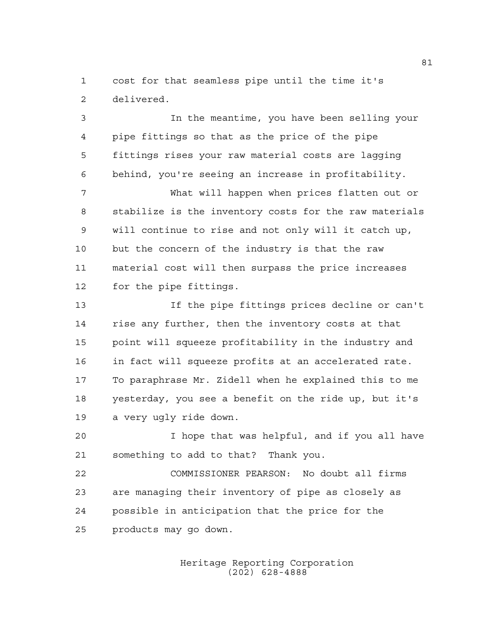cost for that seamless pipe until the time it's delivered.

 In the meantime, you have been selling your pipe fittings so that as the price of the pipe fittings rises your raw material costs are lagging behind, you're seeing an increase in profitability.

 What will happen when prices flatten out or stabilize is the inventory costs for the raw materials will continue to rise and not only will it catch up, but the concern of the industry is that the raw material cost will then surpass the price increases for the pipe fittings.

 If the pipe fittings prices decline or can't rise any further, then the inventory costs at that point will squeeze profitability in the industry and in fact will squeeze profits at an accelerated rate. To paraphrase Mr. Zidell when he explained this to me yesterday, you see a benefit on the ride up, but it's a very ugly ride down.

 I hope that was helpful, and if you all have something to add to that? Thank you.

 COMMISSIONER PEARSON: No doubt all firms are managing their inventory of pipe as closely as possible in anticipation that the price for the products may go down.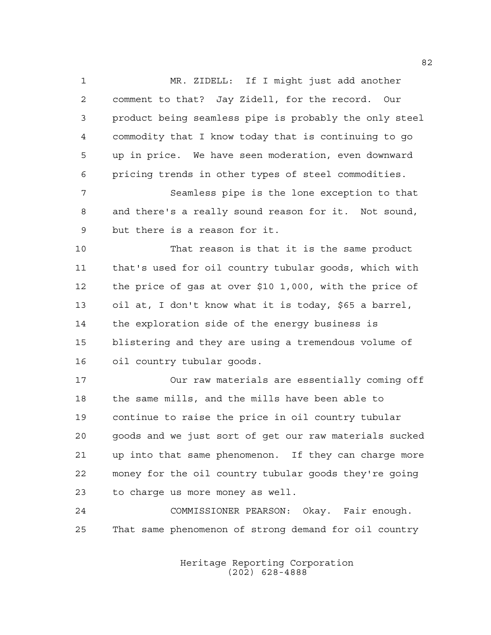MR. ZIDELL: If I might just add another comment to that? Jay Zidell, for the record. Our product being seamless pipe is probably the only steel commodity that I know today that is continuing to go up in price. We have seen moderation, even downward pricing trends in other types of steel commodities.

 Seamless pipe is the lone exception to that and there's a really sound reason for it. Not sound, but there is a reason for it.

 That reason is that it is the same product that's used for oil country tubular goods, which with the price of gas at over \$10 1,000, with the price of oil at, I don't know what it is today, \$65 a barrel, the exploration side of the energy business is blistering and they are using a tremendous volume of oil country tubular goods.

 Our raw materials are essentially coming off the same mills, and the mills have been able to continue to raise the price in oil country tubular goods and we just sort of get our raw materials sucked up into that same phenomenon. If they can charge more money for the oil country tubular goods they're going to charge us more money as well.

 COMMISSIONER PEARSON: Okay. Fair enough. That same phenomenon of strong demand for oil country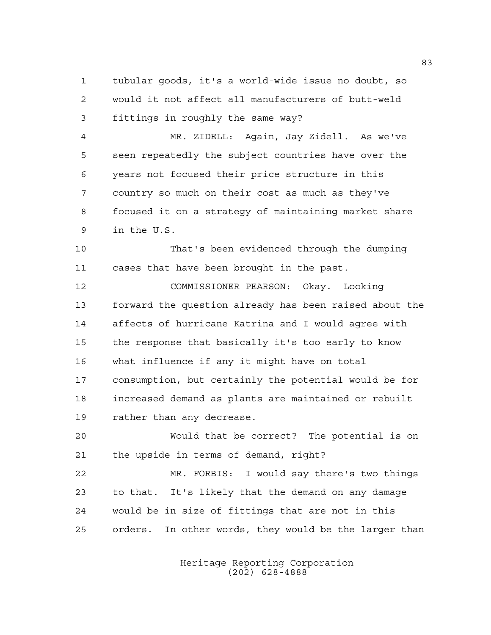tubular goods, it's a world-wide issue no doubt, so would it not affect all manufacturers of butt-weld fittings in roughly the same way?

 MR. ZIDELL: Again, Jay Zidell. As we've seen repeatedly the subject countries have over the years not focused their price structure in this country so much on their cost as much as they've focused it on a strategy of maintaining market share in the U.S.

 That's been evidenced through the dumping cases that have been brought in the past.

 COMMISSIONER PEARSON: Okay. Looking forward the question already has been raised about the affects of hurricane Katrina and I would agree with the response that basically it's too early to know what influence if any it might have on total consumption, but certainly the potential would be for increased demand as plants are maintained or rebuilt rather than any decrease.

 Would that be correct? The potential is on the upside in terms of demand, right?

 MR. FORBIS: I would say there's two things to that. It's likely that the demand on any damage would be in size of fittings that are not in this orders. In other words, they would be the larger than

> Heritage Reporting Corporation (202) 628-4888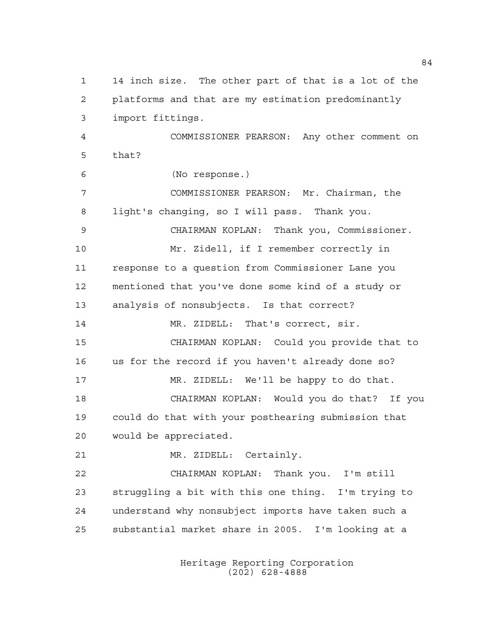14 inch size. The other part of that is a lot of the platforms and that are my estimation predominantly import fittings. COMMISSIONER PEARSON: Any other comment on that? (No response.) COMMISSIONER PEARSON: Mr. Chairman, the light's changing, so I will pass. Thank you. CHAIRMAN KOPLAN: Thank you, Commissioner. Mr. Zidell, if I remember correctly in response to a question from Commissioner Lane you mentioned that you've done some kind of a study or analysis of nonsubjects. Is that correct? MR. ZIDELL: That's correct, sir. CHAIRMAN KOPLAN: Could you provide that to us for the record if you haven't already done so? MR. ZIDELL: We'll be happy to do that. CHAIRMAN KOPLAN: Would you do that? If you could do that with your posthearing submission that would be appreciated. MR. ZIDELL: Certainly. CHAIRMAN KOPLAN: Thank you. I'm still struggling a bit with this one thing. I'm trying to understand why nonsubject imports have taken such a substantial market share in 2005. I'm looking at a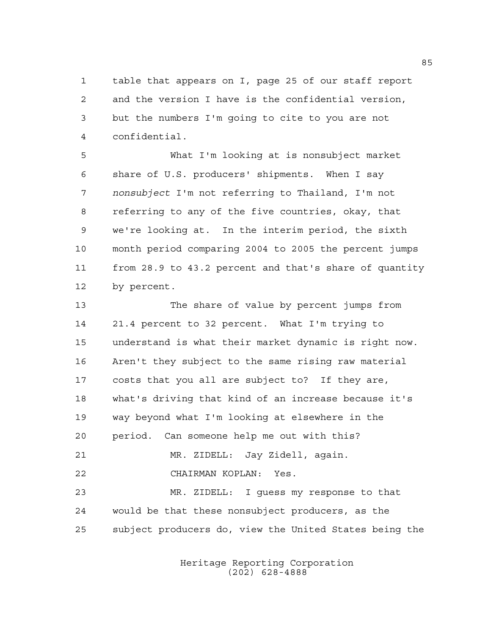table that appears on I, page 25 of our staff report and the version I have is the confidential version, but the numbers I'm going to cite to you are not confidential.

 What I'm looking at is nonsubject market share of U.S. producers' shipments. When I say *nonsubject* I'm not referring to Thailand, I'm not referring to any of the five countries, okay, that we're looking at. In the interim period, the sixth month period comparing 2004 to 2005 the percent jumps from 28.9 to 43.2 percent and that's share of quantity by percent.

 The share of value by percent jumps from 21.4 percent to 32 percent. What I'm trying to understand is what their market dynamic is right now. Aren't they subject to the same rising raw material costs that you all are subject to? If they are, what's driving that kind of an increase because it's way beyond what I'm looking at elsewhere in the period. Can someone help me out with this? MR. ZIDELL: Jay Zidell, again. CHAIRMAN KOPLAN: Yes. MR. ZIDELL: I guess my response to that would be that these nonsubject producers, as the

subject producers do, view the United States being the

Heritage Reporting Corporation (202) 628-4888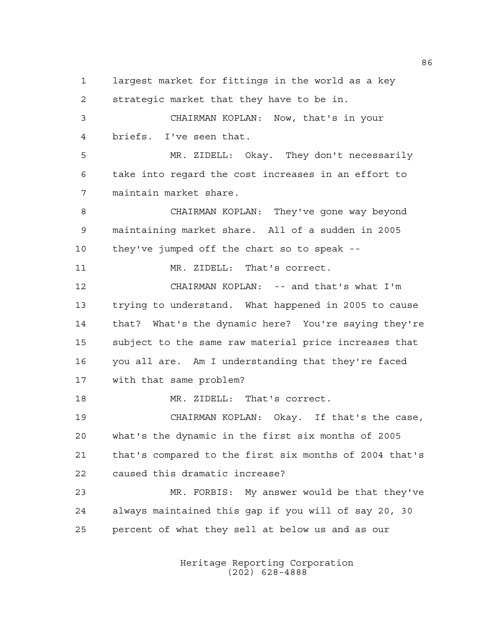largest market for fittings in the world as a key strategic market that they have to be in. CHAIRMAN KOPLAN: Now, that's in your briefs. I've seen that. MR. ZIDELL: Okay. They don't necessarily take into regard the cost increases in an effort to maintain market share. CHAIRMAN KOPLAN: They've gone way beyond maintaining market share. All of a sudden in 2005 they've jumped off the chart so to speak -- 11 MR. ZIDELL: That's correct. CHAIRMAN KOPLAN: -- and that's what I'm trying to understand. What happened in 2005 to cause that? What's the dynamic here? You're saying they're subject to the same raw material price increases that you all are. Am I understanding that they're faced with that same problem? MR. ZIDELL: That's correct. CHAIRMAN KOPLAN: Okay. If that's the case, what's the dynamic in the first six months of 2005 that's compared to the first six months of 2004 that's caused this dramatic increase? MR. FORBIS: My answer would be that they've always maintained this gap if you will of say 20, 30 percent of what they sell at below us and as our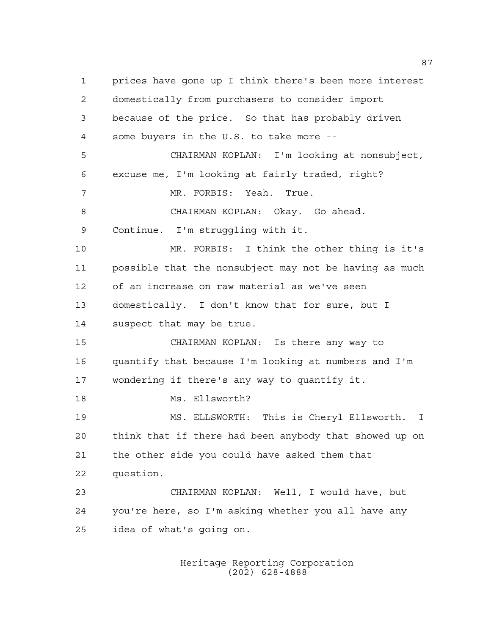prices have gone up I think there's been more interest domestically from purchasers to consider import because of the price. So that has probably driven some buyers in the U.S. to take more -- CHAIRMAN KOPLAN: I'm looking at nonsubject, excuse me, I'm looking at fairly traded, right? MR. FORBIS: Yeah. True. CHAIRMAN KOPLAN: Okay. Go ahead. Continue. I'm struggling with it. MR. FORBIS: I think the other thing is it's possible that the nonsubject may not be having as much of an increase on raw material as we've seen domestically. I don't know that for sure, but I suspect that may be true. CHAIRMAN KOPLAN: Is there any way to quantify that because I'm looking at numbers and I'm wondering if there's any way to quantify it. Ms. Ellsworth? MS. ELLSWORTH: This is Cheryl Ellsworth. I think that if there had been anybody that showed up on the other side you could have asked them that question. CHAIRMAN KOPLAN: Well, I would have, but you're here, so I'm asking whether you all have any idea of what's going on.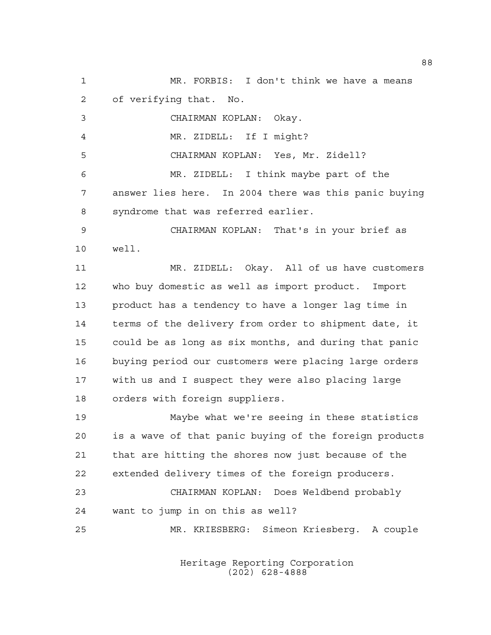MR. FORBIS: I don't think we have a means of verifying that. No. CHAIRMAN KOPLAN: Okay. MR. ZIDELL: If I might? CHAIRMAN KOPLAN: Yes, Mr. Zidell? MR. ZIDELL: I think maybe part of the answer lies here. In 2004 there was this panic buying syndrome that was referred earlier. CHAIRMAN KOPLAN: That's in your brief as well. MR. ZIDELL: Okay. All of us have customers who buy domestic as well as import product. Import product has a tendency to have a longer lag time in terms of the delivery from order to shipment date, it could be as long as six months, and during that panic buying period our customers were placing large orders with us and I suspect they were also placing large orders with foreign suppliers. Maybe what we're seeing in these statistics is a wave of that panic buying of the foreign products that are hitting the shores now just because of the extended delivery times of the foreign producers. CHAIRMAN KOPLAN: Does Weldbend probably want to jump in on this as well? MR. KRIESBERG: Simeon Kriesberg. A couple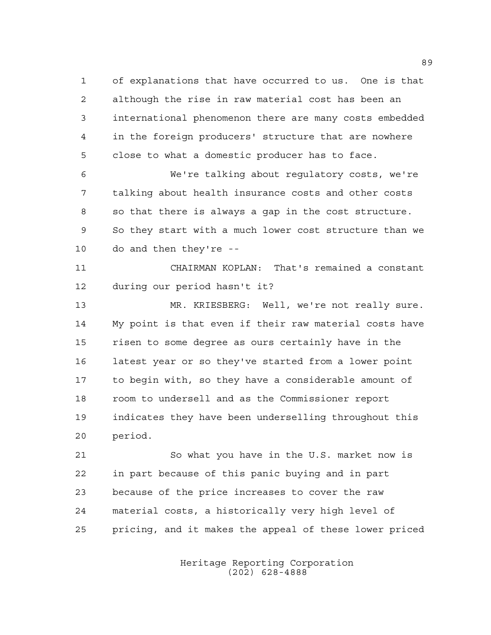of explanations that have occurred to us. One is that although the rise in raw material cost has been an international phenomenon there are many costs embedded in the foreign producers' structure that are nowhere close to what a domestic producer has to face.

 We're talking about regulatory costs, we're talking about health insurance costs and other costs so that there is always a gap in the cost structure. So they start with a much lower cost structure than we do and then they're --

 CHAIRMAN KOPLAN: That's remained a constant during our period hasn't it?

 MR. KRIESBERG: Well, we're not really sure. My point is that even if their raw material costs have risen to some degree as ours certainly have in the latest year or so they've started from a lower point to begin with, so they have a considerable amount of room to undersell and as the Commissioner report indicates they have been underselling throughout this period.

 So what you have in the U.S. market now is in part because of this panic buying and in part because of the price increases to cover the raw material costs, a historically very high level of pricing, and it makes the appeal of these lower priced

> Heritage Reporting Corporation (202) 628-4888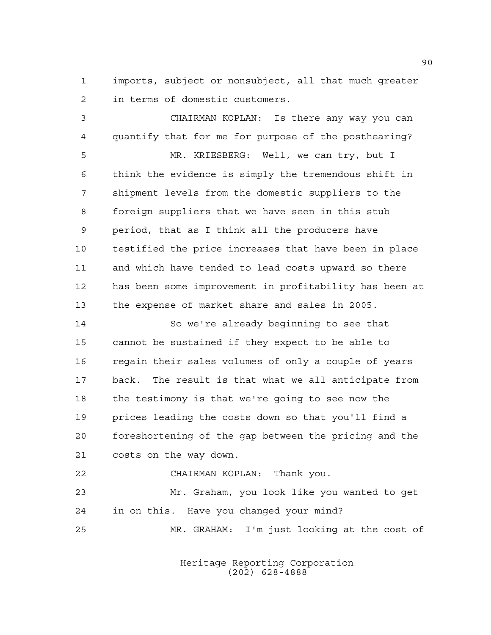imports, subject or nonsubject, all that much greater in terms of domestic customers.

 CHAIRMAN KOPLAN: Is there any way you can quantify that for me for purpose of the posthearing? MR. KRIESBERG: Well, we can try, but I think the evidence is simply the tremendous shift in shipment levels from the domestic suppliers to the foreign suppliers that we have seen in this stub period, that as I think all the producers have testified the price increases that have been in place and which have tended to lead costs upward so there has been some improvement in profitability has been at the expense of market share and sales in 2005. So we're already beginning to see that

 cannot be sustained if they expect to be able to regain their sales volumes of only a couple of years back. The result is that what we all anticipate from the testimony is that we're going to see now the prices leading the costs down so that you'll find a foreshortening of the gap between the pricing and the costs on the way down.

 CHAIRMAN KOPLAN: Thank you. Mr. Graham, you look like you wanted to get in on this. Have you changed your mind? MR. GRAHAM: I'm just looking at the cost of

> Heritage Reporting Corporation (202) 628-4888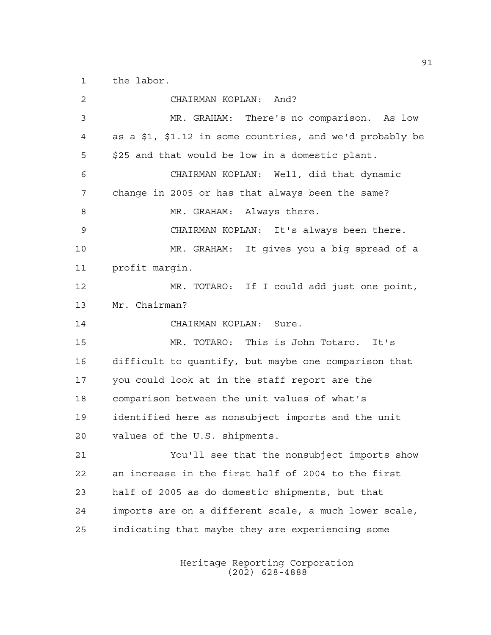the labor.

 CHAIRMAN KOPLAN: And? MR. GRAHAM: There's no comparison. As low as a \$1, \$1.12 in some countries, and we'd probably be \$25 and that would be low in a domestic plant. CHAIRMAN KOPLAN: Well, did that dynamic change in 2005 or has that always been the same? 8 MR. GRAHAM: Always there. CHAIRMAN KOPLAN: It's always been there. MR. GRAHAM: It gives you a big spread of a profit margin. MR. TOTARO: If I could add just one point, Mr. Chairman? CHAIRMAN KOPLAN: Sure. MR. TOTARO: This is John Totaro. It's difficult to quantify, but maybe one comparison that you could look at in the staff report are the comparison between the unit values of what's identified here as nonsubject imports and the unit values of the U.S. shipments. You'll see that the nonsubject imports show an increase in the first half of 2004 to the first half of 2005 as do domestic shipments, but that imports are on a different scale, a much lower scale, indicating that maybe they are experiencing some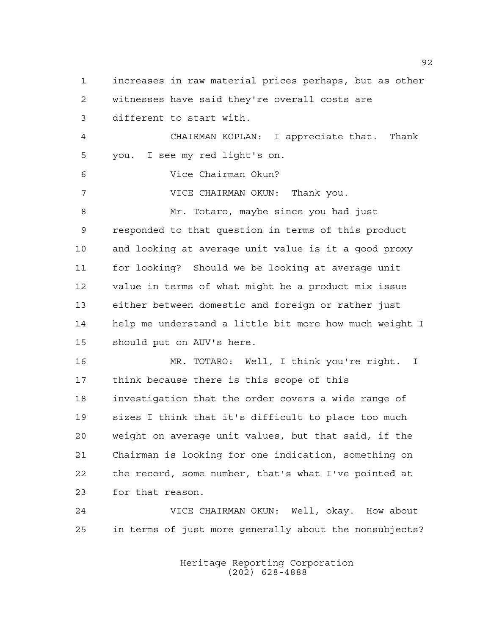increases in raw material prices perhaps, but as other witnesses have said they're overall costs are different to start with. CHAIRMAN KOPLAN: I appreciate that. Thank you. I see my red light's on. Vice Chairman Okun? VICE CHAIRMAN OKUN: Thank you. Mr. Totaro, maybe since you had just responded to that question in terms of this product and looking at average unit value is it a good proxy for looking? Should we be looking at average unit value in terms of what might be a product mix issue either between domestic and foreign or rather just help me understand a little bit more how much weight I should put on AUV's here. MR. TOTARO: Well, I think you're right. I think because there is this scope of this investigation that the order covers a wide range of sizes I think that it's difficult to place too much weight on average unit values, but that said, if the Chairman is looking for one indication, something on the record, some number, that's what I've pointed at for that reason. VICE CHAIRMAN OKUN: Well, okay. How about

> Heritage Reporting Corporation (202) 628-4888

in terms of just more generally about the nonsubjects?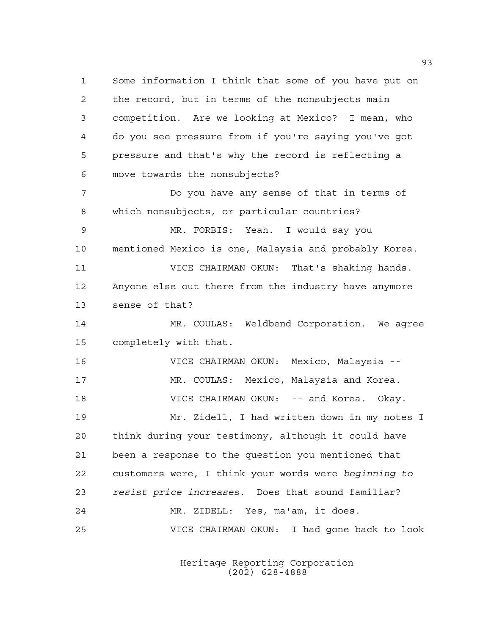Some information I think that some of you have put on the record, but in terms of the nonsubjects main competition. Are we looking at Mexico? I mean, who do you see pressure from if you're saying you've got pressure and that's why the record is reflecting a move towards the nonsubjects? Do you have any sense of that in terms of which nonsubjects, or particular countries? MR. FORBIS: Yeah. I would say you mentioned Mexico is one, Malaysia and probably Korea. VICE CHAIRMAN OKUN: That's shaking hands. Anyone else out there from the industry have anymore sense of that? MR. COULAS: Weldbend Corporation. We agree completely with that. VICE CHAIRMAN OKUN: Mexico, Malaysia -- MR. COULAS: Mexico, Malaysia and Korea. **VICE CHAIRMAN OKUN:** -- and Korea. Okay. Mr. Zidell, I had written down in my notes I think during your testimony, although it could have been a response to the question you mentioned that customers were, I think your words were *beginning to resist price increases*. Does that sound familiar? MR. ZIDELL: Yes, ma'am, it does. VICE CHAIRMAN OKUN: I had gone back to look

> Heritage Reporting Corporation (202) 628-4888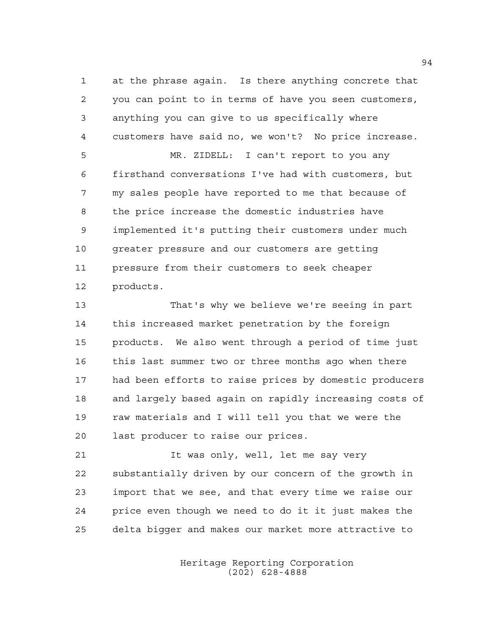at the phrase again. Is there anything concrete that you can point to in terms of have you seen customers, anything you can give to us specifically where customers have said no, we won't? No price increase. MR. ZIDELL: I can't report to you any firsthand conversations I've had with customers, but my sales people have reported to me that because of

 the price increase the domestic industries have implemented it's putting their customers under much greater pressure and our customers are getting pressure from their customers to seek cheaper products.

 That's why we believe we're seeing in part this increased market penetration by the foreign products. We also went through a period of time just this last summer two or three months ago when there had been efforts to raise prices by domestic producers and largely based again on rapidly increasing costs of raw materials and I will tell you that we were the last producer to raise our prices.

21 11 Vas only, well, let me say very substantially driven by our concern of the growth in import that we see, and that every time we raise our price even though we need to do it it just makes the delta bigger and makes our market more attractive to

> Heritage Reporting Corporation (202) 628-4888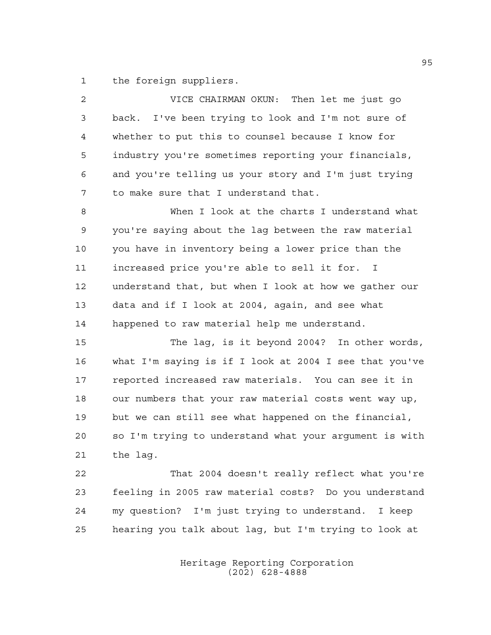the foreign suppliers.

| $\overline{a}$ | VICE CHAIRMAN OKUN: Then let me just go                |
|----------------|--------------------------------------------------------|
| 3              | back. I've been trying to look and I'm not sure of     |
| 4              | whether to put this to counsel because I know for      |
| 5              | industry you're sometimes reporting your financials,   |
| 6              | and you're telling us your story and I'm just trying   |
| 7              | to make sure that I understand that.                   |
| 8              | When I look at the charts I understand what            |
| $\mathsf 9$    | you're saying about the lag between the raw material   |
| 10             | you have in inventory being a lower price than the     |
| 11             | increased price you're able to sell it for. I          |
| 12             | understand that, but when I look at how we qather our  |
| 13             | data and if I look at 2004, again, and see what        |
| 14             | happened to raw material help me understand.           |
| 15             | The lag, is it beyond 2004? In other words,            |
| 16             | what I'm saying is if I look at 2004 I see that you've |
| 17             | reported increased raw materials. You can see it in    |
| 18             | our numbers that your raw material costs went way up,  |
| 19             | but we can still see what happened on the financial,   |
| 20             | so I'm trying to understand what your argument is with |
| 21             | the lag.                                               |
| 22             | That 2004 doesn't really reflect what you're           |
| 23             | feeling in 2005 raw material costs? Do you understand  |
| 24             | my question? I'm just trying to understand. I keep     |

Heritage Reporting Corporation (202) 628-4888

hearing you talk about lag, but I'm trying to look at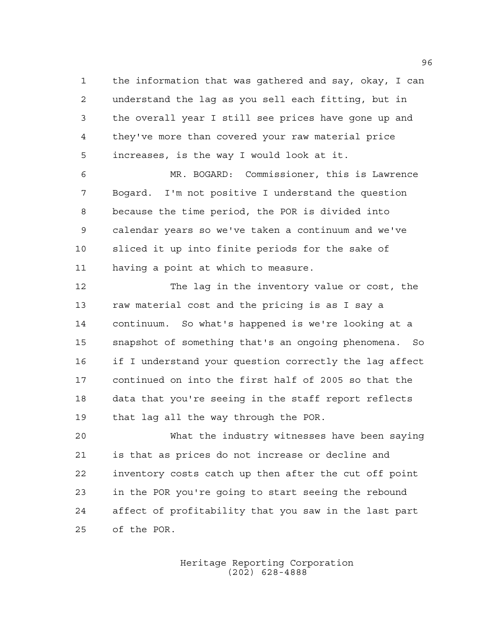the information that was gathered and say, okay, I can understand the lag as you sell each fitting, but in the overall year I still see prices have gone up and they've more than covered your raw material price increases, is the way I would look at it.

 MR. BOGARD: Commissioner, this is Lawrence Bogard. I'm not positive I understand the question because the time period, the POR is divided into calendar years so we've taken a continuum and we've sliced it up into finite periods for the sake of having a point at which to measure.

 The lag in the inventory value or cost, the raw material cost and the pricing is as I say a continuum. So what's happened is we're looking at a snapshot of something that's an ongoing phenomena. So if I understand your question correctly the lag affect continued on into the first half of 2005 so that the data that you're seeing in the staff report reflects that lag all the way through the POR.

 What the industry witnesses have been saying is that as prices do not increase or decline and inventory costs catch up then after the cut off point in the POR you're going to start seeing the rebound affect of profitability that you saw in the last part of the POR.

> Heritage Reporting Corporation (202) 628-4888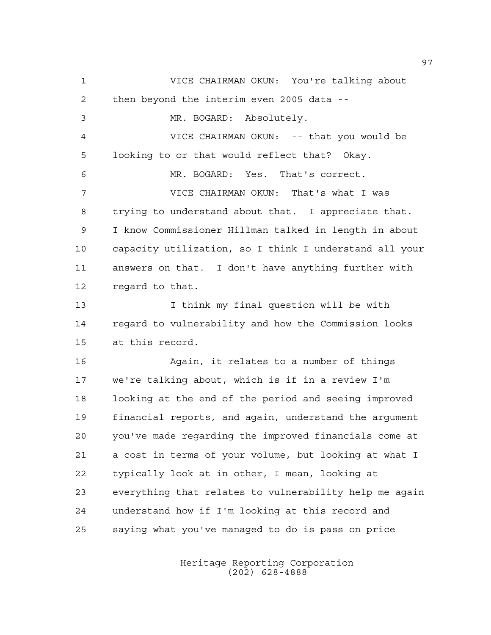VICE CHAIRMAN OKUN: You're talking about then beyond the interim even 2005 data -- MR. BOGARD: Absolutely. VICE CHAIRMAN OKUN: -- that you would be looking to or that would reflect that? Okay. MR. BOGARD: Yes. That's correct. VICE CHAIRMAN OKUN: That's what I was trying to understand about that. I appreciate that. I know Commissioner Hillman talked in length in about capacity utilization, so I think I understand all your answers on that. I don't have anything further with regard to that. I think my final question will be with regard to vulnerability and how the Commission looks at this record. Again, it relates to a number of things we're talking about, which is if in a review I'm looking at the end of the period and seeing improved financial reports, and again, understand the argument you've made regarding the improved financials come at a cost in terms of your volume, but looking at what I typically look at in other, I mean, looking at everything that relates to vulnerability help me again understand how if I'm looking at this record and saying what you've managed to do is pass on price

> Heritage Reporting Corporation (202) 628-4888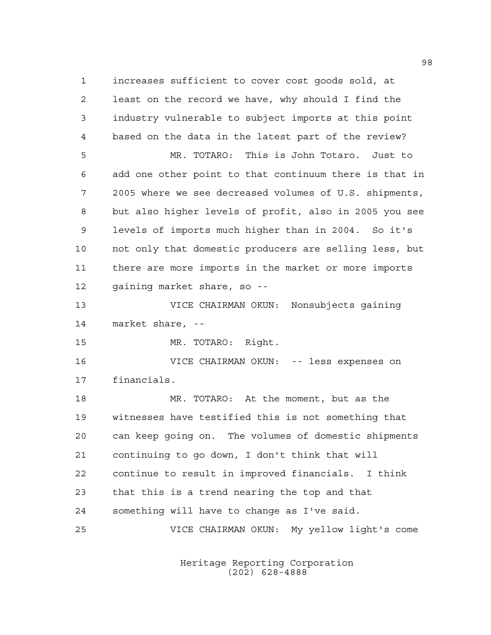increases sufficient to cover cost goods sold, at least on the record we have, why should I find the industry vulnerable to subject imports at this point based on the data in the latest part of the review? MR. TOTARO: This is John Totaro. Just to add one other point to that continuum there is that in 2005 where we see decreased volumes of U.S. shipments, but also higher levels of profit, also in 2005 you see levels of imports much higher than in 2004. So it's not only that domestic producers are selling less, but there are more imports in the market or more imports gaining market share, so -- VICE CHAIRMAN OKUN: Nonsubjects gaining market share, -- MR. TOTARO: Right. VICE CHAIRMAN OKUN: -- less expenses on financials. MR. TOTARO: At the moment, but as the witnesses have testified this is not something that can keep going on. The volumes of domestic shipments continuing to go down, I don't think that will continue to result in improved financials. I think that this is a trend nearing the top and that something will have to change as I've said. VICE CHAIRMAN OKUN: My yellow light's come

> Heritage Reporting Corporation (202) 628-4888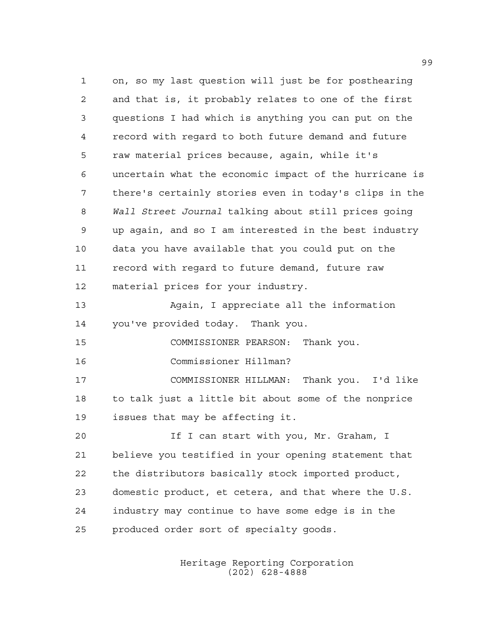on, so my last question will just be for posthearing and that is, it probably relates to one of the first questions I had which is anything you can put on the record with regard to both future demand and future raw material prices because, again, while it's uncertain what the economic impact of the hurricane is there's certainly stories even in today's clips in the *Wall Street Journal* talking about still prices going up again, and so I am interested in the best industry data you have available that you could put on the record with regard to future demand, future raw material prices for your industry. Again, I appreciate all the information you've provided today. Thank you. COMMISSIONER PEARSON: Thank you. Commissioner Hillman? COMMISSIONER HILLMAN: Thank you. I'd like to talk just a little bit about some of the nonprice issues that may be affecting it. If I can start with you, Mr. Graham, I believe you testified in your opening statement that the distributors basically stock imported product, domestic product, et cetera, and that where the U.S. industry may continue to have some edge is in the produced order sort of specialty goods.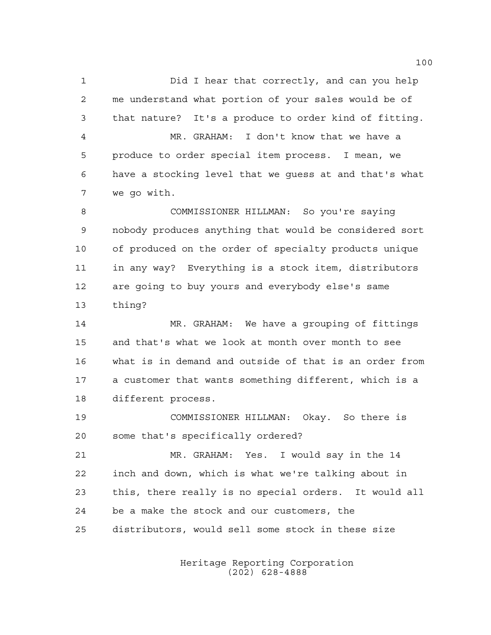Did I hear that correctly, and can you help me understand what portion of your sales would be of that nature? It's a produce to order kind of fitting. MR. GRAHAM: I don't know that we have a produce to order special item process. I mean, we have a stocking level that we guess at and that's what we go with.

 COMMISSIONER HILLMAN: So you're saying nobody produces anything that would be considered sort of produced on the order of specialty products unique in any way? Everything is a stock item, distributors are going to buy yours and everybody else's same thing?

 MR. GRAHAM: We have a grouping of fittings and that's what we look at month over month to see what is in demand and outside of that is an order from a customer that wants something different, which is a different process.

 COMMISSIONER HILLMAN: Okay. So there is some that's specifically ordered?

 MR. GRAHAM: Yes. I would say in the 14 inch and down, which is what we're talking about in this, there really is no special orders. It would all be a make the stock and our customers, the distributors, would sell some stock in these size

> Heritage Reporting Corporation (202) 628-4888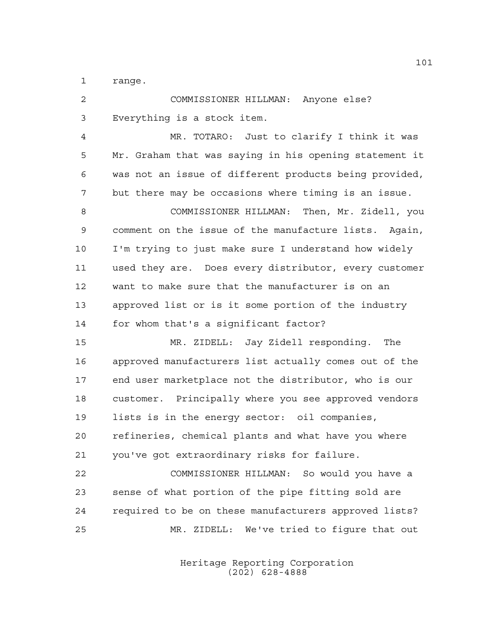range.

| COMMISSIONER HILLMAN: Anyone else?                     |
|--------------------------------------------------------|
| Everything is a stock item.                            |
| MR. TOTARO: Just to clarify I think it was             |
| Mr. Graham that was saying in his opening statement it |
| was not an issue of different products being provided, |
| but there may be occasions where timing is an issue.   |
| COMMISSIONER HILLMAN: Then, Mr. Zidell, you            |
| comment on the issue of the manufacture lists. Again,  |
| I'm trying to just make sure I understand how widely   |
| used they are. Does every distributor, every customer  |
| want to make sure that the manufacturer is on an       |
| approved list or is it some portion of the industry    |
| for whom that's a significant factor?                  |
| MR. ZIDELL: Jay Zidell responding.<br>The              |
| approved manufacturers list actually comes out of the  |
| end user marketplace not the distributor, who is our   |
| customer. Principally where you see approved vendors   |
| lists is in the energy sector: oil companies,          |
| refineries, chemical plants and what have you where    |
| you've got extraordinary risks for failure.            |
| COMMISSIONER HILLMAN: So would you have a              |
| sense of what portion of the pipe fitting sold are     |
| required to be on these manufacturers approved lists?  |
| MR. ZIDELL: We've tried to figure that out             |
|                                                        |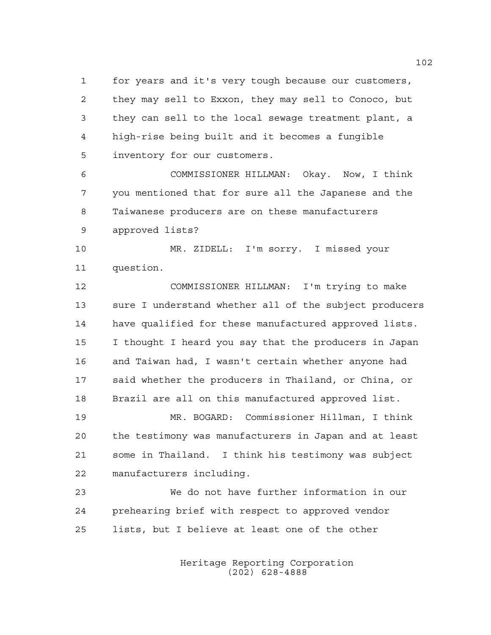for years and it's very tough because our customers, they may sell to Exxon, they may sell to Conoco, but they can sell to the local sewage treatment plant, a high-rise being built and it becomes a fungible inventory for our customers.

 COMMISSIONER HILLMAN: Okay. Now, I think you mentioned that for sure all the Japanese and the Taiwanese producers are on these manufacturers approved lists?

 MR. ZIDELL: I'm sorry. I missed your question.

 COMMISSIONER HILLMAN: I'm trying to make sure I understand whether all of the subject producers have qualified for these manufactured approved lists. I thought I heard you say that the producers in Japan and Taiwan had, I wasn't certain whether anyone had said whether the producers in Thailand, or China, or Brazil are all on this manufactured approved list.

 MR. BOGARD: Commissioner Hillman, I think the testimony was manufacturers in Japan and at least some in Thailand. I think his testimony was subject manufacturers including.

 We do not have further information in our prehearing brief with respect to approved vendor lists, but I believe at least one of the other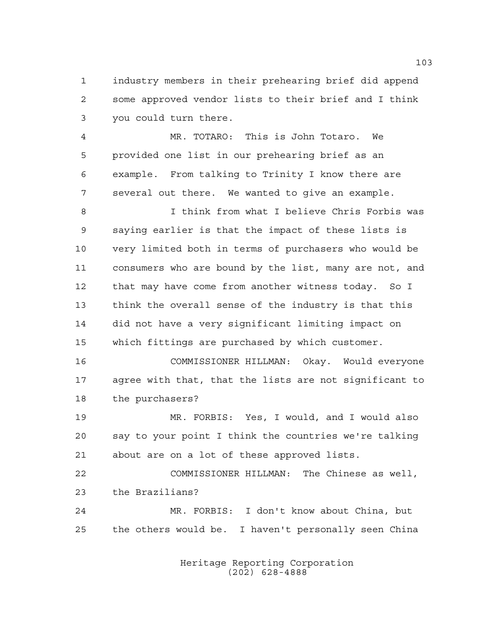industry members in their prehearing brief did append some approved vendor lists to their brief and I think you could turn there.

 MR. TOTARO: This is John Totaro. We provided one list in our prehearing brief as an example. From talking to Trinity I know there are several out there. We wanted to give an example.

 I think from what I believe Chris Forbis was saying earlier is that the impact of these lists is very limited both in terms of purchasers who would be consumers who are bound by the list, many are not, and that may have come from another witness today. So I think the overall sense of the industry is that this did not have a very significant limiting impact on which fittings are purchased by which customer.

 COMMISSIONER HILLMAN: Okay. Would everyone agree with that, that the lists are not significant to the purchasers?

 MR. FORBIS: Yes, I would, and I would also say to your point I think the countries we're talking about are on a lot of these approved lists.

 COMMISSIONER HILLMAN: The Chinese as well, the Brazilians? MR. FORBIS: I don't know about China, but

the others would be. I haven't personally seen China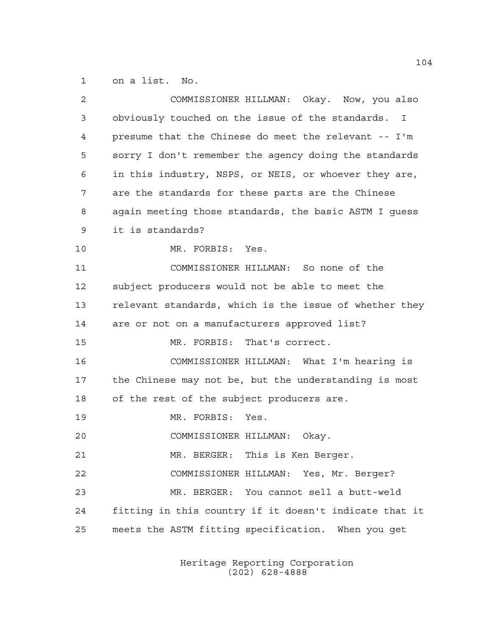on a list. No.

| 2  | COMMISSIONER HILLMAN: Okay. Now, you also              |
|----|--------------------------------------------------------|
| 3  | obviously touched on the issue of the standards. I     |
| 4  | presume that the Chinese do meet the relevant -- I'm   |
| 5  | sorry I don't remember the agency doing the standards  |
| 6  | in this industry, NSPS, or NEIS, or whoever they are,  |
| 7  | are the standards for these parts are the Chinese      |
| 8  | again meeting those standards, the basic ASTM I guess  |
| 9  | it is standards?                                       |
| 10 | MR. FORBIS: Yes.                                       |
| 11 | COMMISSIONER HILLMAN: So none of the                   |
| 12 | subject producers would not be able to meet the        |
| 13 | relevant standards, which is the issue of whether they |
| 14 | are or not on a manufacturers approved list?           |
| 15 | MR. FORBIS: That's correct.                            |
| 16 | COMMISSIONER HILLMAN: What I'm hearing is              |
| 17 | the Chinese may not be, but the understanding is most  |
| 18 | of the rest of the subject producers are.              |
| 19 | MR. FORBIS: Yes.                                       |
| 20 | COMMISSIONER HILLMAN:<br>Okay.                         |
| 21 | MR. BERGER: This is Ken Berger.                        |
| 22 | COMMISSIONER HILLMAN: Yes, Mr. Berger?                 |
| 23 | MR. BERGER: You cannot sell a butt-weld                |
| 24 | fitting in this country if it doesn't indicate that it |
| 25 | meets the ASTM fitting specification. When you get     |
|    |                                                        |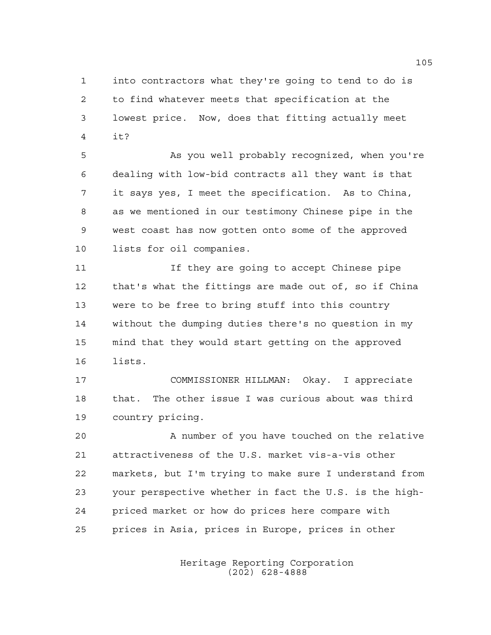into contractors what they're going to tend to do is to find whatever meets that specification at the lowest price. Now, does that fitting actually meet it?

 As you well probably recognized, when you're dealing with low-bid contracts all they want is that it says yes, I meet the specification. As to China, as we mentioned in our testimony Chinese pipe in the west coast has now gotten onto some of the approved lists for oil companies.

**If they are going to accept Chinese pipe**  that's what the fittings are made out of, so if China were to be free to bring stuff into this country without the dumping duties there's no question in my mind that they would start getting on the approved lists.

 COMMISSIONER HILLMAN: Okay. I appreciate that. The other issue I was curious about was third country pricing.

 A number of you have touched on the relative attractiveness of the U.S. market vis-a-vis other markets, but I'm trying to make sure I understand from your perspective whether in fact the U.S. is the high- priced market or how do prices here compare with prices in Asia, prices in Europe, prices in other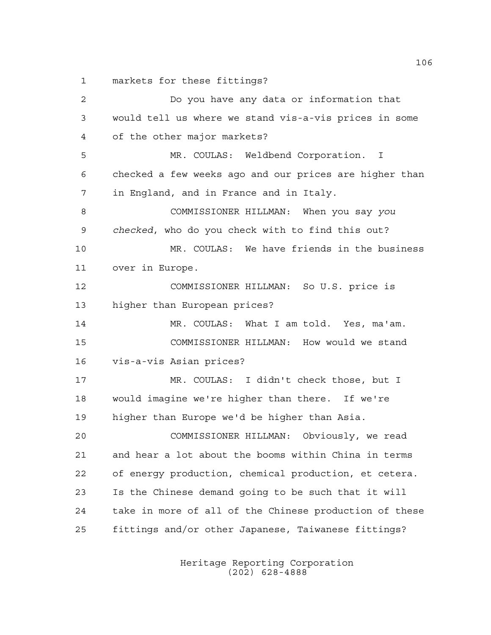markets for these fittings?

 Do you have any data or information that would tell us where we stand vis-a-vis prices in some of the other major markets? MR. COULAS: Weldbend Corporation. I checked a few weeks ago and our prices are higher than in England, and in France and in Italy. COMMISSIONER HILLMAN: When you say *you checked*, who do you check with to find this out? MR. COULAS: We have friends in the business over in Europe. COMMISSIONER HILLMAN: So U.S. price is higher than European prices? MR. COULAS: What I am told. Yes, ma'am. COMMISSIONER HILLMAN: How would we stand vis-a-vis Asian prices? MR. COULAS: I didn't check those, but I would imagine we're higher than there. If we're higher than Europe we'd be higher than Asia. COMMISSIONER HILLMAN: Obviously, we read and hear a lot about the booms within China in terms of energy production, chemical production, et cetera. Is the Chinese demand going to be such that it will take in more of all of the Chinese production of these fittings and/or other Japanese, Taiwanese fittings?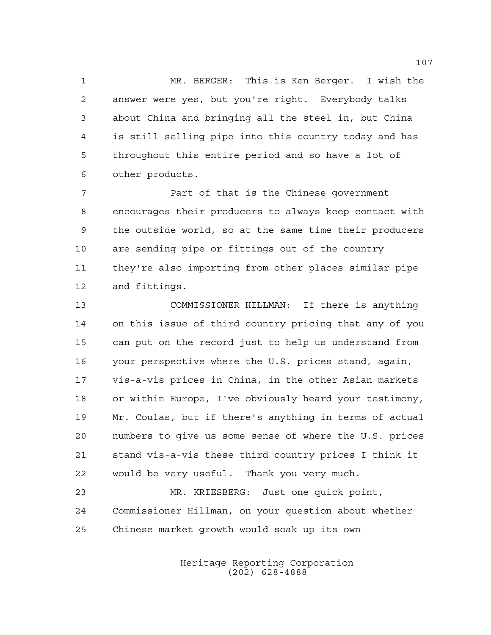MR. BERGER: This is Ken Berger. I wish the answer were yes, but you're right. Everybody talks about China and bringing all the steel in, but China is still selling pipe into this country today and has throughout this entire period and so have a lot of other products.

 Part of that is the Chinese government encourages their producers to always keep contact with the outside world, so at the same time their producers are sending pipe or fittings out of the country they're also importing from other places similar pipe and fittings.

 COMMISSIONER HILLMAN: If there is anything on this issue of third country pricing that any of you can put on the record just to help us understand from your perspective where the U.S. prices stand, again, vis-a-vis prices in China, in the other Asian markets or within Europe, I've obviously heard your testimony, Mr. Coulas, but if there's anything in terms of actual numbers to give us some sense of where the U.S. prices stand vis-a-vis these third country prices I think it would be very useful. Thank you very much.

 MR. KRIESBERG: Just one quick point, Commissioner Hillman, on your question about whether Chinese market growth would soak up its own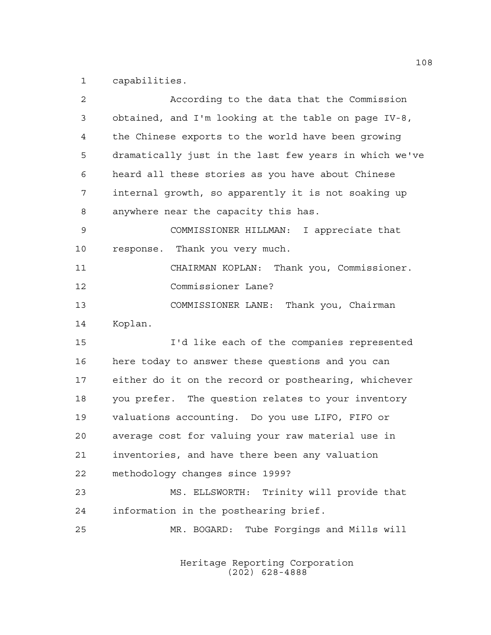capabilities.

| 2           | According to the data that the Commission              |
|-------------|--------------------------------------------------------|
| 3           | obtained, and I'm looking at the table on page IV-8,   |
| 4           | the Chinese exports to the world have been growing     |
| 5           | dramatically just in the last few years in which we've |
| 6           | heard all these stories as you have about Chinese      |
| 7           | internal growth, so apparently it is not soaking up    |
| 8           | anywhere near the capacity this has.                   |
| $\mathsf 9$ | COMMISSIONER HILLMAN: I appreciate that                |
| 10          | response. Thank you very much.                         |
| 11          | CHAIRMAN KOPLAN: Thank you, Commissioner.              |
| 12          | Commissioner Lane?                                     |
| 13          | COMMISSIONER LANE: Thank you, Chairman                 |
| 14          | Koplan.                                                |
| 15          | I'd like each of the companies represented             |
| 16          | here today to answer these questions and you can       |
| 17          | either do it on the record or posthearing, whichever   |
| 18          | you prefer. The question relates to your inventory     |
| 19          | valuations accounting. Do you use LIFO, FIFO or        |
| 20          | average cost for valuing your raw material use in      |
| 21          | inventories, and have there been any valuation         |
| 22          | methodology changes since 1999?                        |
| 23          | MS. ELLSWORTH: Trinity will provide that               |
| 24          | information in the posthearing brief.                  |
| 25          | MR. BOGARD:<br>Tube Forgings and Mills will            |
|             |                                                        |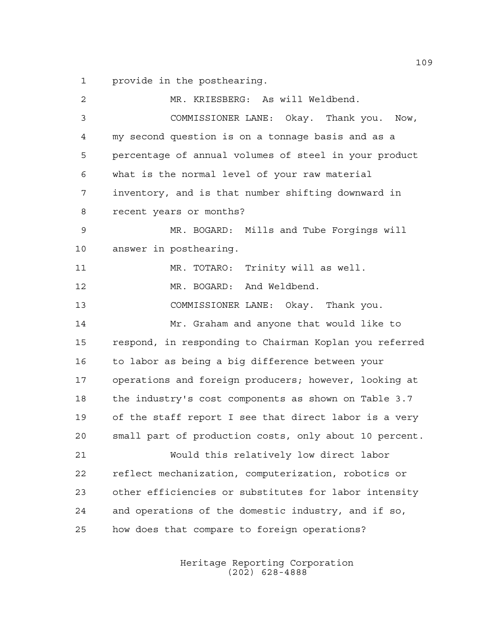provide in the posthearing.

 MR. KRIESBERG: As will Weldbend. COMMISSIONER LANE: Okay. Thank you. Now, my second question is on a tonnage basis and as a percentage of annual volumes of steel in your product what is the normal level of your raw material inventory, and is that number shifting downward in recent years or months? MR. BOGARD: Mills and Tube Forgings will answer in posthearing. MR. TOTARO: Trinity will as well. MR. BOGARD: And Weldbend. COMMISSIONER LANE: Okay. Thank you. Mr. Graham and anyone that would like to respond, in responding to Chairman Koplan you referred to labor as being a big difference between your operations and foreign producers; however, looking at the industry's cost components as shown on Table 3.7 of the staff report I see that direct labor is a very small part of production costs, only about 10 percent. Would this relatively low direct labor reflect mechanization, computerization, robotics or other efficiencies or substitutes for labor intensity and operations of the domestic industry, and if so, how does that compare to foreign operations?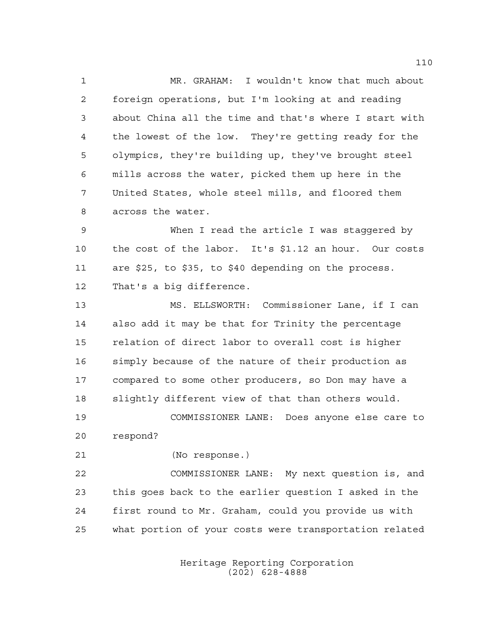MR. GRAHAM: I wouldn't know that much about foreign operations, but I'm looking at and reading about China all the time and that's where I start with the lowest of the low. They're getting ready for the olympics, they're building up, they've brought steel mills across the water, picked them up here in the United States, whole steel mills, and floored them across the water.

 When I read the article I was staggered by the cost of the labor. It's \$1.12 an hour. Our costs are \$25, to \$35, to \$40 depending on the process. That's a big difference.

 MS. ELLSWORTH: Commissioner Lane, if I can also add it may be that for Trinity the percentage relation of direct labor to overall cost is higher simply because of the nature of their production as compared to some other producers, so Don may have a slightly different view of that than others would.

 COMMISSIONER LANE: Does anyone else care to respond?

(No response.)

 COMMISSIONER LANE: My next question is, and this goes back to the earlier question I asked in the first round to Mr. Graham, could you provide us with what portion of your costs were transportation related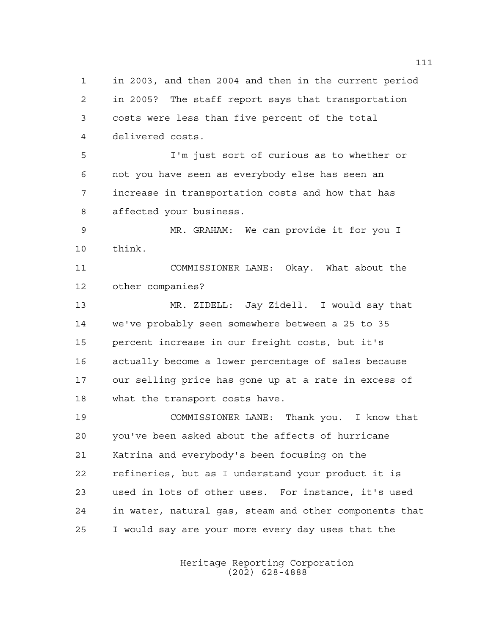in 2005? The staff report says that transportation costs were less than five percent of the total delivered costs. I'm just sort of curious as to whether or not you have seen as everybody else has seen an increase in transportation costs and how that has affected your business. MR. GRAHAM: We can provide it for you I think. COMMISSIONER LANE: Okay. What about the other companies? MR. ZIDELL: Jay Zidell. I would say that we've probably seen somewhere between a 25 to 35 percent increase in our freight costs, but it's actually become a lower percentage of sales because our selling price has gone up at a rate in excess of what the transport costs have.

in 2003, and then 2004 and then in the current period

 COMMISSIONER LANE: Thank you. I know that you've been asked about the affects of hurricane Katrina and everybody's been focusing on the refineries, but as I understand your product it is used in lots of other uses. For instance, it's used in water, natural gas, steam and other components that I would say are your more every day uses that the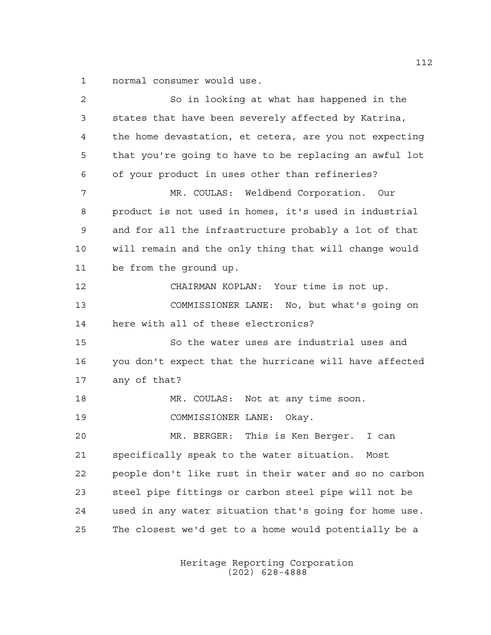normal consumer would use.

 So in looking at what has happened in the states that have been severely affected by Katrina, the home devastation, et cetera, are you not expecting that you're going to have to be replacing an awful lot of your product in uses other than refineries? MR. COULAS: Weldbend Corporation. Our product is not used in homes, it's used in industrial and for all the infrastructure probably a lot of that will remain and the only thing that will change would be from the ground up. CHAIRMAN KOPLAN: Your time is not up. COMMISSIONER LANE: No, but what's going on here with all of these electronics? So the water uses are industrial uses and you don't expect that the hurricane will have affected any of that? 18 MR. COULAS: Not at any time soon. COMMISSIONER LANE: Okay. MR. BERGER: This is Ken Berger. I can specifically speak to the water situation. Most people don't like rust in their water and so no carbon steel pipe fittings or carbon steel pipe will not be used in any water situation that's going for home use. The closest we'd get to a home would potentially be a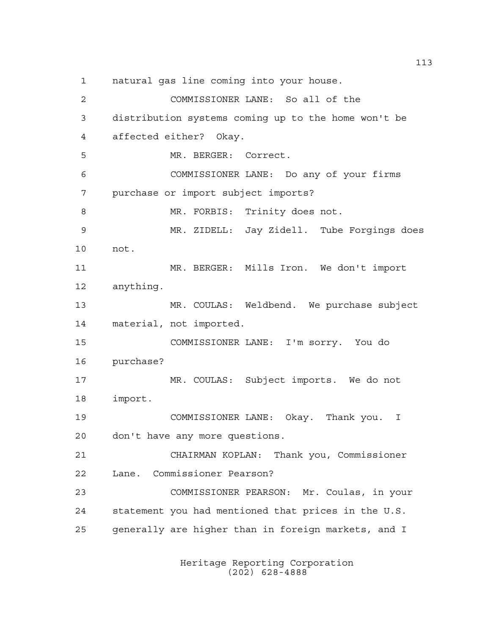natural gas line coming into your house.

 COMMISSIONER LANE: So all of the distribution systems coming up to the home won't be affected either? Okay. MR. BERGER: Correct. COMMISSIONER LANE: Do any of your firms purchase or import subject imports? 8 MR. FORBIS: Trinity does not. MR. ZIDELL: Jay Zidell. Tube Forgings does not. MR. BERGER: Mills Iron. We don't import anything. MR. COULAS: Weldbend. We purchase subject material, not imported. COMMISSIONER LANE: I'm sorry. You do purchase? MR. COULAS: Subject imports. We do not import. COMMISSIONER LANE: Okay. Thank you. I don't have any more questions. CHAIRMAN KOPLAN: Thank you, Commissioner Lane. Commissioner Pearson? COMMISSIONER PEARSON: Mr. Coulas, in your statement you had mentioned that prices in the U.S. generally are higher than in foreign markets, and I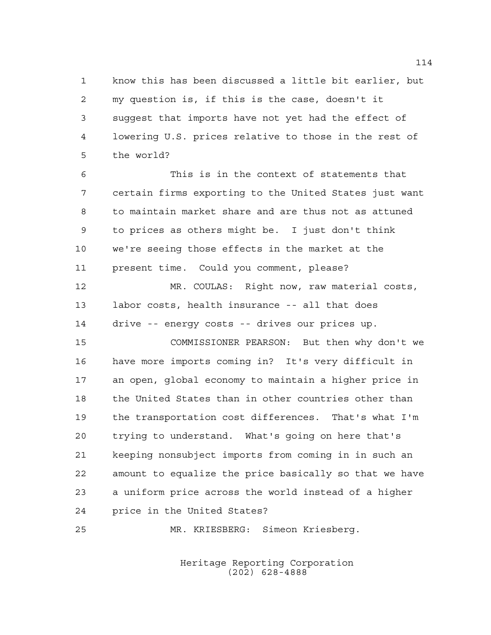know this has been discussed a little bit earlier, but my question is, if this is the case, doesn't it suggest that imports have not yet had the effect of lowering U.S. prices relative to those in the rest of the world?

 This is in the context of statements that certain firms exporting to the United States just want to maintain market share and are thus not as attuned to prices as others might be. I just don't think we're seeing those effects in the market at the present time. Could you comment, please?

 MR. COULAS: Right now, raw material costs, labor costs, health insurance -- all that does drive -- energy costs -- drives our prices up.

 COMMISSIONER PEARSON: But then why don't we have more imports coming in? It's very difficult in an open, global economy to maintain a higher price in the United States than in other countries other than the transportation cost differences. That's what I'm trying to understand. What's going on here that's keeping nonsubject imports from coming in in such an amount to equalize the price basically so that we have a uniform price across the world instead of a higher price in the United States?

MR. KRIESBERG: Simeon Kriesberg.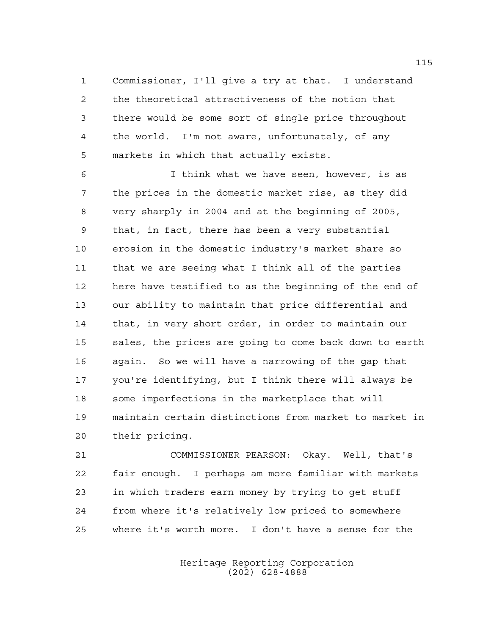Commissioner, I'll give a try at that. I understand the theoretical attractiveness of the notion that there would be some sort of single price throughout the world. I'm not aware, unfortunately, of any markets in which that actually exists.

 I think what we have seen, however, is as the prices in the domestic market rise, as they did very sharply in 2004 and at the beginning of 2005, that, in fact, there has been a very substantial erosion in the domestic industry's market share so that we are seeing what I think all of the parties here have testified to as the beginning of the end of our ability to maintain that price differential and that, in very short order, in order to maintain our sales, the prices are going to come back down to earth again. So we will have a narrowing of the gap that you're identifying, but I think there will always be some imperfections in the marketplace that will maintain certain distinctions from market to market in their pricing.

 COMMISSIONER PEARSON: Okay. Well, that's fair enough. I perhaps am more familiar with markets in which traders earn money by trying to get stuff from where it's relatively low priced to somewhere where it's worth more. I don't have a sense for the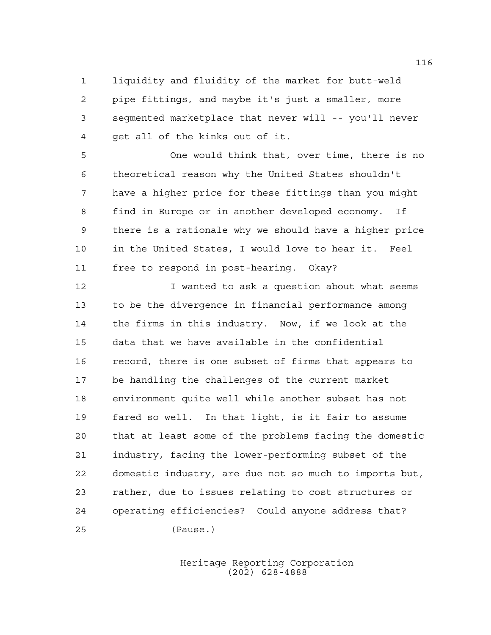liquidity and fluidity of the market for butt-weld pipe fittings, and maybe it's just a smaller, more segmented marketplace that never will -- you'll never get all of the kinks out of it.

 One would think that, over time, there is no theoretical reason why the United States shouldn't have a higher price for these fittings than you might find in Europe or in another developed economy. If there is a rationale why we should have a higher price in the United States, I would love to hear it. Feel free to respond in post-hearing. Okay?

**I** wanted to ask a question about what seems to be the divergence in financial performance among the firms in this industry. Now, if we look at the data that we have available in the confidential record, there is one subset of firms that appears to be handling the challenges of the current market environment quite well while another subset has not fared so well. In that light, is it fair to assume that at least some of the problems facing the domestic industry, facing the lower-performing subset of the domestic industry, are due not so much to imports but, rather, due to issues relating to cost structures or operating efficiencies? Could anyone address that? (Pause.)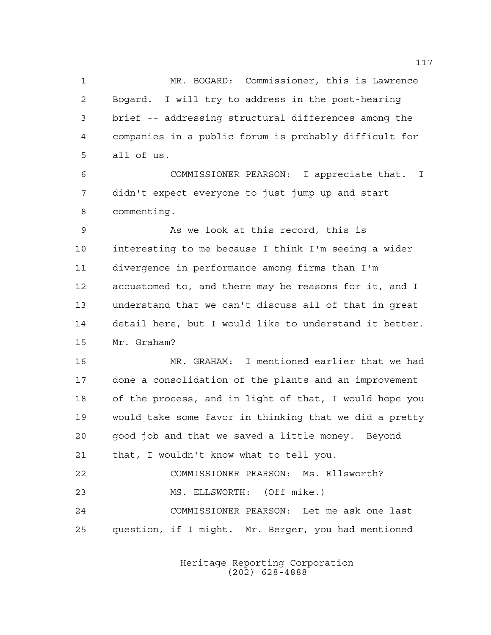MR. BOGARD: Commissioner, this is Lawrence Bogard. I will try to address in the post-hearing brief -- addressing structural differences among the companies in a public forum is probably difficult for all of us.

 COMMISSIONER PEARSON: I appreciate that. I didn't expect everyone to just jump up and start commenting.

 As we look at this record, this is interesting to me because I think I'm seeing a wider divergence in performance among firms than I'm accustomed to, and there may be reasons for it, and I understand that we can't discuss all of that in great detail here, but I would like to understand it better. Mr. Graham?

 MR. GRAHAM: I mentioned earlier that we had done a consolidation of the plants and an improvement of the process, and in light of that, I would hope you would take some favor in thinking that we did a pretty good job and that we saved a little money. Beyond that, I wouldn't know what to tell you. COMMISSIONER PEARSON: Ms. Ellsworth?

MS. ELLSWORTH: (Off mike.)

 COMMISSIONER PEARSON: Let me ask one last question, if I might. Mr. Berger, you had mentioned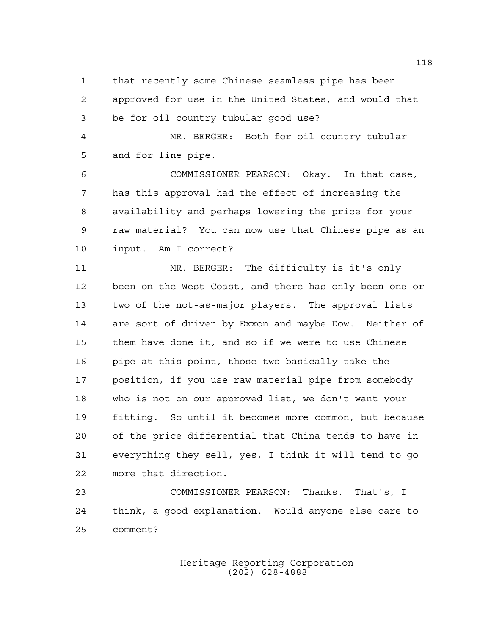that recently some Chinese seamless pipe has been approved for use in the United States, and would that be for oil country tubular good use?

 MR. BERGER: Both for oil country tubular and for line pipe.

 COMMISSIONER PEARSON: Okay. In that case, has this approval had the effect of increasing the availability and perhaps lowering the price for your raw material? You can now use that Chinese pipe as an input. Am I correct?

 MR. BERGER: The difficulty is it's only been on the West Coast, and there has only been one or two of the not-as-major players. The approval lists are sort of driven by Exxon and maybe Dow. Neither of them have done it, and so if we were to use Chinese pipe at this point, those two basically take the position, if you use raw material pipe from somebody who is not on our approved list, we don't want your fitting. So until it becomes more common, but because of the price differential that China tends to have in everything they sell, yes, I think it will tend to go more that direction.

 COMMISSIONER PEARSON: Thanks. That's, I think, a good explanation. Would anyone else care to comment?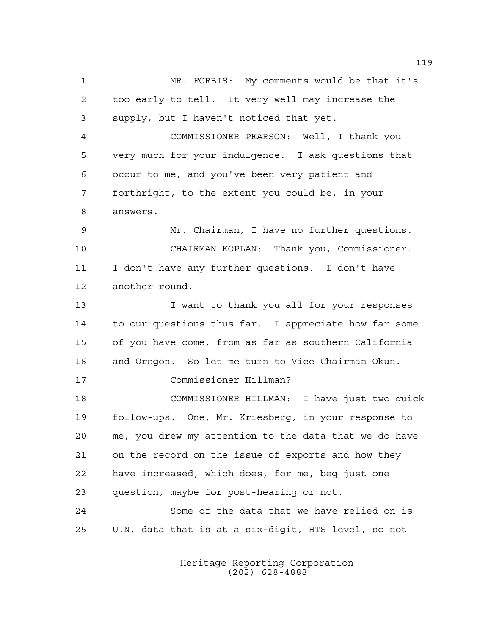MR. FORBIS: My comments would be that it's too early to tell. It very well may increase the supply, but I haven't noticed that yet.

 COMMISSIONER PEARSON: Well, I thank you very much for your indulgence. I ask questions that occur to me, and you've been very patient and forthright, to the extent you could be, in your answers.

 Mr. Chairman, I have no further questions. CHAIRMAN KOPLAN: Thank you, Commissioner. I don't have any further questions. I don't have another round.

13 13 I want to thank you all for your responses to our questions thus far. I appreciate how far some of you have come, from as far as southern California and Oregon. So let me turn to Vice Chairman Okun. Commissioner Hillman?

 COMMISSIONER HILLMAN: I have just two quick follow-ups. One, Mr. Kriesberg, in your response to me, you drew my attention to the data that we do have on the record on the issue of exports and how they have increased, which does, for me, beg just one question, maybe for post-hearing or not. Some of the data that we have relied on is

U.N. data that is at a six-digit, HTS level, so not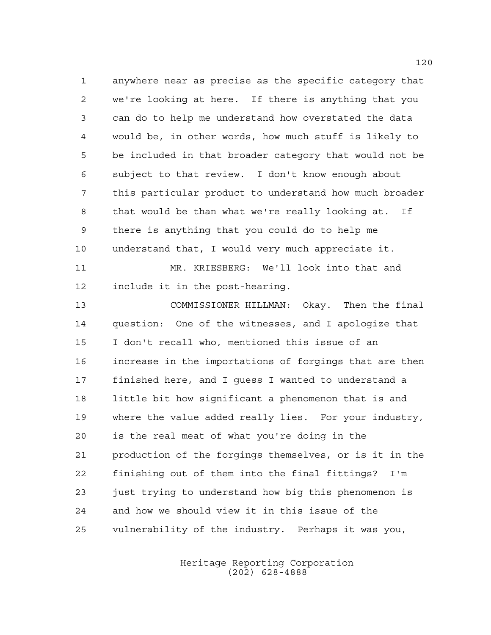anywhere near as precise as the specific category that we're looking at here. If there is anything that you can do to help me understand how overstated the data would be, in other words, how much stuff is likely to be included in that broader category that would not be subject to that review. I don't know enough about this particular product to understand how much broader that would be than what we're really looking at. If there is anything that you could do to help me understand that, I would very much appreciate it.

 MR. KRIESBERG: We'll look into that and include it in the post-hearing.

 COMMISSIONER HILLMAN: Okay. Then the final question: One of the witnesses, and I apologize that I don't recall who, mentioned this issue of an increase in the importations of forgings that are then finished here, and I guess I wanted to understand a little bit how significant a phenomenon that is and where the value added really lies. For your industry, is the real meat of what you're doing in the production of the forgings themselves, or is it in the finishing out of them into the final fittings? I'm 23 just trying to understand how big this phenomenon is and how we should view it in this issue of the vulnerability of the industry. Perhaps it was you,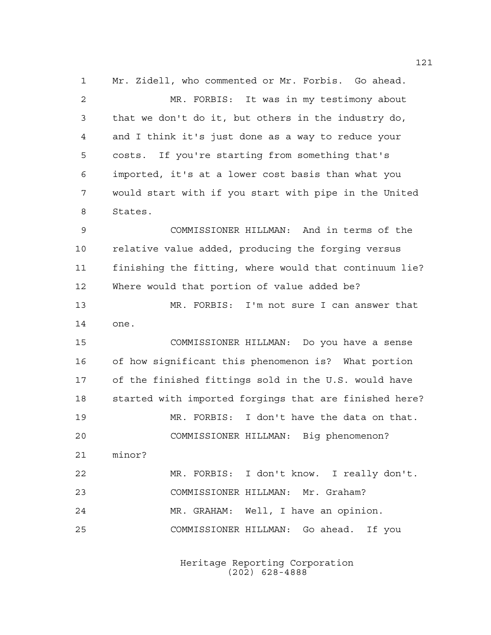Mr. Zidell, who commented or Mr. Forbis. Go ahead. MR. FORBIS: It was in my testimony about that we don't do it, but others in the industry do, and I think it's just done as a way to reduce your costs. If you're starting from something that's imported, it's at a lower cost basis than what you would start with if you start with pipe in the United States. COMMISSIONER HILLMAN: And in terms of the relative value added, producing the forging versus finishing the fitting, where would that continuum lie? Where would that portion of value added be? MR. FORBIS: I'm not sure I can answer that one. COMMISSIONER HILLMAN: Do you have a sense of how significant this phenomenon is? What portion of the finished fittings sold in the U.S. would have started with imported forgings that are finished here? MR. FORBIS: I don't have the data on that. COMMISSIONER HILLMAN: Big phenomenon? minor? MR. FORBIS: I don't know. I really don't. COMMISSIONER HILLMAN: Mr. Graham? MR. GRAHAM: Well, I have an opinion. COMMISSIONER HILLMAN: Go ahead. If you

> Heritage Reporting Corporation (202) 628-4888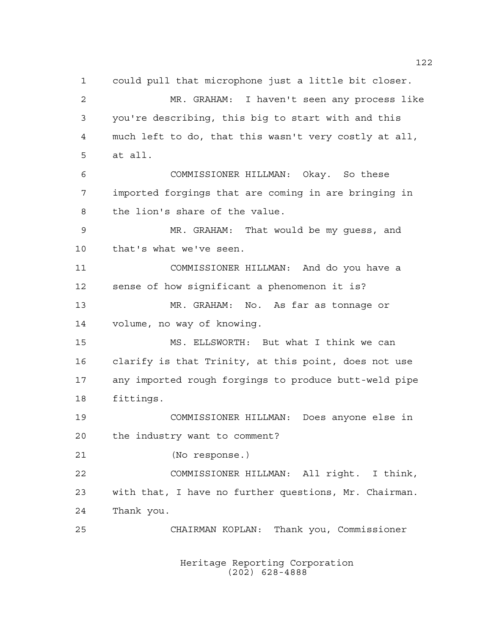could pull that microphone just a little bit closer. MR. GRAHAM: I haven't seen any process like you're describing, this big to start with and this much left to do, that this wasn't very costly at all, at all. COMMISSIONER HILLMAN: Okay. So these imported forgings that are coming in are bringing in the lion's share of the value. MR. GRAHAM: That would be my guess, and that's what we've seen. COMMISSIONER HILLMAN: And do you have a sense of how significant a phenomenon it is? MR. GRAHAM: No. As far as tonnage or volume, no way of knowing. MS. ELLSWORTH: But what I think we can clarify is that Trinity, at this point, does not use any imported rough forgings to produce butt-weld pipe fittings. COMMISSIONER HILLMAN: Does anyone else in the industry want to comment? (No response.) COMMISSIONER HILLMAN: All right. I think, with that, I have no further questions, Mr. Chairman. Thank you. CHAIRMAN KOPLAN: Thank you, Commissioner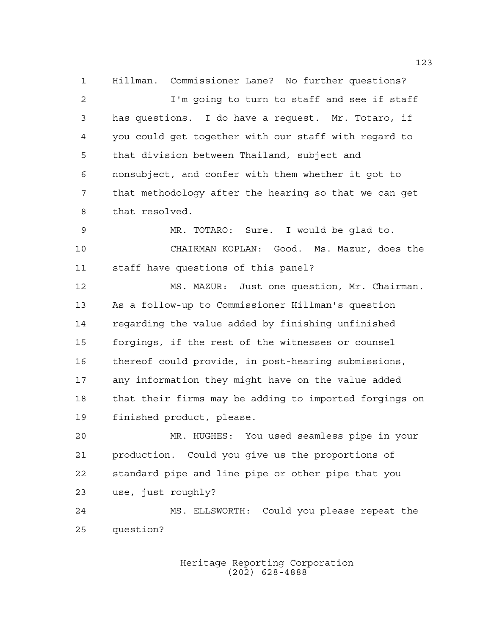Hillman. Commissioner Lane? No further questions? I'm going to turn to staff and see if staff has questions. I do have a request. Mr. Totaro, if you could get together with our staff with regard to that division between Thailand, subject and nonsubject, and confer with them whether it got to that methodology after the hearing so that we can get that resolved.

 MR. TOTARO: Sure. I would be glad to. CHAIRMAN KOPLAN: Good. Ms. Mazur, does the staff have questions of this panel?

 MS. MAZUR: Just one question, Mr. Chairman. As a follow-up to Commissioner Hillman's question regarding the value added by finishing unfinished forgings, if the rest of the witnesses or counsel thereof could provide, in post-hearing submissions, any information they might have on the value added that their firms may be adding to imported forgings on finished product, please.

 MR. HUGHES: You used seamless pipe in your production. Could you give us the proportions of standard pipe and line pipe or other pipe that you use, just roughly?

 MS. ELLSWORTH: Could you please repeat the question?

> Heritage Reporting Corporation (202) 628-4888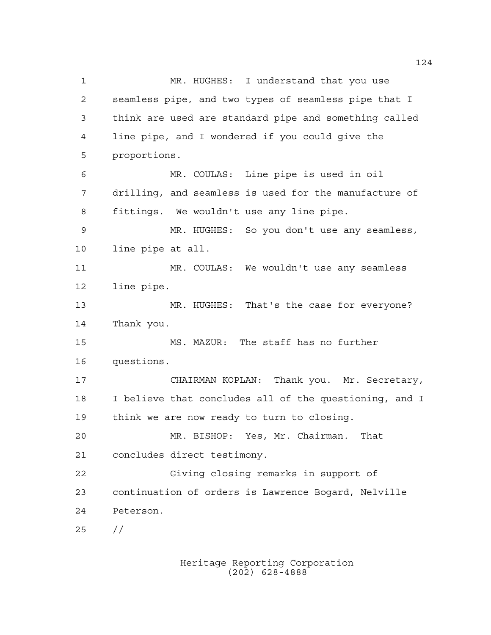MR. HUGHES: I understand that you use seamless pipe, and two types of seamless pipe that I think are used are standard pipe and something called line pipe, and I wondered if you could give the proportions. MR. COULAS: Line pipe is used in oil drilling, and seamless is used for the manufacture of fittings. We wouldn't use any line pipe. MR. HUGHES: So you don't use any seamless, line pipe at all. MR. COULAS: We wouldn't use any seamless line pipe. MR. HUGHES: That's the case for everyone? Thank you. MS. MAZUR: The staff has no further questions. CHAIRMAN KOPLAN: Thank you. Mr. Secretary, I believe that concludes all of the questioning, and I think we are now ready to turn to closing. MR. BISHOP: Yes, Mr. Chairman. That concludes direct testimony. Giving closing remarks in support of continuation of orders is Lawrence Bogard, Nelville Peterson.  $25 / /$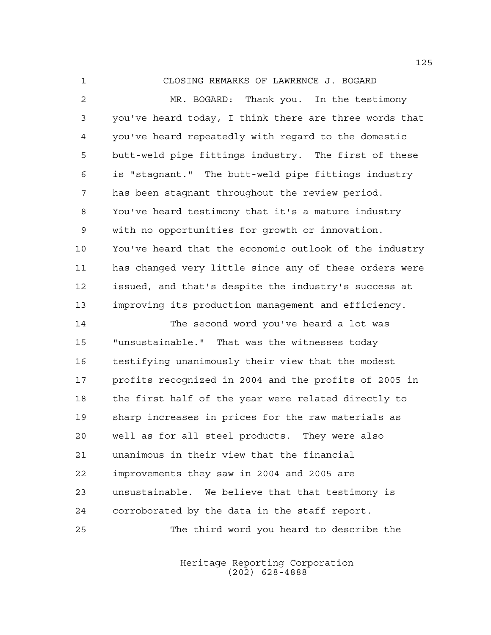CLOSING REMARKS OF LAWRENCE J. BOGARD

 MR. BOGARD: Thank you. In the testimony you've heard today, I think there are three words that you've heard repeatedly with regard to the domestic butt-weld pipe fittings industry. The first of these is "stagnant." The butt-weld pipe fittings industry has been stagnant throughout the review period. You've heard testimony that it's a mature industry with no opportunities for growth or innovation. You've heard that the economic outlook of the industry has changed very little since any of these orders were issued, and that's despite the industry's success at improving its production management and efficiency.

 The second word you've heard a lot was "unsustainable." That was the witnesses today testifying unanimously their view that the modest profits recognized in 2004 and the profits of 2005 in the first half of the year were related directly to sharp increases in prices for the raw materials as well as for all steel products. They were also unanimous in their view that the financial improvements they saw in 2004 and 2005 are unsustainable. We believe that that testimony is corroborated by the data in the staff report. The third word you heard to describe the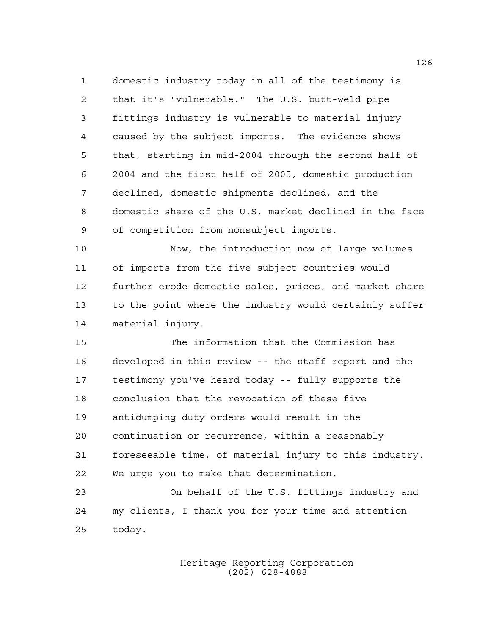domestic industry today in all of the testimony is that it's "vulnerable." The U.S. butt-weld pipe fittings industry is vulnerable to material injury caused by the subject imports. The evidence shows that, starting in mid-2004 through the second half of 2004 and the first half of 2005, domestic production declined, domestic shipments declined, and the domestic share of the U.S. market declined in the face of competition from nonsubject imports.

 Now, the introduction now of large volumes of imports from the five subject countries would further erode domestic sales, prices, and market share to the point where the industry would certainly suffer material injury.

 The information that the Commission has developed in this review -- the staff report and the testimony you've heard today -- fully supports the conclusion that the revocation of these five antidumping duty orders would result in the continuation or recurrence, within a reasonably foreseeable time, of material injury to this industry. We urge you to make that determination. On behalf of the U.S. fittings industry and

 my clients, I thank you for your time and attention today.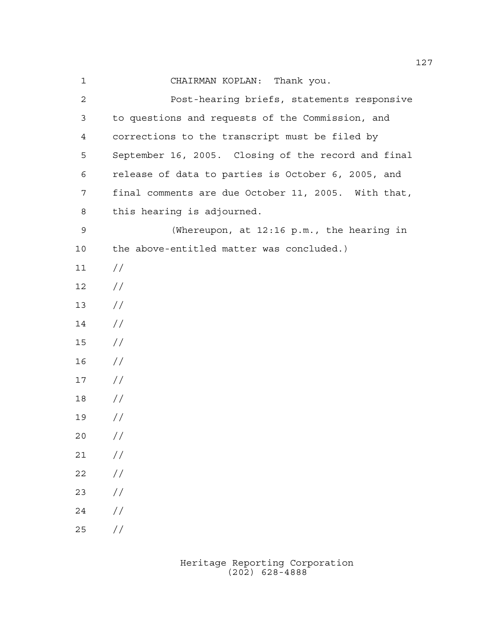| 1              | CHAIRMAN KOPLAN: Thank you.                         |
|----------------|-----------------------------------------------------|
| $\overline{c}$ | Post-hearing briefs, statements responsive          |
| 3              | to questions and requests of the Commission, and    |
| 4              | corrections to the transcript must be filed by      |
| 5              | September 16, 2005. Closing of the record and final |
| 6              | release of data to parties is October 6, 2005, and  |
| 7              | final comments are due October 11, 2005. With that, |
| 8              | this hearing is adjourned.                          |
| 9              | (Whereupon, at 12:16 p.m., the hearing in           |
| 10             | the above-entitled matter was concluded.)           |
| 11             | $\frac{1}{2}$                                       |
| 12             | $\frac{1}{2}$                                       |
| 13             | $\frac{1}{2}$                                       |
| 14             | $\frac{1}{2}$                                       |
| 15             | $\frac{1}{2}$                                       |
| 16             | $\frac{1}{2}$                                       |
| 17             | $\frac{1}{2}$                                       |
| 18             | $\frac{1}{2}$                                       |
| 19             | $\frac{1}{2}$                                       |
| 20             | //                                                  |
| 21             | $\frac{1}{2}$                                       |
| 22             | $\frac{1}{2}$                                       |
| 23             | $\frac{1}{2}$                                       |
| 24             | //                                                  |
| 25             | $\frac{1}{2}$                                       |

Heritage Reporting Corporation (202) 628-4888